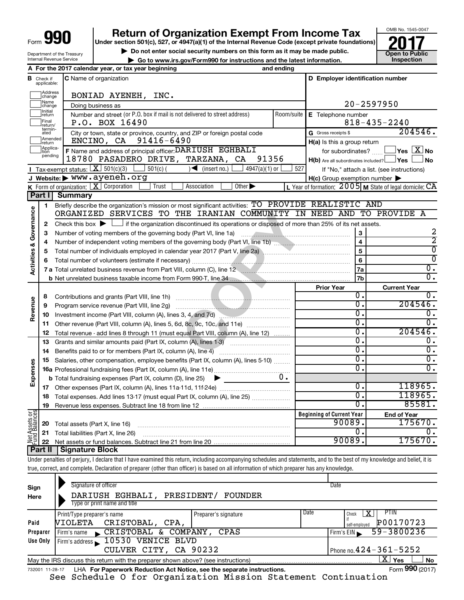| M<br>ſ<br>l<br>Form |
|---------------------|
|---------------------|

Department of the Treasury Internal Revenue Service

# **Return of Organization Exempt From Income Tax**

**Under section 501(c), 527, or 4947(a)(1) of the Internal Revenue Code (except private foundations)**

▶ Do not enter social security numbers on this form as it may be made public.<br>
inspection and the latest information. **Dependent in the latest information** and the latest information.

**| Go to www.irs.gov/Form990 for instructions and the latest information. Inspection**



|                                |                               | A For the 2017 calendar year, or tax year beginning                                                                                         | and ending |                                                     |                                                                    |  |  |  |
|--------------------------------|-------------------------------|---------------------------------------------------------------------------------------------------------------------------------------------|------------|-----------------------------------------------------|--------------------------------------------------------------------|--|--|--|
|                                | <b>B</b> Check if applicable: | <b>C</b> Name of organization                                                                                                               |            | D Employer identification number                    |                                                                    |  |  |  |
|                                | Address<br>change             | BONIAD AYENEH, INC.                                                                                                                         |            |                                                     |                                                                    |  |  |  |
|                                | Name<br>change                | Doing business as                                                                                                                           |            |                                                     | $20 - 2597950$                                                     |  |  |  |
|                                | <b>Initial</b><br>return      | Number and street (or P.O. box if mail is not delivered to street address)                                                                  | Room/suite | E Telephone number                                  |                                                                    |  |  |  |
|                                | Final<br>return/              | P.O. BOX 16490                                                                                                                              |            |                                                     | $818 - 435 - 2240$                                                 |  |  |  |
|                                | termin-<br>ated               | City or town, state or province, country, and ZIP or foreign postal code                                                                    |            | G Gross receipts \$                                 | 204546.                                                            |  |  |  |
|                                | Amended<br>return             | ENCINO, CA 91416-6490                                                                                                                       |            | $H(a)$ is this a group return                       |                                                                    |  |  |  |
|                                | Applica-<br>pending           | F Name and address of principal officer: DARIUSH EGHBALI                                                                                    |            | for subordinates?                                   | $\sqrt{\mathsf{Yes}\mathord{\;\mathbb{X}}\mathord{\;\mathsf{No}}}$ |  |  |  |
|                                |                               | 18780 PASADERO DRIVE, TARZANA, CA<br>91356                                                                                                  |            | $H(b)$ Are all subordinates included? $\Box$ Yes    | No                                                                 |  |  |  |
|                                |                               | <b>I</b> Tax-exempt status: $X \over 301(c)(3)$ $1 \over 501(c)$<br>$\sqrt{\frac{1}{1}}$ (insert no.)<br>$4947(a)(1)$ or                    | 527        |                                                     | If "No," attach a list. (see instructions)                         |  |  |  |
|                                |                               | J Website: WWW.ayeneh.org                                                                                                                   |            | $H(c)$ Group exemption number $\blacktriangleright$ |                                                                    |  |  |  |
|                                | Part I                        | <b>K</b> Form of organization: $\boxed{\mathbf{X}}$ Corporation<br>Trust<br>Association<br>Other $\blacktriangleright$                      |            |                                                     | L Year of formation: 2005 M State of legal domicile: CA            |  |  |  |
|                                |                               | Summary<br>Briefly describe the organization's mission or most significant activities: TO PROVIDE REALISTIC AND                             |            |                                                     |                                                                    |  |  |  |
|                                | $\mathbf{1}$                  | ORGANIZED SERVICES TO THE IRANIAN COMMUNITY IN NEED AND TO PROVIDE A                                                                        |            |                                                     |                                                                    |  |  |  |
|                                | $\mathbf{2}$                  | Check this box $\blacktriangleright$ $\Box$ if the organization discontinued its operations or disposed of more than 25% of its net assets. |            |                                                     |                                                                    |  |  |  |
|                                | З                             |                                                                                                                                             |            | 3                                                   | 2                                                                  |  |  |  |
|                                | 4                             |                                                                                                                                             |            | $\overline{\mathbf{4}}$                             | $\overline{2}$                                                     |  |  |  |
|                                | 5                             |                                                                                                                                             |            | $\overline{5}$                                      | $\overline{0}$                                                     |  |  |  |
|                                | 6                             |                                                                                                                                             |            | 6                                                   | $\overline{0}$                                                     |  |  |  |
| Activities & Governance        |                               | 7 a Total unrelated business revenue from Part VIII, column (C), line 12 <b>Column COVID 12</b>                                             |            | 7a                                                  | $\overline{0}$ .                                                   |  |  |  |
|                                |                               |                                                                                                                                             |            | 7 <sub>b</sub>                                      | $\overline{0}$ .                                                   |  |  |  |
|                                |                               |                                                                                                                                             |            | <b>Prior Year</b>                                   | <b>Current Year</b>                                                |  |  |  |
|                                | 8                             | Contributions and grants (Part VIII, line 1h)                                                                                               |            | 0.                                                  | ο.                                                                 |  |  |  |
| Revenue                        | 9                             | Program service revenue (Part VIII, line 2g)                                                                                                |            | σ.                                                  | 204546.                                                            |  |  |  |
|                                | 10                            |                                                                                                                                             |            | $\overline{0}$ .                                    | ο.                                                                 |  |  |  |
|                                | 11                            | Other revenue (Part VIII, column (A), lines 5, 6d, 8c, 9c, 10c, and 11e)                                                                    |            | о.                                                  | σ.                                                                 |  |  |  |
|                                | 12                            | Total revenue - add lines 8 through 11 (must equal Part VIII, column (A), line 12)                                                          |            | 0.<br>$\overline{0}$ .                              | 204546.                                                            |  |  |  |
|                                | 13                            | Grants and similar amounts paid (Part IX, column (A), lines 1-3)                                                                            |            | $\overline{0}$ .                                    | σ.<br>$\overline{0}$ .                                             |  |  |  |
|                                | 14                            | Benefits paid to or for members (Part IX, column (A), line 4)                                                                               |            | σ.                                                  | σ.                                                                 |  |  |  |
| Expenses                       | 15                            | Salaries, other compensation, employee benefits (Part IX, column (A), lines 5-10)                                                           |            | 0.                                                  | $\overline{0}$ .                                                   |  |  |  |
|                                |                               | <b>b</b> Total fundraising expenses (Part IX, column (D), line 25)                                                                          | $0$ .      |                                                     |                                                                    |  |  |  |
|                                | 17                            | $\blacktriangleright$                                                                                                                       |            | 0.                                                  | 118965.                                                            |  |  |  |
|                                | 18                            | Total expenses. Add lines 13-17 (must equal Part IX, column (A), line 25)                                                                   |            | σ.                                                  | 118965.                                                            |  |  |  |
|                                | 19                            |                                                                                                                                             |            | 0.                                                  | 85581.                                                             |  |  |  |
|                                |                               |                                                                                                                                             |            | <b>Beginning of Current Year</b>                    | <b>End of Year</b>                                                 |  |  |  |
| Net Assets or<br>Fund Balances | 20                            | Total assets (Part X, line 16)                                                                                                              |            | 175670.<br>90089.                                   |                                                                    |  |  |  |
|                                | 21                            | Total liabilities (Part X, line 26)                                                                                                         |            | Ο.                                                  | О.                                                                 |  |  |  |
|                                | 22                            |                                                                                                                                             |            | 90089.                                              | 175670.                                                            |  |  |  |
|                                | Part II                       | Signature Block                                                                                                                             |            |                                                     |                                                                    |  |  |  |

Under penalties of perjury, I declare that I have examined this return, including accompanying schedules and statements, and to the best of my knowledge and belief, it is true, correct, and complete. Declaration of preparer (other than officer) is based on all information of which preparer has any knowledge.

| Sign<br>Here                                                                                                 | Signature of officer<br>PRESIDENT/<br>DARIUSH EGHBALI,<br>Type or print name and title                      | FOUNDER              | Date                                                            |  |  |  |  |  |  |
|--------------------------------------------------------------------------------------------------------------|-------------------------------------------------------------------------------------------------------------|----------------------|-----------------------------------------------------------------|--|--|--|--|--|--|
| Paid                                                                                                         | Print/Type preparer's name<br>CRISTOBAL,<br>NIOLETA<br>CPA.                                                 | Preparer's signature | Date<br><b>PTIN</b><br>х<br>Check<br>P00170723<br>self-emploved |  |  |  |  |  |  |
| Preparer                                                                                                     | CRISTOBAL & COMPANY,<br>Firm's name                                                                         | CPAS                 | 59-3800236<br>Firm's $EIN$                                      |  |  |  |  |  |  |
| Use Only                                                                                                     | Firm's address 10530 VENICE BLVD                                                                            |                      |                                                                 |  |  |  |  |  |  |
|                                                                                                              | CULVER CITY, CA 90232                                                                                       |                      | Phone no. $424 - 361 - 5252$                                    |  |  |  |  |  |  |
|                                                                                                              | $\mathbf{X}$ Yes<br>No<br>May the IRS discuss this return with the preparer shown above? (see instructions) |                      |                                                                 |  |  |  |  |  |  |
| Form 990 (2017)<br>LHA For Paperwork Reduction Act Notice, see the separate instructions.<br>732001 11-28-17 |                                                                                                             |                      |                                                                 |  |  |  |  |  |  |

See Schedule O for Organization Mission Statement Continuation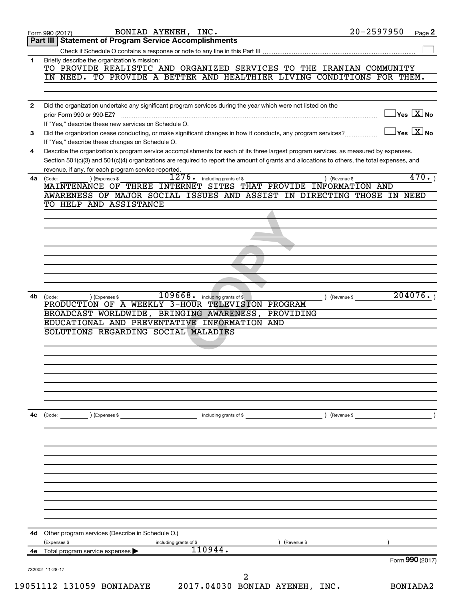|              | BONIAD AYENEH, INC.<br>Form 990 (2017)                                                                                                                                                                                                                                               | $20 - 2597950$                                   | Page 2 |
|--------------|--------------------------------------------------------------------------------------------------------------------------------------------------------------------------------------------------------------------------------------------------------------------------------------|--------------------------------------------------|--------|
|              | Part III   Statement of Program Service Accomplishments                                                                                                                                                                                                                              |                                                  |        |
| 1.           | Briefly describe the organization's mission:                                                                                                                                                                                                                                         |                                                  |        |
|              | TO PROVIDE REALISTIC AND ORGANIZED SERVICES TO THE IRANIAN COMMUNITY                                                                                                                                                                                                                 |                                                  |        |
|              | TO PROVIDE A BETTER AND HEALTHIER LIVING CONDITIONS FOR THEM.<br>IN NEED.                                                                                                                                                                                                            |                                                  |        |
|              |                                                                                                                                                                                                                                                                                      |                                                  |        |
| $\mathbf{2}$ | Did the organization undertake any significant program services during the year which were not listed on the                                                                                                                                                                         |                                                  |        |
|              | prior Form 990 or 990-EZ?                                                                                                                                                                                                                                                            | $\overline{\ }$ Yes $\overline{\rm \ }X$ No      |        |
|              | If "Yes," describe these new services on Schedule O.                                                                                                                                                                                                                                 |                                                  |        |
| 3            | Did the organization cease conducting, or make significant changes in how it conducts, any program services?                                                                                                                                                                         | $\overline{\ }$ Yes $\overline{\phantom{a}X}$ No |        |
|              | If "Yes," describe these changes on Schedule O.                                                                                                                                                                                                                                      |                                                  |        |
| 4            | Describe the organization's program service accomplishments for each of its three largest program services, as measured by expenses.<br>Section 501(c)(3) and 501(c)(4) organizations are required to report the amount of grants and allocations to others, the total expenses, and |                                                  |        |
|              | revenue, if any, for each program service reported.                                                                                                                                                                                                                                  |                                                  |        |
| 4a           | 1276.<br>) (Expenses \$<br>including grants of \$<br>) (Revenue \$<br>(Code:                                                                                                                                                                                                         |                                                  | 470.   |
|              | MAINTENANCE OF THREE INTERNET SITES THAT PROVIDE INFORMATION AND                                                                                                                                                                                                                     |                                                  |        |
|              | AWARENESS OF MAJOR SOCIAL ISSUES AND ASSIST IN DIRECTING THOSE IN NEED                                                                                                                                                                                                               |                                                  |        |
|              | TO HELP AND ASSISTANCE                                                                                                                                                                                                                                                               |                                                  |        |
|              |                                                                                                                                                                                                                                                                                      |                                                  |        |
|              |                                                                                                                                                                                                                                                                                      |                                                  |        |
|              |                                                                                                                                                                                                                                                                                      |                                                  |        |
|              |                                                                                                                                                                                                                                                                                      |                                                  |        |
|              |                                                                                                                                                                                                                                                                                      |                                                  |        |
|              |                                                                                                                                                                                                                                                                                      |                                                  |        |
|              |                                                                                                                                                                                                                                                                                      |                                                  |        |
| 4b           | 109668.<br>including grants of \$<br>) (Expenses \$<br>(Code:<br>) (Revenue \$                                                                                                                                                                                                       | 204076.                                          |        |
|              | PRODUCTION OF A WEEKLY 3-HOUR TELEVISION PROGRAM                                                                                                                                                                                                                                     |                                                  |        |
|              | BROADCAST WORLDWIDE, BRINGING AWARENESS,<br>PROVIDING                                                                                                                                                                                                                                |                                                  |        |
|              | EDUCATIONAL AND PREVENTATIVE INFORMATION AND                                                                                                                                                                                                                                         |                                                  |        |
|              | SOLUTIONS REGARDING SOCIAL MALADIES                                                                                                                                                                                                                                                  |                                                  |        |
|              |                                                                                                                                                                                                                                                                                      |                                                  |        |
|              |                                                                                                                                                                                                                                                                                      |                                                  |        |
|              |                                                                                                                                                                                                                                                                                      |                                                  |        |
|              |                                                                                                                                                                                                                                                                                      |                                                  |        |
|              |                                                                                                                                                                                                                                                                                      |                                                  |        |
|              |                                                                                                                                                                                                                                                                                      |                                                  |        |
| 4с           | (Code: ) (Expenses \$<br>including grants of \$                                                                                                                                                                                                                                      | ) (Revenue \$                                    |        |
|              |                                                                                                                                                                                                                                                                                      |                                                  |        |
|              |                                                                                                                                                                                                                                                                                      |                                                  |        |
|              |                                                                                                                                                                                                                                                                                      |                                                  |        |
|              |                                                                                                                                                                                                                                                                                      |                                                  |        |
|              |                                                                                                                                                                                                                                                                                      |                                                  |        |
|              |                                                                                                                                                                                                                                                                                      |                                                  |        |
|              |                                                                                                                                                                                                                                                                                      |                                                  |        |
|              |                                                                                                                                                                                                                                                                                      |                                                  |        |
|              |                                                                                                                                                                                                                                                                                      |                                                  |        |
|              |                                                                                                                                                                                                                                                                                      |                                                  |        |
|              |                                                                                                                                                                                                                                                                                      |                                                  |        |
|              | <b>4d</b> Other program services (Describe in Schedule O.)<br>(Expenses \$<br>including grants of \$<br>(Revenue \$                                                                                                                                                                  |                                                  |        |
| 4е           | 110944.<br>Total program service expenses                                                                                                                                                                                                                                            |                                                  |        |
|              |                                                                                                                                                                                                                                                                                      | Form 990 (2017)                                  |        |
|              | 732002 11-28-17                                                                                                                                                                                                                                                                      |                                                  |        |
|              | 2<br>19051112 131059 BONIADAYE                                                                                                                                                                                                                                                       |                                                  |        |
|              | 2017.04030 BONIAD AYENEH, INC.                                                                                                                                                                                                                                                       | BONIADA2                                         |        |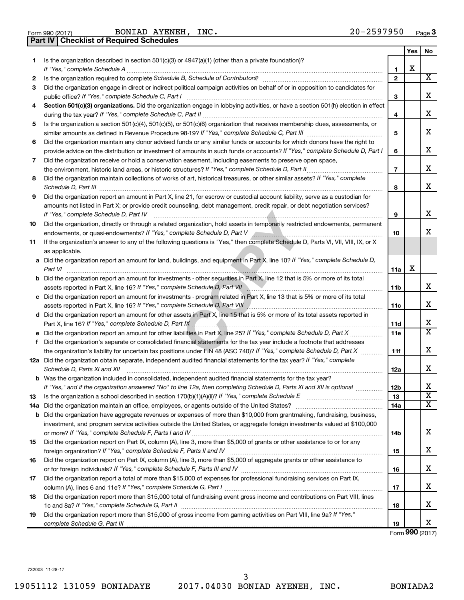| Form 990 (2017 |  |  |
|----------------|--|--|

Form 990 (2017) Page BONIAD AYENEH, INC. 20-2597950 **Part IV Checklist of Required Schedules**

|    |                                                                                                                                                                                                                                                   |                | <b>Yes</b> | No                      |
|----|---------------------------------------------------------------------------------------------------------------------------------------------------------------------------------------------------------------------------------------------------|----------------|------------|-------------------------|
| 1  | Is the organization described in section 501(c)(3) or $4947(a)(1)$ (other than a private foundation)?                                                                                                                                             |                | х          |                         |
|    | If "Yes," complete Schedule A                                                                                                                                                                                                                     | 1              |            | $\overline{\mathbf{X}}$ |
| 2  | Is the organization required to complete Schedule B, Schedule of Contributors? [11] The organization required to complete Schedule B, Schedule of Contributors?                                                                                   | $\mathbf{2}$   |            |                         |
| 3  | Did the organization engage in direct or indirect political campaign activities on behalf of or in opposition to candidates for<br>public office? If "Yes," complete Schedule C, Part I                                                           | 3              |            | х                       |
| 4  | Section 501(c)(3) organizations. Did the organization engage in lobbying activities, or have a section 501(h) election in effect                                                                                                                  | 4              |            | х                       |
| 5  | Is the organization a section 501(c)(4), 501(c)(5), or 501(c)(6) organization that receives membership dues, assessments, or                                                                                                                      |                |            |                         |
|    |                                                                                                                                                                                                                                                   | 5              |            | х                       |
| 6  | Did the organization maintain any donor advised funds or any similar funds or accounts for which donors have the right to                                                                                                                         |                |            |                         |
|    | provide advice on the distribution or investment of amounts in such funds or accounts? If "Yes," complete Schedule D, Part I                                                                                                                      | 6              |            | х                       |
| 7  | Did the organization receive or hold a conservation easement, including easements to preserve open space,                                                                                                                                         |                |            |                         |
|    |                                                                                                                                                                                                                                                   | $\overline{7}$ |            | X                       |
| 8  | Did the organization maintain collections of works of art, historical treasures, or other similar assets? If "Yes," complete                                                                                                                      | 8              |            | х                       |
| 9  | Did the organization report an amount in Part X, line 21, for escrow or custodial account liability, serve as a custodian for                                                                                                                     |                |            |                         |
|    | amounts not listed in Part X; or provide credit counseling, debt management, credit repair, or debt negotiation services?                                                                                                                         |                |            |                         |
|    | If "Yes," complete Schedule D, Part IV                                                                                                                                                                                                            | 9              |            | х                       |
| 10 | Did the organization, directly or through a related organization, hold assets in temporarily restricted endowments, permanent                                                                                                                     |                |            |                         |
|    | endowments, or quasi-endowments? If "Yes," complete Schedule D, Part V Annumer Communication contents and communication                                                                                                                           | 10             |            | x                       |
| 11 | If the organization's answer to any of the following questions is "Yes," then complete Schedule D, Parts VI, VII, VIII, IX, or X                                                                                                                  |                |            |                         |
|    | as applicable.                                                                                                                                                                                                                                    |                |            |                         |
|    | a Did the organization report an amount for land, buildings, and equipment in Part X, line 10? If "Yes," complete Schedule D,<br>Part VI                                                                                                          | 11a            | х          |                         |
|    | <b>b</b> Did the organization report an amount for investments - other securities in Part X, line 12 that is 5% or more of its total                                                                                                              |                |            |                         |
|    | assets reported in Part X, line 16? If "Yes," complete Schedule D, Part VII<br>11b                                                                                                                                                                |                |            | х                       |
|    | c Did the organization report an amount for investments - program related in Part X, line 13 that is 5% or more of its total                                                                                                                      |                |            |                         |
|    | assets reported in Part X, line 16? If "Yes," complete Schedule D, Part VIII                                                                                                                                                                      | 11c            |            | х                       |
|    | d Did the organization report an amount for other assets in Part X, line 15 that is 5% or more of its total assets reported in                                                                                                                    |                |            | х                       |
|    | Part X, line 16? If "Yes," complete Schedule D, Part IX                                                                                                                                                                                           | 11d            |            | $\overline{\mathbf{X}}$ |
|    | <b>e</b> Did the organization report an amount for other liabilities in Part X, line 25? If "Yes," complete Schedule D, Part X $\ldots$                                                                                                           | 11e            |            |                         |
| f  | Did the organization's separate or consolidated financial statements for the tax year include a footnote that addresses<br>the organization's liability for uncertain tax positions under FIN 48 (ASC 740)? If "Yes," complete Schedule D, Part X | 11f            |            | х                       |
|    | 12a Did the organization obtain separate, independent audited financial statements for the tax year? If "Yes," complete                                                                                                                           |                |            |                         |
|    | Schedule D, Parts XI and XII                                                                                                                                                                                                                      | 12a            |            | х                       |
|    | <b>b</b> Was the organization included in consolidated, independent audited financial statements for the tax year?                                                                                                                                |                |            |                         |
|    | If "Yes," and if the organization answered "No" to line 12a, then completing Schedule D, Parts XI and XII is optional                                                                                                                             | 12b            |            | х                       |
| 13 |                                                                                                                                                                                                                                                   | 13             |            | $\overline{\mathbf{X}}$ |
|    |                                                                                                                                                                                                                                                   | 14a            |            | х                       |
|    | <b>b</b> Did the organization have aggregate revenues or expenses of more than \$10,000 from grantmaking, fundraising, business,                                                                                                                  |                |            |                         |
|    | investment, and program service activities outside the United States, or aggregate foreign investments valued at \$100,000                                                                                                                        |                |            |                         |
|    |                                                                                                                                                                                                                                                   | 14b            |            | х                       |
| 15 | Did the organization report on Part IX, column (A), line 3, more than \$5,000 of grants or other assistance to or for any                                                                                                                         |                |            |                         |
|    |                                                                                                                                                                                                                                                   | 15             |            | x                       |
| 16 | Did the organization report on Part IX, column (A), line 3, more than \$5,000 of aggregate grants or other assistance to                                                                                                                          | 16             |            | х                       |
| 17 | Did the organization report a total of more than \$15,000 of expenses for professional fundraising services on Part IX,                                                                                                                           |                |            |                         |
|    |                                                                                                                                                                                                                                                   | 17             |            | х                       |
| 18 | Did the organization report more than \$15,000 total of fundraising event gross income and contributions on Part VIII, lines                                                                                                                      |                |            |                         |
|    |                                                                                                                                                                                                                                                   | 18             |            | х                       |
| 19 | Did the organization report more than \$15,000 of gross income from gaming activities on Part VIII, line 9a? If "Yes,"                                                                                                                            |                |            |                         |
|    |                                                                                                                                                                                                                                                   | 19             |            | х                       |

Form (2017) **990**

732003 11-28-17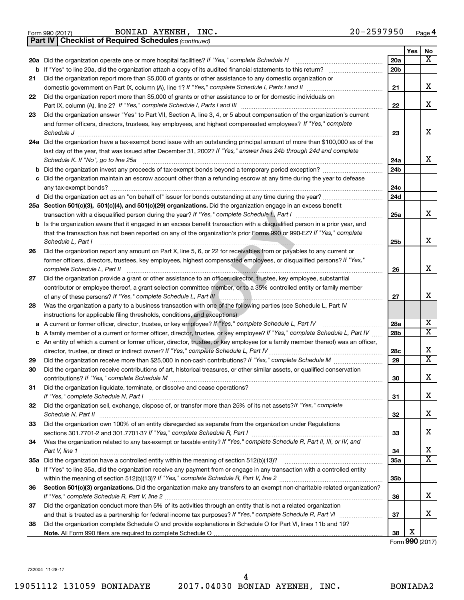|  | Form 990 (2017) |
|--|-----------------|
|  |                 |

Form 990 (2017) Page BONIAD AYENEH, INC. 20-2597950

*(continued)* **Part IV Checklist of Required Schedules**

|    |                                                                                                                                                        |                 | <b>Yes</b> | No                         |
|----|--------------------------------------------------------------------------------------------------------------------------------------------------------|-----------------|------------|----------------------------|
|    | 20a Did the organization operate one or more hospital facilities? If "Yes," complete Schedule H                                                        | 20a             |            | x.                         |
|    |                                                                                                                                                        | 20 <sub>b</sub> |            |                            |
| 21 | Did the organization report more than \$5,000 of grants or other assistance to any domestic organization or                                            |                 |            |                            |
|    |                                                                                                                                                        | 21              |            | х                          |
| 22 | Did the organization report more than \$5,000 of grants or other assistance to or for domestic individuals on                                          |                 |            |                            |
|    |                                                                                                                                                        | 22              |            | х                          |
| 23 | Did the organization answer "Yes" to Part VII, Section A, line 3, 4, or 5 about compensation of the organization's current                             |                 |            |                            |
|    | and former officers, directors, trustees, key employees, and highest compensated employees? If "Yes," complete                                         |                 |            |                            |
|    |                                                                                                                                                        | 23              |            | x                          |
|    | 24a Did the organization have a tax-exempt bond issue with an outstanding principal amount of more than \$100,000 as of the                            |                 |            |                            |
|    | last day of the year, that was issued after December 31, 2002? If "Yes," answer lines 24b through 24d and complete                                     |                 |            |                            |
|    | Schedule K. If "No", go to line 25a                                                                                                                    | 24a             |            | х                          |
|    |                                                                                                                                                        | 24 <sub>b</sub> |            |                            |
|    | c Did the organization maintain an escrow account other than a refunding escrow at any time during the year to defease                                 | 24c             |            |                            |
|    | d Did the organization act as an "on behalf of" issuer for bonds outstanding at any time during the year?                                              | 24 <sub>d</sub> |            |                            |
|    | 25a Section 501(c)(3), 501(c)(4), and 501(c)(29) organizations. Did the organization engage in an excess benefit                                       |                 |            |                            |
|    |                                                                                                                                                        | 25a             |            | x                          |
|    | <b>b</b> Is the organization aware that it engaged in an excess benefit transaction with a disqualified person in a prior year, and                    |                 |            |                            |
|    | that the transaction has not been reported on any of the organization's prior Forms 990 or 990-EZ? If "Yes," complete                                  |                 |            |                            |
|    | Schedule L, Part I                                                                                                                                     | 25b             |            | х                          |
| 26 | Did the organization report any amount on Part X, line 5, 6, or 22 for receivables from or payables to any current or                                  |                 |            |                            |
|    | former officers, directors, trustees, key employees, highest compensated employees, or disqualified persons? If "Yes,"<br>complete Schedule L, Part II | 26              |            | х                          |
| 27 | Did the organization provide a grant or other assistance to an officer, director, trustee, key employee, substantial                                   |                 |            |                            |
|    | contributor or employee thereof, a grant selection committee member, or to a 35% controlled entity or family member                                    |                 |            |                            |
|    | of any of these persons? If "Yes," complete Schedule L, Part III                                                                                       | 27              |            | х                          |
| 28 | Was the organization a party to a business transaction with one of the following parties (see Schedule L, Part IV                                      |                 |            |                            |
|    | instructions for applicable filing thresholds, conditions, and exceptions):                                                                            |                 |            |                            |
| а  | A current or former officer, director, trustee, or key employee? If "Yes," complete Schedule L, Part IV                                                | 28a             |            | x                          |
| b  | A family member of a current or former officer, director, trustee, or key employee? If "Yes," complete Schedule L, Part IV                             | 28 <sub>b</sub> |            | $\overline{\text{X}}$      |
|    | c An entity of which a current or former officer, director, trustee, or key employee (or a family member thereof) was an officer,                      |                 |            |                            |
|    | director, trustee, or direct or indirect owner? If "Yes," complete Schedule L, Part IV                                                                 | 28c             |            | х<br>$\overline{\text{X}}$ |
| 29 |                                                                                                                                                        | 29              |            |                            |
| 30 | Did the organization receive contributions of art, historical treasures, or other similar assets, or qualified conservation                            |                 |            | х                          |
|    | Did the organization liquidate, terminate, or dissolve and cease operations?                                                                           | 30              |            |                            |
| 31 |                                                                                                                                                        | 31              |            | х                          |
| 32 | Did the organization sell, exchange, dispose of, or transfer more than 25% of its net assets? If "Yes," complete                                       |                 |            |                            |
|    | Schedule N, Part II                                                                                                                                    | 32              |            | х                          |
| 33 | Did the organization own 100% of an entity disregarded as separate from the organization under Regulations                                             |                 |            |                            |
|    |                                                                                                                                                        | 33              |            | х                          |
| 34 | Was the organization related to any tax-exempt or taxable entity? If "Yes," complete Schedule R, Part II, III, or IV, and                              |                 |            |                            |
|    | Part V, line 1                                                                                                                                         | 34              |            | x                          |
|    |                                                                                                                                                        | 35a             |            | X                          |
|    | b If "Yes" to line 35a, did the organization receive any payment from or engage in any transaction with a controlled entity                            |                 |            |                            |
|    |                                                                                                                                                        | 35b             |            |                            |
| 36 | Section 501(c)(3) organizations. Did the organization make any transfers to an exempt non-charitable related organization?                             |                 |            |                            |
|    |                                                                                                                                                        | 36              |            | x                          |
| 37 | Did the organization conduct more than 5% of its activities through an entity that is not a related organization                                       |                 |            |                            |
|    |                                                                                                                                                        | 37              |            | x                          |
| 38 | Did the organization complete Schedule O and provide explanations in Schedule O for Part VI, lines 11b and 19?                                         |                 |            |                            |
|    |                                                                                                                                                        | 38              | x          |                            |

Form (2017) **990**

732004 11-28-17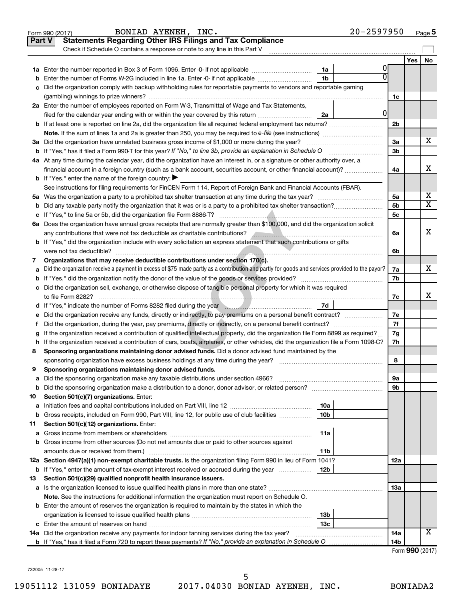|    | BONIAD AYENEH, INC.<br>$20 - 2597950$<br>Form 990 (2017)                                                                                                                                                                             |                 |                 | Page 5                |
|----|--------------------------------------------------------------------------------------------------------------------------------------------------------------------------------------------------------------------------------------|-----------------|-----------------|-----------------------|
|    | <b>Statements Regarding Other IRS Filings and Tax Compliance</b><br><b>Part V</b>                                                                                                                                                    |                 |                 |                       |
|    | Check if Schedule O contains a response or note to any line in this Part V                                                                                                                                                           |                 |                 |                       |
|    |                                                                                                                                                                                                                                      |                 | Yes             | No                    |
|    | 01<br>1a                                                                                                                                                                                                                             |                 |                 |                       |
| b  | 0<br>1 <sub>b</sub><br>Enter the number of Forms W-2G included in line 1a. Enter -0- if not applicable                                                                                                                               |                 |                 |                       |
|    | c Did the organization comply with backup withholding rules for reportable payments to vendors and reportable gaming                                                                                                                 |                 |                 |                       |
|    |                                                                                                                                                                                                                                      | 1c              |                 |                       |
|    | 2a Enter the number of employees reported on Form W-3, Transmittal of Wage and Tax Statements,                                                                                                                                       |                 |                 |                       |
|    | 0l<br>filed for the calendar year ending with or within the year covered by this return<br>2a                                                                                                                                        |                 |                 |                       |
|    |                                                                                                                                                                                                                                      | 2 <sub>b</sub>  |                 |                       |
|    |                                                                                                                                                                                                                                      |                 |                 |                       |
|    | 3a Did the organization have unrelated business gross income of \$1,000 or more during the year?                                                                                                                                     | 3a              |                 | х                     |
|    |                                                                                                                                                                                                                                      | 3 <sub>b</sub>  |                 |                       |
|    | 4a At any time during the calendar year, did the organization have an interest in, or a signature or other authority over, a                                                                                                         |                 |                 |                       |
|    | financial account in a foreign country (such as a bank account, securities account, or other financial account)?                                                                                                                     | 4a              |                 | x                     |
|    | <b>b</b> If "Yes," enter the name of the foreign country: $\blacktriangleright$                                                                                                                                                      |                 |                 |                       |
|    | See instructions for filing requirements for FinCEN Form 114, Report of Foreign Bank and Financial Accounts (FBAR).                                                                                                                  |                 |                 |                       |
|    |                                                                                                                                                                                                                                      | 5a              |                 | х                     |
|    |                                                                                                                                                                                                                                      | 5 <sub>b</sub>  |                 | $\overline{\text{X}}$ |
|    |                                                                                                                                                                                                                                      | 5 <sub>c</sub>  |                 |                       |
|    | 6a Does the organization have annual gross receipts that are normally greater than \$100,000, and did the organization solicit                                                                                                       |                 |                 |                       |
|    | any contributions that were not tax deductible as charitable contributions? And an annumeration of the manuscrim                                                                                                                     | 6a              |                 | x                     |
|    | <b>b</b> If "Yes," did the organization include with every solicitation an express statement that such contributions or gifts                                                                                                        |                 |                 |                       |
|    |                                                                                                                                                                                                                                      | 6b              |                 |                       |
| 7  | Organizations that may receive deductible contributions under section 170(c).                                                                                                                                                        |                 |                 |                       |
| a  | Did the organization receive a payment in excess of \$75 made partly as a contribution and partly for goods and services provided to the payor?                                                                                      | 7a              |                 | x                     |
|    |                                                                                                                                                                                                                                      | 7b              |                 |                       |
|    | c Did the organization sell, exchange, or otherwise dispose of tangible personal property for which it was required                                                                                                                  |                 |                 |                       |
|    |                                                                                                                                                                                                                                      | 7с              |                 | x                     |
|    | 7d<br>d If "Yes," indicate the number of Forms 8282 filed during the year manufactured in the second state in the number of Forms 8282 filed during the year manufactured in the second of the second in the second in the second in |                 |                 |                       |
| е  |                                                                                                                                                                                                                                      | 7e              |                 |                       |
| f. |                                                                                                                                                                                                                                      | 7f              |                 |                       |
|    | If the organization received a contribution of qualified intellectual property, did the organization file Form 8899 as required?                                                                                                     | 7g              |                 |                       |
|    | h If the organization received a contribution of cars, boats, airplanes, or other vehicles, did the organization file a Form 1098-C?                                                                                                 | 7h              |                 |                       |
| 8  | Sponsoring organizations maintaining donor advised funds. Did a donor advised fund maintained by the                                                                                                                                 |                 |                 |                       |
|    |                                                                                                                                                                                                                                      | 8               |                 |                       |
|    | Sponsoring organizations maintaining donor advised funds.                                                                                                                                                                            |                 |                 |                       |
| а  | Did the sponsoring organization make any taxable distributions under section 4966?                                                                                                                                                   | 9а              |                 |                       |
| b  |                                                                                                                                                                                                                                      | 9b              |                 |                       |
| 10 | Section 501(c)(7) organizations. Enter:                                                                                                                                                                                              |                 |                 |                       |
| a  | 10a                                                                                                                                                                                                                                  |                 |                 |                       |
| b  | 10 <sub>b</sub><br>Gross receipts, included on Form 990, Part VIII, line 12, for public use of club facilities                                                                                                                       |                 |                 |                       |
| 11 | Section 501(c)(12) organizations. Enter:                                                                                                                                                                                             |                 |                 |                       |
| а  | 11a                                                                                                                                                                                                                                  |                 |                 |                       |
|    | <b>b</b> Gross income from other sources (Do not net amounts due or paid to other sources against                                                                                                                                    |                 |                 |                       |
|    | 11b                                                                                                                                                                                                                                  |                 |                 |                       |
|    | 12a Section 4947(a)(1) non-exempt charitable trusts. Is the organization filing Form 990 in lieu of Form 1041?                                                                                                                       | 12a             |                 |                       |
|    | 12b<br><b>b</b> If "Yes," enter the amount of tax-exempt interest received or accrued during the year                                                                                                                                |                 |                 |                       |
| 13 | Section 501(c)(29) qualified nonprofit health insurance issuers.                                                                                                                                                                     |                 |                 |                       |
|    | a Is the organization licensed to issue qualified health plans in more than one state?                                                                                                                                               | 13a             |                 |                       |
|    | Note. See the instructions for additional information the organization must report on Schedule O.                                                                                                                                    |                 |                 |                       |
|    | <b>b</b> Enter the amount of reserves the organization is required to maintain by the states in which the                                                                                                                            |                 |                 |                       |
|    | 13b                                                                                                                                                                                                                                  |                 |                 |                       |
|    | 13 <sub>c</sub>                                                                                                                                                                                                                      |                 |                 |                       |
|    | 14a Did the organization receive any payments for indoor tanning services during the tax year?                                                                                                                                       | 14a             |                 | x                     |
|    |                                                                                                                                                                                                                                      | 14 <sub>b</sub> |                 |                       |
|    |                                                                                                                                                                                                                                      |                 | Form 990 (2017) |                       |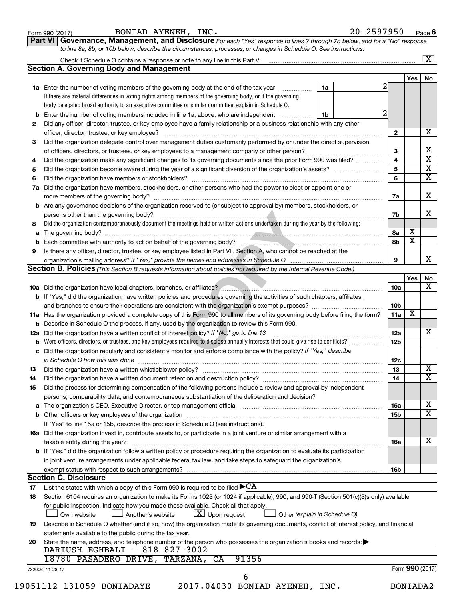| Form 990 (2017) |  |
|-----------------|--|
|-----------------|--|

Form 990 (2017) Page BONIAD AYENEH, INC. 20-2597950

**Part VI** Governance, Management, and Disclosure For each "Yes" response to lines 2 through 7b below, and for a "No" response *to line 8a, 8b, or 10b below, describe the circumstances, processes, or changes in Schedule O. See instructions.*

|     |                                                                                                                                                                                          |    |   |                         |                         | $\overline{\mathbf{X}}$ |
|-----|------------------------------------------------------------------------------------------------------------------------------------------------------------------------------------------|----|---|-------------------------|-------------------------|-------------------------|
|     | <b>Section A. Governing Body and Management</b>                                                                                                                                          |    |   |                         |                         |                         |
|     |                                                                                                                                                                                          |    |   |                         | <b>Yes</b>              | No                      |
|     | 1a Enter the number of voting members of the governing body at the end of the tax year <i>manamer</i>                                                                                    | 1a |   | 2                       |                         |                         |
|     | If there are material differences in voting rights among members of the governing body, or if the governing                                                                              |    |   |                         |                         |                         |
|     | body delegated broad authority to an executive committee or similar committee, explain in Schedule O.                                                                                    |    |   |                         |                         |                         |
| b   | Enter the number of voting members included in line 1a, above, who are independent                                                                                                       | 1b | 2 |                         |                         |                         |
| 2   | Did any officer, director, trustee, or key employee have a family relationship or a business relationship with any other                                                                 |    |   |                         |                         |                         |
|     |                                                                                                                                                                                          |    |   | $\overline{2}$          |                         | х                       |
| 3   | Did the organization delegate control over management duties customarily performed by or under the direct supervision                                                                    |    |   |                         |                         |                         |
|     |                                                                                                                                                                                          |    |   | 3                       |                         |                         |
| 4   | Did the organization make any significant changes to its governing documents since the prior Form 990 was filed?                                                                         |    |   | $\overline{\mathbf{4}}$ |                         |                         |
| 5   |                                                                                                                                                                                          |    |   | 5                       |                         |                         |
| 6   |                                                                                                                                                                                          |    |   | 6                       |                         |                         |
| 7a  | Did the organization have members, stockholders, or other persons who had the power to elect or appoint one or                                                                           |    |   |                         |                         |                         |
|     |                                                                                                                                                                                          |    |   | 7a                      |                         |                         |
| b   | Are any governance decisions of the organization reserved to (or subject to approval by) members, stockholders, or                                                                       |    |   |                         |                         |                         |
|     | persons other than the governing body?                                                                                                                                                   |    |   | 7b                      |                         |                         |
| 8   | Did the organization contemporaneously document the meetings held or written actions undertaken during the year by the following:                                                        |    |   |                         |                         |                         |
| а   |                                                                                                                                                                                          |    |   | 8а                      | х                       |                         |
|     |                                                                                                                                                                                          |    |   | 8b                      | $\overline{\textbf{x}}$ |                         |
| 9   | Is there any officer, director, trustee, or key employee listed in Part VII, Section A, who cannot be reached at the                                                                     |    |   |                         |                         |                         |
|     | organization's mailing address? If "Yes," provide the names and addresses in Schedule O                                                                                                  |    |   | 9                       |                         |                         |
|     | <b>Section B. Policies</b> (This Section B requests information about policies not required by the Internal Revenue Code.)                                                               |    |   |                         |                         |                         |
|     |                                                                                                                                                                                          |    |   |                         | Yes                     |                         |
|     | 10a Did the organization have local chapters, branches, or affiliates?<br>2008. Communication continuum continuum contraction contract in the contract of the contract of the contract o |    |   | 10a                     |                         |                         |
|     | <b>b</b> If "Yes," did the organization have written policies and procedures governing the activities of such chapters, affiliates,                                                      |    |   |                         |                         |                         |
|     | and branches to ensure their operations are consistent with the organization's exempt purposes? www.www.www.www.                                                                         |    |   | 10 <sub>b</sub>         |                         |                         |
|     | 11a Has the organization provided a complete copy of this Form 990 to all members of its governing body before filing the form?                                                          |    |   | 11a                     | X                       |                         |
|     | Describe in Schedule O the process, if any, used by the organization to review this Form 990.                                                                                            |    |   |                         |                         |                         |
| 12a | Did the organization have a written conflict of interest policy? If "No," go to line 13                                                                                                  |    |   | 12a                     |                         |                         |
|     | Were officers, directors, or trustees, and key employees required to disclose annually interests that could give rise to conflicts?                                                      |    |   | 12 <sub>b</sub>         |                         |                         |
| с   | Did the organization regularly and consistently monitor and enforce compliance with the policy? If "Yes," describe                                                                       |    |   |                         |                         |                         |
|     | in Schedule O how this was done manufactured and continuum and contract the state of the state of the state of                                                                           |    |   | 12c                     |                         |                         |
| 13  |                                                                                                                                                                                          |    |   | 13                      |                         |                         |
| 14  |                                                                                                                                                                                          |    |   | 14                      |                         |                         |
| 15  | Did the process for determining compensation of the following persons include a review and approval by independent                                                                       |    |   |                         |                         |                         |
|     | persons, comparability data, and contemporaneous substantiation of the deliberation and decision?                                                                                        |    |   |                         |                         |                         |
|     | The organization's CEO, Executive Director, or top management official manufactor content content content of the                                                                         |    |   | 15a                     |                         |                         |
| а   |                                                                                                                                                                                          |    |   | 15b                     |                         |                         |
|     | If "Yes" to line 15a or 15b, describe the process in Schedule O (see instructions).                                                                                                      |    |   |                         |                         |                         |
|     | 16a Did the organization invest in, contribute assets to, or participate in a joint venture or similar arrangement with a                                                                |    |   |                         |                         |                         |
|     |                                                                                                                                                                                          |    |   | 16a                     |                         |                         |
|     | taxable entity during the year?<br>b If "Yes," did the organization follow a written policy or procedure requiring the organization to evaluate its participation                        |    |   |                         |                         |                         |
|     |                                                                                                                                                                                          |    |   |                         |                         |                         |
|     | in joint venture arrangements under applicable federal tax law, and take steps to safeguard the organization's                                                                           |    |   |                         |                         |                         |
|     | exempt status with respect to such arrangements?<br><b>Section C. Disclosure</b>                                                                                                         |    |   | 16 <sub>b</sub>         |                         |                         |
|     | List the states with which a copy of this Form 990 is required to be filed $\blacktriangleright$ CA                                                                                      |    |   |                         |                         |                         |
| 17  |                                                                                                                                                                                          |    |   |                         |                         |                         |
| 18  | Section 6104 requires an organization to make its Forms 1023 (or 1024 if applicable), 990, and 990-T (Section 501(c)(3)s only) available                                                 |    |   |                         |                         |                         |
|     | for public inspection. Indicate how you made these available. Check all that apply.                                                                                                      |    |   |                         |                         |                         |
|     | $\lfloor x \rfloor$ Upon request<br>Own website<br>Another's website<br>Other (explain in Schedule O)                                                                                    |    |   |                         |                         |                         |
| 19  | Describe in Schedule O whether (and if so, how) the organization made its governing documents, conflict of interest policy, and financial                                                |    |   |                         |                         |                         |
|     | statements available to the public during the tax year.                                                                                                                                  |    |   |                         |                         |                         |
| 20  | State the name, address, and telephone number of the person who possesses the organization's books and records:                                                                          |    |   |                         |                         |                         |
|     | DARIUSH EGHBALI - 818-827-3002                                                                                                                                                           |    |   |                         |                         |                         |
|     | 91356<br>18780 PASADERO DRIVE, TARZANA,<br>CA                                                                                                                                            |    |   |                         |                         |                         |
|     | 732006 11-28-17                                                                                                                                                                          |    |   |                         | Form 990 (2017)         |                         |
|     | 6                                                                                                                                                                                        |    |   |                         |                         |                         |
|     | 19051112 131059 BONIADAYE<br>2017.04030 BONIAD AYENEH, INC.                                                                                                                              |    |   |                         | BONIADA2                |                         |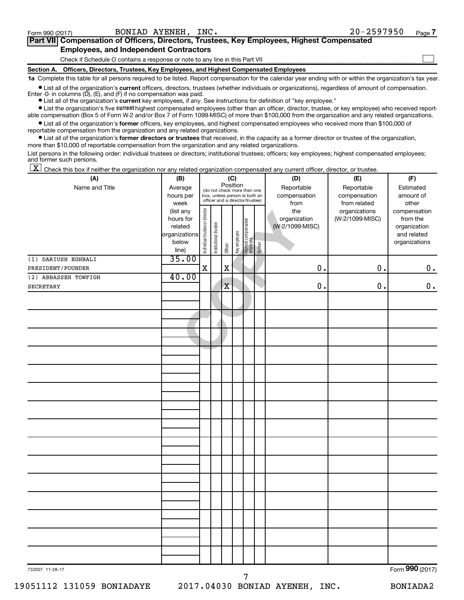$\Box$ 

| Part VII Compensation of Officers, Directors, Trustees, Key Employees, Highest Compensated |
|--------------------------------------------------------------------------------------------|
| <b>Employees, and Independent Contractors</b>                                              |
|                                                                                            |

Check if Schedule O contains a response or note to any line in this Part VII

**Section A. Officers, Directors, Trustees, Key Employees, and Highest Compensated Employees**

**1a**  Complete this table for all persons required to be listed. Report compensation for the calendar year ending with or within the organization's tax year.

**•** List all of the organization's current officers, directors, trustees (whether individuals or organizations), regardless of amount of compensation. Enter -0- in columns  $(D)$ ,  $(E)$ , and  $(F)$  if no compensation was paid.

**•** List all of the organization's **current** key employees, if any. See instructions for definition of "key employee."

**•** List the organization's five current highest compensated employees (other than an officer, director, trustee, or key employee) who received reportable compensation (Box 5 of Form W-2 and/or Box 7 of Form 1099-MISC) of more than \$100,000 from the organization and any related organizations.

**•** List all of the organization's former officers, key employees, and highest compensated employees who received more than \$100,000 of reportable compensation from the organization and any related organizations.

**•** List all of the organization's former directors or trustees that received, in the capacity as a former director or trustee of the organization, more than \$10,000 of reportable compensation from the organization and any related organizations.

List persons in the following order: individual trustees or directors; institutional trustees; officers; key employees; highest compensated employees; and former such persons.

|  |  |  | $\boxed{\mathbf{X}}$ Check this box if neither the organization nor any related organization compensated any current officer, director, or trustee. |  |  |  |  |  |
|--|--|--|-----------------------------------------------------------------------------------------------------------------------------------------------------|--|--|--|--|--|
|--|--|--|-----------------------------------------------------------------------------------------------------------------------------------------------------|--|--|--|--|--|

| (A)                  | (B)           |                                |                       |             | (C)          |                                                                                                 |        | (D)             | (E)             | (F)             |
|----------------------|---------------|--------------------------------|-----------------------|-------------|--------------|-------------------------------------------------------------------------------------------------|--------|-----------------|-----------------|-----------------|
| Name and Title       | Average       |                                |                       | Position    |              |                                                                                                 |        | Reportable      | Reportable      | Estimated       |
|                      | hours per     |                                |                       |             |              | (do not check more than one<br>box, unless person is both an<br>officer and a director/trustee) |        | compensation    | compensation    | amount of       |
|                      | week          |                                |                       |             |              |                                                                                                 |        | from            | from related    | other           |
|                      | (list any     |                                |                       |             |              |                                                                                                 |        | the             | organizations   | compensation    |
|                      | hours for     |                                |                       |             |              |                                                                                                 |        | organization    | (W-2/1099-MISC) | from the        |
|                      | related       |                                |                       |             |              |                                                                                                 |        | (W-2/1099-MISC) |                 | organization    |
|                      | organizations |                                |                       |             |              |                                                                                                 |        |                 |                 | and related     |
|                      | below         |                                |                       |             |              |                                                                                                 |        |                 |                 | organizations   |
|                      | line)         | Individual trustee or director | Institutional trustee | Officer     | Key employee | Highest compensated<br>employee                                                                 | Former |                 |                 |                 |
| (1) DARIUSH EGHBALI  | 35.00         |                                |                       |             |              |                                                                                                 |        |                 |                 |                 |
| PRESIDENT/FOUNDER    |               | $\mathbf X$                    |                       | $\mathbf X$ |              |                                                                                                 |        | 0.              | $\mathbf 0$ .   | $\mathbf 0$ .   |
| (2) ABBASSEH TOWFIGH | 40.00         |                                |                       |             |              |                                                                                                 |        |                 |                 |                 |
|                      |               |                                |                       | $\mathbf X$ |              |                                                                                                 |        | 0.              | $\mathbf 0$ .   |                 |
| SECRETARY            |               |                                |                       |             |              |                                                                                                 |        |                 |                 | $\mathbf 0$ .   |
|                      |               |                                |                       |             |              |                                                                                                 |        |                 |                 |                 |
|                      |               |                                |                       |             |              |                                                                                                 |        |                 |                 |                 |
|                      |               |                                |                       |             |              |                                                                                                 |        |                 |                 |                 |
|                      |               |                                |                       |             |              |                                                                                                 |        |                 |                 |                 |
|                      |               |                                |                       |             |              |                                                                                                 |        |                 |                 |                 |
|                      |               |                                |                       |             |              |                                                                                                 |        |                 |                 |                 |
|                      |               |                                |                       |             |              |                                                                                                 |        |                 |                 |                 |
|                      |               |                                |                       |             |              |                                                                                                 |        |                 |                 |                 |
|                      |               |                                |                       |             |              |                                                                                                 |        |                 |                 |                 |
|                      |               |                                |                       |             |              |                                                                                                 |        |                 |                 |                 |
|                      |               |                                |                       |             |              |                                                                                                 |        |                 |                 |                 |
|                      |               |                                |                       |             |              |                                                                                                 |        |                 |                 |                 |
|                      |               |                                |                       |             |              |                                                                                                 |        |                 |                 |                 |
|                      |               |                                |                       |             |              |                                                                                                 |        |                 |                 |                 |
|                      |               |                                |                       |             |              |                                                                                                 |        |                 |                 |                 |
|                      |               |                                |                       |             |              |                                                                                                 |        |                 |                 |                 |
|                      |               |                                |                       |             |              |                                                                                                 |        |                 |                 |                 |
|                      |               |                                |                       |             |              |                                                                                                 |        |                 |                 |                 |
|                      |               |                                |                       |             |              |                                                                                                 |        |                 |                 |                 |
|                      |               |                                |                       |             |              |                                                                                                 |        |                 |                 |                 |
|                      |               |                                |                       |             |              |                                                                                                 |        |                 |                 |                 |
|                      |               |                                |                       |             |              |                                                                                                 |        |                 |                 |                 |
|                      |               |                                |                       |             |              |                                                                                                 |        |                 |                 |                 |
|                      |               |                                |                       |             |              |                                                                                                 |        |                 |                 |                 |
|                      |               |                                |                       |             |              |                                                                                                 |        |                 |                 |                 |
|                      |               |                                |                       |             |              |                                                                                                 |        |                 |                 |                 |
|                      |               |                                |                       |             |              |                                                                                                 |        |                 |                 |                 |
|                      |               |                                |                       |             |              |                                                                                                 |        |                 |                 |                 |
|                      |               |                                |                       |             |              |                                                                                                 |        |                 |                 |                 |
|                      |               |                                |                       |             |              |                                                                                                 |        |                 |                 |                 |
|                      |               |                                |                       |             |              |                                                                                                 |        |                 |                 |                 |
|                      |               |                                |                       |             |              |                                                                                                 |        |                 |                 |                 |
|                      |               |                                |                       |             |              |                                                                                                 |        |                 |                 |                 |
| 732007 11-28-17      |               |                                |                       |             |              |                                                                                                 |        |                 |                 | Form 990 (2017) |

7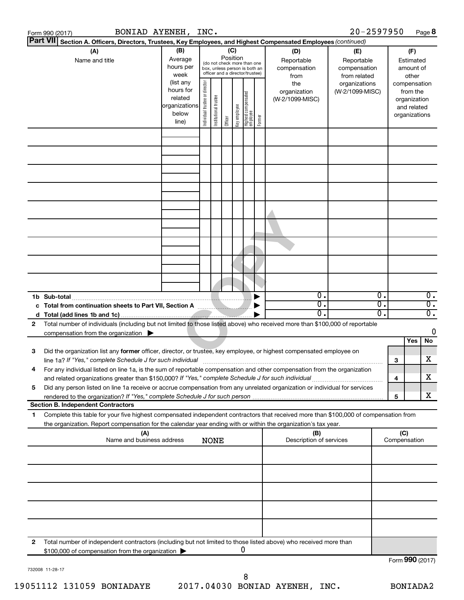|                 | BONIAD AYENEH, INC.<br>Form 990 (2017)                                                                                                                                                                                                                 |                                                                      |                                |                                                                                                 |                 |              |                                   |        |                                           | $20 - 2597950$                                    |          |     |                                                                          | Page 8                               |
|-----------------|--------------------------------------------------------------------------------------------------------------------------------------------------------------------------------------------------------------------------------------------------------|----------------------------------------------------------------------|--------------------------------|-------------------------------------------------------------------------------------------------|-----------------|--------------|-----------------------------------|--------|-------------------------------------------|---------------------------------------------------|----------|-----|--------------------------------------------------------------------------|--------------------------------------|
| <b>Part VII</b> | Section A. Officers, Directors, Trustees, Key Employees, and Highest Compensated Employees (continued)                                                                                                                                                 |                                                                      |                                |                                                                                                 |                 |              |                                   |        |                                           |                                                   |          |     |                                                                          |                                      |
|                 | (A)<br>Name and title                                                                                                                                                                                                                                  | (B)<br>Average<br>hours per<br>week                                  |                                | (do not check more than one<br>box, unless person is both an<br>officer and a director/trustee) | (C)<br>Position |              |                                   |        | (D)<br>Reportable<br>compensation<br>from | (E)<br>Reportable<br>compensation<br>from related |          |     | (F)<br>Estimated<br>amount of<br>other                                   |                                      |
|                 |                                                                                                                                                                                                                                                        | (list any<br>hours for<br>related<br>organizations<br>below<br>line) | Individual trustee or director | Institutional trustee                                                                           | Officer         | Key employee | Highest compensated<br>  employee | Former | the<br>organization<br>(W-2/1099-MISC)    | organizations<br>(W-2/1099-MISC)                  |          |     | compensation<br>from the<br>organization<br>and related<br>organizations |                                      |
|                 |                                                                                                                                                                                                                                                        |                                                                      |                                |                                                                                                 |                 |              |                                   |        |                                           |                                                   |          |     |                                                                          |                                      |
|                 |                                                                                                                                                                                                                                                        |                                                                      |                                |                                                                                                 |                 |              |                                   |        |                                           |                                                   |          |     |                                                                          |                                      |
|                 |                                                                                                                                                                                                                                                        |                                                                      |                                |                                                                                                 |                 |              |                                   |        |                                           |                                                   |          |     |                                                                          |                                      |
|                 |                                                                                                                                                                                                                                                        |                                                                      |                                |                                                                                                 |                 |              |                                   |        |                                           |                                                   |          |     |                                                                          |                                      |
|                 |                                                                                                                                                                                                                                                        |                                                                      |                                |                                                                                                 |                 |              |                                   |        |                                           |                                                   |          |     |                                                                          |                                      |
|                 |                                                                                                                                                                                                                                                        |                                                                      |                                |                                                                                                 |                 |              |                                   |        |                                           |                                                   |          |     |                                                                          |                                      |
|                 |                                                                                                                                                                                                                                                        |                                                                      |                                |                                                                                                 |                 |              |                                   |        |                                           |                                                   |          |     |                                                                          |                                      |
|                 | 1b Sub-total                                                                                                                                                                                                                                           |                                                                      |                                |                                                                                                 |                 |              |                                   |        | $\overline{0}$ .                          |                                                   | 0.       |     |                                                                          | $\overline{0}$ .                     |
|                 |                                                                                                                                                                                                                                                        |                                                                      |                                |                                                                                                 |                 |              |                                   |        | $\overline{0}$ .<br>$\overline{0}$ .      |                                                   | σ.<br>О. |     |                                                                          | $\overline{0}$ .<br>$\overline{0}$ . |
| 2               | Total number of individuals (including but not limited to those listed above) who received more than \$100,000 of reportable                                                                                                                           |                                                                      |                                |                                                                                                 |                 |              |                                   |        |                                           |                                                   |          |     |                                                                          |                                      |
|                 | compensation from the organization                                                                                                                                                                                                                     |                                                                      |                                |                                                                                                 |                 |              |                                   |        |                                           |                                                   |          |     |                                                                          | 0                                    |
| 3               | Did the organization list any former officer, director, or trustee, key employee, or highest compensated employee on                                                                                                                                   |                                                                      |                                |                                                                                                 |                 |              |                                   |        |                                           |                                                   |          |     | Yes                                                                      | No                                   |
|                 | line 1a? If "Yes," complete Schedule J for such individual manufactured content to the set of the set of the s                                                                                                                                         |                                                                      |                                |                                                                                                 |                 |              |                                   |        |                                           |                                                   |          | 3   |                                                                          | х                                    |
|                 | For any individual listed on line 1a, is the sum of reportable compensation and other compensation from the organization<br>and related organizations greater than \$150,000? If "Yes," complete Schedule J for such individual                        |                                                                      |                                |                                                                                                 |                 |              |                                   |        |                                           |                                                   |          | 4   |                                                                          | х                                    |
| 5               | Did any person listed on line 1a receive or accrue compensation from any unrelated organization or individual for services                                                                                                                             |                                                                      |                                |                                                                                                 |                 |              |                                   |        |                                           |                                                   |          | 5   |                                                                          | х                                    |
|                 | <b>Section B. Independent Contractors</b>                                                                                                                                                                                                              |                                                                      |                                |                                                                                                 |                 |              |                                   |        |                                           |                                                   |          |     |                                                                          |                                      |
| 1.              | Complete this table for your five highest compensated independent contractors that received more than \$100,000 of compensation from<br>the organization. Report compensation for the calendar year ending with or within the organization's tax year. |                                                                      |                                |                                                                                                 |                 |              |                                   |        |                                           |                                                   |          |     |                                                                          |                                      |
|                 | (A)<br>Name and business address                                                                                                                                                                                                                       |                                                                      |                                | <b>NONE</b>                                                                                     |                 |              |                                   |        | (B)<br>Description of services            |                                                   |          | (C) | Compensation                                                             |                                      |
|                 |                                                                                                                                                                                                                                                        |                                                                      |                                |                                                                                                 |                 |              |                                   |        |                                           |                                                   |          |     |                                                                          |                                      |
|                 |                                                                                                                                                                                                                                                        |                                                                      |                                |                                                                                                 |                 |              |                                   |        |                                           |                                                   |          |     |                                                                          |                                      |
|                 |                                                                                                                                                                                                                                                        |                                                                      |                                |                                                                                                 |                 |              |                                   |        |                                           |                                                   |          |     |                                                                          |                                      |
|                 |                                                                                                                                                                                                                                                        |                                                                      |                                |                                                                                                 |                 |              |                                   |        |                                           |                                                   |          |     |                                                                          |                                      |
| 2               | Total number of independent contractors (including but not limited to those listed above) who received more than<br>\$100,000 of compensation from the organization                                                                                    |                                                                      |                                |                                                                                                 |                 |              | 0                                 |        |                                           |                                                   |          |     |                                                                          |                                      |
|                 |                                                                                                                                                                                                                                                        |                                                                      |                                |                                                                                                 |                 |              |                                   |        |                                           |                                                   |          |     | Form 990 (2017)                                                          |                                      |

732008 11-28-17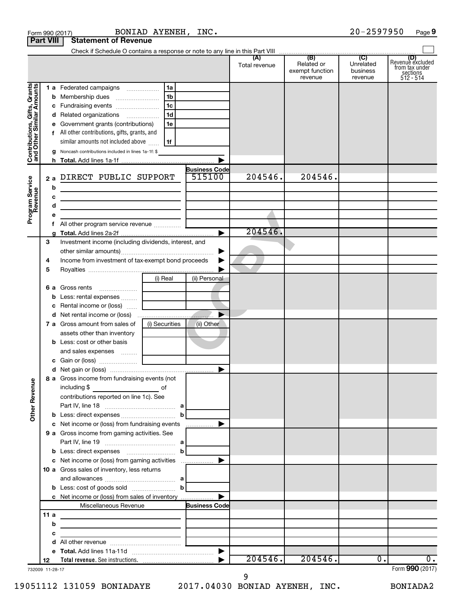|                                                           |        |   | Form 990 (2017)                                                                                       | BONIAD AYENEH, INC. |                      |                      |                                                 | $20 - 2597950$                          | Page 9                                                      |
|-----------------------------------------------------------|--------|---|-------------------------------------------------------------------------------------------------------|---------------------|----------------------|----------------------|-------------------------------------------------|-----------------------------------------|-------------------------------------------------------------|
| <b>Part VIII</b>                                          |        |   | <b>Statement of Revenue</b>                                                                           |                     |                      |                      |                                                 |                                         |                                                             |
|                                                           |        |   |                                                                                                       |                     |                      |                      |                                                 |                                         |                                                             |
|                                                           |        |   |                                                                                                       |                     |                      | (A)<br>Total revenue | (B)<br>Related or<br>exempt function<br>revenue | (C)<br>Unrelated<br>business<br>revenue | Revenue excluded<br>from tax under<br>sections<br>512 - 514 |
|                                                           |        |   | 1 a Federated campaigns                                                                               | 1a                  |                      |                      |                                                 |                                         |                                                             |
| Contributions, Gifts, Grants<br>and Other Similar Amounts |        |   |                                                                                                       | 1 <sub>b</sub>      |                      |                      |                                                 |                                         |                                                             |
|                                                           |        |   |                                                                                                       | 1c                  |                      |                      |                                                 |                                         |                                                             |
|                                                           |        |   | d Related organizations                                                                               | 1d                  |                      |                      |                                                 |                                         |                                                             |
|                                                           |        |   | e Government grants (contributions)                                                                   | 1e                  |                      |                      |                                                 |                                         |                                                             |
|                                                           |        |   | f All other contributions, gifts, grants, and                                                         |                     |                      |                      |                                                 |                                         |                                                             |
|                                                           |        |   | similar amounts not included above                                                                    | l 1f                |                      |                      |                                                 |                                         |                                                             |
|                                                           |        |   | g Noncash contributions included in lines 1a-1f: \$                                                   |                     |                      |                      |                                                 |                                         |                                                             |
|                                                           |        |   |                                                                                                       |                     |                      |                      |                                                 |                                         |                                                             |
|                                                           |        |   |                                                                                                       |                     | <b>Business Code</b> |                      |                                                 |                                         |                                                             |
|                                                           |        |   | 2 a DIRECT PUBLIC SUPPORT                                                                             |                     | 515100               | 204546.              | 204546.                                         |                                         |                                                             |
|                                                           |        | b | <u> 1989 - Andrea Andrew Maria (h. 1989).</u>                                                         |                     |                      |                      |                                                 |                                         |                                                             |
|                                                           |        | с |                                                                                                       |                     |                      |                      |                                                 |                                         |                                                             |
|                                                           |        | d | the control of the control of the control of the control of the control of                            |                     |                      |                      |                                                 |                                         |                                                             |
| Program Service<br>Revenue                                |        | е |                                                                                                       |                     |                      |                      |                                                 |                                         |                                                             |
|                                                           |        |   |                                                                                                       |                     |                      |                      |                                                 |                                         |                                                             |
|                                                           |        |   |                                                                                                       |                     |                      | 204546.              |                                                 |                                         |                                                             |
|                                                           | 3      |   | Investment income (including dividends, interest, and                                                 |                     |                      |                      |                                                 |                                         |                                                             |
|                                                           |        |   |                                                                                                       |                     | ▶                    |                      |                                                 |                                         |                                                             |
|                                                           | 4      |   | Income from investment of tax-exempt bond proceeds                                                    |                     | ▶                    |                      |                                                 |                                         |                                                             |
|                                                           | 5      |   |                                                                                                       |                     |                      |                      |                                                 |                                         |                                                             |
|                                                           |        |   |                                                                                                       | (i) Real            | (ii) Personal        |                      |                                                 |                                         |                                                             |
|                                                           |        |   | 6 a Gross rents                                                                                       |                     |                      |                      |                                                 |                                         |                                                             |
|                                                           |        |   | <b>b</b> Less: rental expenses                                                                        |                     |                      |                      |                                                 |                                         |                                                             |
|                                                           |        |   | <b>c</b> Rental income or (loss)                                                                      |                     |                      |                      |                                                 |                                         |                                                             |
|                                                           |        |   | d Net rental income or (loss)                                                                         |                     |                      |                      |                                                 |                                         |                                                             |
|                                                           |        |   | 7 a Gross amount from sales of                                                                        | (i) Securities      | (ii) Other           |                      |                                                 |                                         |                                                             |
|                                                           |        |   | assets other than inventory                                                                           |                     |                      |                      |                                                 |                                         |                                                             |
|                                                           |        |   | <b>b</b> Less: cost or other basis                                                                    |                     |                      |                      |                                                 |                                         |                                                             |
|                                                           |        |   | and sales expenses                                                                                    |                     |                      |                      |                                                 |                                         |                                                             |
|                                                           |        |   | c Gain or (loss)                                                                                      |                     |                      |                      |                                                 |                                         |                                                             |
|                                                           |        |   |                                                                                                       |                     |                      |                      |                                                 |                                         |                                                             |
|                                                           |        |   | 8 a Gross income from fundraising events (not                                                         |                     |                      |                      |                                                 |                                         |                                                             |
| <b>Other Revenue</b>                                      |        |   |                                                                                                       |                     |                      |                      |                                                 |                                         |                                                             |
|                                                           |        |   | contributions reported on line 1c). See                                                               |                     |                      |                      |                                                 |                                         |                                                             |
|                                                           |        |   |                                                                                                       |                     |                      |                      |                                                 |                                         |                                                             |
|                                                           |        |   |                                                                                                       | b                   |                      |                      |                                                 |                                         |                                                             |
|                                                           |        |   | c Net income or (loss) from fundraising events                                                        |                     | ▶                    |                      |                                                 |                                         |                                                             |
|                                                           |        |   | <b>9 a</b> Gross income from gaming activities. See                                                   |                     |                      |                      |                                                 |                                         |                                                             |
|                                                           |        |   |                                                                                                       |                     |                      |                      |                                                 |                                         |                                                             |
|                                                           |        |   | <b>b</b> Less: direct expenses <b>contained b</b>                                                     |                     |                      |                      |                                                 |                                         |                                                             |
|                                                           |        |   |                                                                                                       |                     |                      |                      |                                                 |                                         |                                                             |
|                                                           |        |   |                                                                                                       |                     |                      |                      |                                                 |                                         |                                                             |
|                                                           |        |   | <b>10 a</b> Gross sales of inventory, less returns                                                    |                     |                      |                      |                                                 |                                         |                                                             |
|                                                           |        |   |                                                                                                       |                     |                      |                      |                                                 |                                         |                                                             |
|                                                           |        |   | <b>b</b> Less: cost of goods sold $\ldots$ <b>b</b><br>c Net income or (loss) from sales of inventory |                     |                      |                      |                                                 |                                         |                                                             |
|                                                           |        |   |                                                                                                       |                     |                      |                      |                                                 |                                         |                                                             |
|                                                           | 11 $a$ |   | Miscellaneous Revenue                                                                                 |                     | <b>Business Code</b> |                      |                                                 |                                         |                                                             |
|                                                           |        | b |                                                                                                       |                     |                      |                      |                                                 |                                         |                                                             |
|                                                           |        |   |                                                                                                       |                     |                      |                      |                                                 |                                         |                                                             |
|                                                           |        | с |                                                                                                       |                     |                      |                      |                                                 |                                         |                                                             |
|                                                           |        |   |                                                                                                       |                     | ▶                    |                      |                                                 |                                         |                                                             |
|                                                           | 12     |   |                                                                                                       |                     |                      | 204546.              | 204546.                                         | 0.                                      | Ο.                                                          |
| 732009 11-28-17                                           |        |   |                                                                                                       |                     |                      |                      |                                                 |                                         | Form 990 (2017)                                             |

732009 11-28-17

19051112 131059 BONIADAYE 2017.04030 BONIAD AYENEH, INC. BONIADA2

 <sup>9</sup>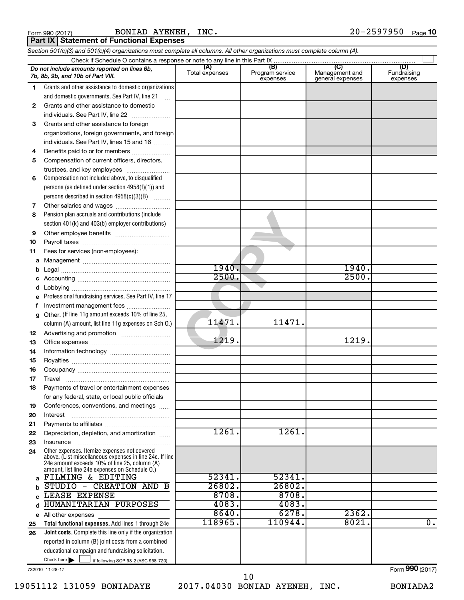Form 990 (2017) **BONIAD** AYENEH,【NC . 2 0-2 5 9 7 9 5 0 <sub>Page</sub> **10** BONIAD AYENEH, INC.

**Part IX Statement of Functional Expenses** 

*Section 501(c)(3) and 501(c)(4) organizations must complete all columns. All other organizations must complete column (A).*

|              | Do not include amounts reported on lines 6b,<br>7b, 8b, 9b, and 10b of Part VIII.                              | (A)<br>Total expenses | (B)<br>Program service<br>expenses | $\overline{\text{C}}$<br>Management and<br>general expenses | (D)<br>Fundraising<br>expenses |
|--------------|----------------------------------------------------------------------------------------------------------------|-----------------------|------------------------------------|-------------------------------------------------------------|--------------------------------|
| 1.           | Grants and other assistance to domestic organizations                                                          |                       |                                    |                                                             |                                |
|              | and domestic governments. See Part IV, line 21                                                                 |                       |                                    |                                                             |                                |
| $\mathbf{2}$ | Grants and other assistance to domestic                                                                        |                       |                                    |                                                             |                                |
|              | individuals. See Part IV, line 22                                                                              |                       |                                    |                                                             |                                |
| 3            | Grants and other assistance to foreign                                                                         |                       |                                    |                                                             |                                |
|              | organizations, foreign governments, and foreign                                                                |                       |                                    |                                                             |                                |
|              | individuals. See Part IV, lines 15 and 16                                                                      |                       |                                    |                                                             |                                |
| 4            | Benefits paid to or for members                                                                                |                       |                                    |                                                             |                                |
| 5            | Compensation of current officers, directors,                                                                   |                       |                                    |                                                             |                                |
|              | trustees, and key employees                                                                                    |                       |                                    |                                                             |                                |
| 6            | Compensation not included above, to disqualified                                                               |                       |                                    |                                                             |                                |
|              | persons (as defined under section 4958(f)(1)) and                                                              |                       |                                    |                                                             |                                |
|              | persons described in section 4958(c)(3)(B)                                                                     |                       |                                    |                                                             |                                |
| 7            |                                                                                                                |                       |                                    |                                                             |                                |
| 8            | Pension plan accruals and contributions (include                                                               |                       |                                    |                                                             |                                |
|              | section 401(k) and 403(b) employer contributions)                                                              |                       |                                    |                                                             |                                |
| 9            |                                                                                                                |                       |                                    |                                                             |                                |
| 10           |                                                                                                                |                       |                                    |                                                             |                                |
| 11           | Fees for services (non-employees):                                                                             |                       |                                    |                                                             |                                |
| a            |                                                                                                                |                       |                                    |                                                             |                                |
| b            |                                                                                                                | 1940.                 |                                    | 1940.                                                       |                                |
| c            |                                                                                                                | 2500.                 |                                    | 2500.                                                       |                                |
| d            |                                                                                                                |                       |                                    |                                                             |                                |
| e            | Professional fundraising services. See Part IV, line 17                                                        |                       |                                    |                                                             |                                |
| f            | Investment management fees                                                                                     |                       |                                    |                                                             |                                |
| g            | Other. (If line 11g amount exceeds 10% of line 25,                                                             |                       |                                    |                                                             |                                |
|              | column (A) amount, list line 11g expenses on Sch 0.)                                                           | 11471.                | 11471.                             |                                                             |                                |
| 12           |                                                                                                                |                       |                                    |                                                             |                                |
| 13           |                                                                                                                | 1219.                 |                                    | 1219.                                                       |                                |
| 14           |                                                                                                                |                       |                                    |                                                             |                                |
| 15           |                                                                                                                |                       |                                    |                                                             |                                |
| 16           |                                                                                                                |                       |                                    |                                                             |                                |
| 17           | Travel                                                                                                         |                       |                                    |                                                             |                                |
| 18           | Payments of travel or entertainment expenses                                                                   |                       |                                    |                                                             |                                |
|              | for any federal, state, or local public officials                                                              |                       |                                    |                                                             |                                |
| 19           | Conferences, conventions, and meetings                                                                         |                       |                                    |                                                             |                                |
| 20           | Interest                                                                                                       |                       |                                    |                                                             |                                |
| 21           |                                                                                                                |                       |                                    |                                                             |                                |
| 22           | Depreciation, depletion, and amortization                                                                      | 1261.                 | 1261.                              |                                                             |                                |
| 23           | Insurance                                                                                                      |                       |                                    |                                                             |                                |
| 24           | Other expenses. Itemize expenses not covered<br>above. (List miscellaneous expenses in line 24e. If line       |                       |                                    |                                                             |                                |
|              | 24e amount exceeds 10% of line 25, column (A)                                                                  |                       |                                    |                                                             |                                |
|              | amount, list line 24e expenses on Schedule O.)<br>FILMING & EDITING                                            | 52341.                | 52341.                             |                                                             |                                |
| a            | STUDIO - CREATION AND B                                                                                        | 26802.                | 26802.                             |                                                             |                                |
| b            | LEASE EXPENSE                                                                                                  | 8708.                 | 8708.                              |                                                             |                                |
| C            | <b>HUMANITARIAN PURPOSES</b>                                                                                   | 4083.                 | 4083.                              |                                                             |                                |
| d            |                                                                                                                | 8640.                 | 6278.                              | 2362.                                                       |                                |
|              | e All other expenses                                                                                           | 118965.               | 110944.                            | 8021.                                                       | $\overline{0}$ .               |
| 25           | Total functional expenses. Add lines 1 through 24e<br>Joint costs. Complete this line only if the organization |                       |                                    |                                                             |                                |
| 26           | reported in column (B) joint costs from a combined                                                             |                       |                                    |                                                             |                                |
|              | educational campaign and fundraising solicitation.                                                             |                       |                                    |                                                             |                                |
|              | Check here $\blacktriangleright$<br>if following SOP 98-2 (ASC 958-720)                                        |                       |                                    |                                                             |                                |
|              |                                                                                                                |                       |                                    |                                                             |                                |

732010 11-28-17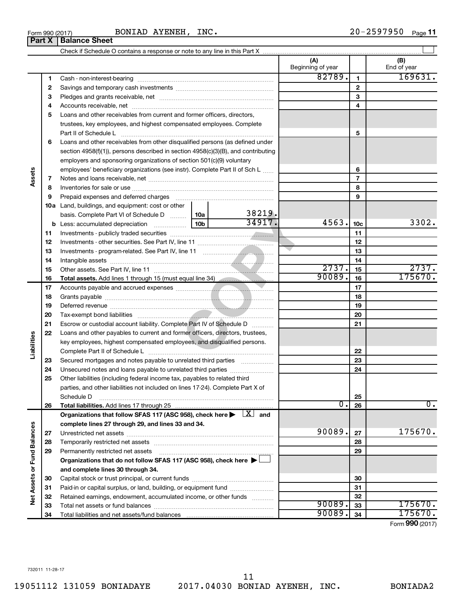**Part X Balance Sheet**

| Form 990 (2017) | <b>BONIAD</b><br><b>AYENEH</b> | INC. | $0.70E$<br>ח ר<br>า⊾<br>ч<br>D U<br>2 U | Page |
|-----------------|--------------------------------|------|-----------------------------------------|------|
|                 |                                |      |                                         |      |

|                             |    |                                                                                                                                                                                                                                |                  |                 | (A)<br>Beginning of year |                          | (B)<br>End of year |
|-----------------------------|----|--------------------------------------------------------------------------------------------------------------------------------------------------------------------------------------------------------------------------------|------------------|-----------------|--------------------------|--------------------------|--------------------|
|                             | 1  |                                                                                                                                                                                                                                |                  |                 | 82789.                   | $\mathbf{1}$             | 169631.            |
|                             | 2  |                                                                                                                                                                                                                                |                  |                 |                          | $\mathbf{2}$             |                    |
|                             | З  |                                                                                                                                                                                                                                |                  |                 |                          | 3                        |                    |
|                             | 4  |                                                                                                                                                                                                                                |                  |                 |                          | 4                        |                    |
|                             | 5  | Loans and other receivables from current and former officers, directors,                                                                                                                                                       |                  |                 |                          |                          |                    |
|                             |    | trustees, key employees, and highest compensated employees. Complete                                                                                                                                                           |                  |                 |                          |                          |                    |
|                             |    | Part II of Schedule Latin and Communication of Schedule Latin and Communication of Schedule Latin and Schedule                                                                                                                 |                  |                 |                          | 5                        |                    |
|                             | 6  | Loans and other receivables from other disqualified persons (as defined under                                                                                                                                                  |                  |                 |                          |                          |                    |
|                             |    | section 4958(f)(1)), persons described in section 4958(c)(3)(B), and contributing                                                                                                                                              |                  |                 |                          |                          |                    |
|                             |    | employers and sponsoring organizations of section 501(c)(9) voluntary                                                                                                                                                          |                  |                 |                          |                          |                    |
|                             |    | employees' beneficiary organizations (see instr). Complete Part II of Sch L                                                                                                                                                    |                  |                 |                          | 6                        |                    |
| Assets                      | 7  |                                                                                                                                                                                                                                |                  |                 |                          | $\overline{\phantom{a}}$ |                    |
|                             | 8  |                                                                                                                                                                                                                                |                  |                 |                          | 8                        |                    |
|                             | 9  | Prepaid expenses and deferred charges [11] matter continuum matter and referred charges [11] matter continuum matter continuum matter and continuum matter continuum matter and continuum matter continuum matter continuum ma |                  |                 |                          | 9                        |                    |
|                             |    | 10a Land, buildings, and equipment: cost or other                                                                                                                                                                              |                  |                 |                          |                          |                    |
|                             |    | basis. Complete Part VI of Schedule D  10a                                                                                                                                                                                     | 38219.<br>34917. |                 |                          |                          |                    |
|                             |    |                                                                                                                                                                                                                                | 4563.            | 10 <sub>c</sub> | 3302.                    |                          |                    |
|                             | 11 |                                                                                                                                                                                                                                |                  | 11              |                          |                          |                    |
|                             | 12 |                                                                                                                                                                                                                                |                  | 12              |                          |                          |                    |
| Liabilities                 | 13 |                                                                                                                                                                                                                                |                  | 13              |                          |                          |                    |
|                             | 14 |                                                                                                                                                                                                                                |                  |                 |                          | 14                       |                    |
|                             | 15 |                                                                                                                                                                                                                                |                  |                 | 2737.                    | 15                       | 2737.              |
|                             | 16 | Total assets. Add lines 1 through 15 (must equal line 34)                                                                                                                                                                      |                  |                 | 90089.                   | 16                       | 175670.            |
|                             | 17 |                                                                                                                                                                                                                                |                  |                 |                          | 17                       |                    |
|                             | 18 |                                                                                                                                                                                                                                |                  |                 |                          | 18                       |                    |
|                             | 19 |                                                                                                                                                                                                                                |                  | 19              |                          |                          |                    |
|                             | 20 |                                                                                                                                                                                                                                |                  | 20              |                          |                          |                    |
|                             | 21 | Escrow or custodial account liability. Complete Part IV of Schedule D                                                                                                                                                          |                  | 21              |                          |                          |                    |
|                             | 22 | Loans and other payables to current and former officers, directors, trustees,                                                                                                                                                  |                  |                 |                          |                          |                    |
|                             |    | key employees, highest compensated employees, and disqualified persons.                                                                                                                                                        |                  |                 |                          |                          |                    |
|                             |    |                                                                                                                                                                                                                                |                  |                 |                          | 22                       |                    |
|                             | 23 | Secured mortgages and notes payable to unrelated third parties                                                                                                                                                                 |                  |                 |                          | 23                       |                    |
|                             | 24 |                                                                                                                                                                                                                                |                  |                 |                          | 24                       |                    |
|                             | 25 | Other liabilities (including federal income tax, payables to related third                                                                                                                                                     |                  |                 |                          |                          |                    |
|                             |    | parties, and other liabilities not included on lines 17-24). Complete Part X of                                                                                                                                                |                  |                 |                          |                          |                    |
|                             |    | Schedule D                                                                                                                                                                                                                     |                  |                 | о.                       | 25                       | 0.                 |
|                             | 26 |                                                                                                                                                                                                                                |                  |                 |                          | 26                       |                    |
|                             |    | Organizations that follow SFAS 117 (ASC 958), check here $\blacktriangleright \begin{array}{c} \perp X \end{array}$ and                                                                                                        |                  |                 |                          |                          |                    |
|                             |    | complete lines 27 through 29, and lines 33 and 34.                                                                                                                                                                             |                  |                 | 90089.                   | 27                       | 175670.            |
|                             | 27 |                                                                                                                                                                                                                                |                  |                 |                          |                          |                    |
|                             | 28 |                                                                                                                                                                                                                                |                  |                 |                          | 28<br>29                 |                    |
|                             | 29 | Permanently restricted net assets<br>Organizations that do not follow SFAS 117 (ASC 958), check here ▶                                                                                                                         |                  |                 |                          |                          |                    |
|                             |    |                                                                                                                                                                                                                                |                  |                 |                          |                          |                    |
| Net Assets or Fund Balances | 30 | and complete lines 30 through 34.                                                                                                                                                                                              |                  |                 |                          | 30                       |                    |
|                             | 31 | Paid-in or capital surplus, or land, building, or equipment fund                                                                                                                                                               |                  |                 |                          | 31                       |                    |
|                             | 32 | Retained earnings, endowment, accumulated income, or other funds                                                                                                                                                               |                  |                 |                          | 32                       |                    |
|                             | 33 |                                                                                                                                                                                                                                |                  |                 | 90089.                   | 33                       | 175670.            |
|                             | 34 |                                                                                                                                                                                                                                |                  |                 | 90089.                   | 34                       | 175670.            |
|                             |    |                                                                                                                                                                                                                                |                  |                 |                          |                          |                    |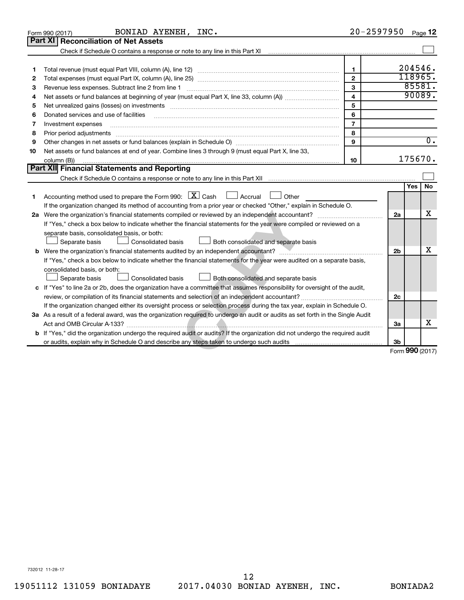|    | BONIAD AYENEH, INC.<br>Form 990 (2017)                                                                                                                                                                                         | $20 - 2597950$ |                 |         | Page 12          |
|----|--------------------------------------------------------------------------------------------------------------------------------------------------------------------------------------------------------------------------------|----------------|-----------------|---------|------------------|
|    | Part XI<br><b>Reconciliation of Net Assets</b>                                                                                                                                                                                 |                |                 |         |                  |
|    |                                                                                                                                                                                                                                |                |                 |         |                  |
|    |                                                                                                                                                                                                                                |                |                 |         |                  |
| 1  |                                                                                                                                                                                                                                | $\mathbf 1$    |                 | 204546. |                  |
| 2  |                                                                                                                                                                                                                                | $\mathbf{2}$   |                 | 118965. |                  |
| З  | Revenue less expenses. Subtract line 2 from line 1                                                                                                                                                                             | $\overline{3}$ |                 | 85581.  |                  |
| 4  |                                                                                                                                                                                                                                | $\overline{4}$ |                 | 90089.  |                  |
| 5  | Net unrealized gains (losses) on investments [11] matter contracts and the state of the state of the state of the state of the state of the state of the state of the state of the state of the state of the state of the stat | 5              |                 |         |                  |
| 6  | Donated services and use of facilities                                                                                                                                                                                         | 6              |                 |         |                  |
| 7  | Investment expenses                                                                                                                                                                                                            | $\overline{7}$ |                 |         |                  |
| 8  | Prior period adjustments material contents and content and content and content and content and content and content and content and content and content and content and content and content and content and content and content | 8              |                 |         |                  |
| 9  | Other changes in net assets or fund balances (explain in Schedule O) manufactured controller than general controller                                                                                                           | 9              |                 |         | $\overline{0}$ . |
| 10 | Net assets or fund balances at end of year. Combine lines 3 through 9 (must equal Part X, line 33,                                                                                                                             |                |                 |         |                  |
|    | column (B))                                                                                                                                                                                                                    | 10             |                 | 175670. |                  |
|    | Part XII Financial Statements and Reporting                                                                                                                                                                                    |                |                 |         |                  |
|    |                                                                                                                                                                                                                                |                |                 |         |                  |
|    |                                                                                                                                                                                                                                |                |                 | Yes     | No               |
| 1  | Accounting method used to prepare the Form 990: $X \subset X$ Cash<br>$\Box$ Accrual<br>Other                                                                                                                                  |                |                 |         |                  |
|    | If the organization changed its method of accounting from a prior year or checked "Other," explain in Schedule O.                                                                                                              |                |                 |         |                  |
|    |                                                                                                                                                                                                                                |                | 2a              |         | х                |
|    | If "Yes," check a box below to indicate whether the financial statements for the year were compiled or reviewed on a                                                                                                           |                |                 |         |                  |
|    | separate basis, consolidated basis, or both:                                                                                                                                                                                   |                |                 |         |                  |
|    | Separate basis<br><b>Consolidated basis</b><br>Both consolidated and separate basis                                                                                                                                            |                |                 |         |                  |
|    |                                                                                                                                                                                                                                |                | 2 <sub>b</sub>  |         | x                |
|    | If "Yes," check a box below to indicate whether the financial statements for the year were audited on a separate basis,                                                                                                        |                |                 |         |                  |
|    | consolidated basis, or both:                                                                                                                                                                                                   |                |                 |         |                  |
|    | Separate basis<br><b>Consolidated basis</b><br>Both consolidated and separate basis                                                                                                                                            |                |                 |         |                  |
|    | c If "Yes" to line 2a or 2b, does the organization have a committee that assumes responsibility for oversight of the audit,                                                                                                    |                |                 |         |                  |
|    |                                                                                                                                                                                                                                |                | 2c              |         |                  |
|    | If the organization changed either its oversight process or selection process during the tax year, explain in Schedule O.                                                                                                      |                |                 |         |                  |
|    | 3a As a result of a federal award, was the organization required to undergo an audit or audits as set forth in the Single Audit                                                                                                |                |                 |         |                  |
|    |                                                                                                                                                                                                                                |                | За              |         | x                |
|    | b If "Yes," did the organization undergo the required audit or audits? If the organization did not undergo the required audit                                                                                                  |                |                 |         |                  |
|    |                                                                                                                                                                                                                                |                | 3 <sub>b</sub>  |         |                  |
|    |                                                                                                                                                                                                                                |                | Form 990 (2017) |         |                  |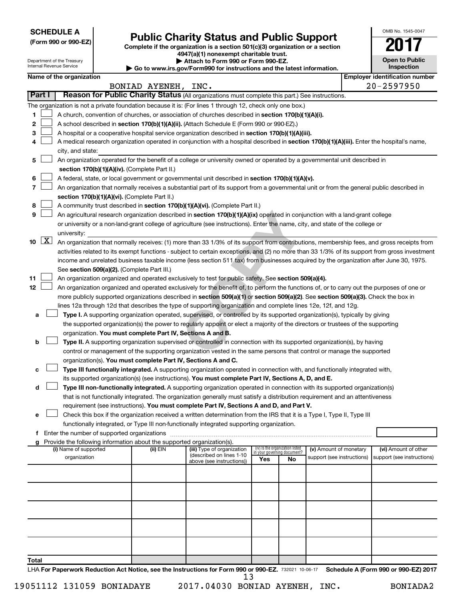**SCHEDULE A**

# **Public Charity Status and Public Support**

**(Form 990 or 990-EZ) Complete if the organization is a section 501(c)(3) organization or a section**

**4947(a)(1) nonexempt charitable trust.**

| <b>Open to Public</b><br>Inspection |
|-------------------------------------|
| r identification numbe              |

OMB No. 1545-0047

|       |                                                                                                                                                                                               | Department of the Treasury<br>Internal Revenue Service |  |                                                                                    | Attach to Form 990 or Form 990-EZ.<br>Go to www.irs.gov/Form990 for instructions and the latest information.                                                                                                  |     |                                   |                            |  | <b>Open to Public</b><br>Inspection   |
|-------|-----------------------------------------------------------------------------------------------------------------------------------------------------------------------------------------------|--------------------------------------------------------|--|------------------------------------------------------------------------------------|---------------------------------------------------------------------------------------------------------------------------------------------------------------------------------------------------------------|-----|-----------------------------------|----------------------------|--|---------------------------------------|
|       |                                                                                                                                                                                               | Name of the organization                               |  |                                                                                    |                                                                                                                                                                                                               |     |                                   |                            |  | <b>Employer identification number</b> |
|       |                                                                                                                                                                                               |                                                        |  | BONIAD AYENEH, INC.                                                                |                                                                                                                                                                                                               |     |                                   |                            |  | $20 - 2597950$                        |
|       | Part I                                                                                                                                                                                        |                                                        |  |                                                                                    | Reason for Public Charity Status (All organizations must complete this part.) See instructions.                                                                                                               |     |                                   |                            |  |                                       |
|       |                                                                                                                                                                                               |                                                        |  |                                                                                    | The organization is not a private foundation because it is: (For lines 1 through 12, check only one box.)                                                                                                     |     |                                   |                            |  |                                       |
| 1     |                                                                                                                                                                                               |                                                        |  |                                                                                    | A church, convention of churches, or association of churches described in section 170(b)(1)(A)(i).                                                                                                            |     |                                   |                            |  |                                       |
| 2     |                                                                                                                                                                                               |                                                        |  |                                                                                    | A school described in section 170(b)(1)(A)(ii). (Attach Schedule E (Form 990 or 990-EZ).)                                                                                                                     |     |                                   |                            |  |                                       |
| З     |                                                                                                                                                                                               |                                                        |  |                                                                                    | A hospital or a cooperative hospital service organization described in section 170(b)(1)(A)(iii).                                                                                                             |     |                                   |                            |  |                                       |
| 4     |                                                                                                                                                                                               |                                                        |  |                                                                                    | A medical research organization operated in conjunction with a hospital described in section 170(b)(1)(A)(iii). Enter the hospital's name,                                                                    |     |                                   |                            |  |                                       |
|       |                                                                                                                                                                                               | city, and state:                                       |  |                                                                                    |                                                                                                                                                                                                               |     |                                   |                            |  |                                       |
| 5     |                                                                                                                                                                                               |                                                        |  |                                                                                    | An organization operated for the benefit of a college or university owned or operated by a governmental unit described in                                                                                     |     |                                   |                            |  |                                       |
|       |                                                                                                                                                                                               |                                                        |  | section 170(b)(1)(A)(iv). (Complete Part II.)                                      |                                                                                                                                                                                                               |     |                                   |                            |  |                                       |
| 6     |                                                                                                                                                                                               |                                                        |  |                                                                                    | A federal, state, or local government or governmental unit described in section 170(b)(1)(A)(v).                                                                                                              |     |                                   |                            |  |                                       |
| 7     |                                                                                                                                                                                               |                                                        |  |                                                                                    | An organization that normally receives a substantial part of its support from a governmental unit or from the general public described in                                                                     |     |                                   |                            |  |                                       |
| 8     |                                                                                                                                                                                               |                                                        |  | section 170(b)(1)(A)(vi). (Complete Part II.)                                      |                                                                                                                                                                                                               |     |                                   |                            |  |                                       |
| 9     |                                                                                                                                                                                               |                                                        |  |                                                                                    | A community trust described in section 170(b)(1)(A)(vi). (Complete Part II.)<br>An agricultural research organization described in section 170(b)(1)(A)(ix) operated in conjunction with a land-grant college |     |                                   |                            |  |                                       |
|       |                                                                                                                                                                                               |                                                        |  |                                                                                    | or university or a non-land-grant college of agriculture (see instructions). Enter the name, city, and state of the college or                                                                                |     |                                   |                            |  |                                       |
|       |                                                                                                                                                                                               | university:                                            |  |                                                                                    |                                                                                                                                                                                                               |     |                                   |                            |  |                                       |
|       | 10 $\boxed{\text{X}}$                                                                                                                                                                         |                                                        |  |                                                                                    | An organization that normally receives: (1) more than 33 1/3% of its support from contributions, membership fees, and gross receipts from                                                                     |     |                                   |                            |  |                                       |
|       |                                                                                                                                                                                               |                                                        |  |                                                                                    | activities related to its exempt functions - subject to certain exceptions, and (2) no more than 33 1/3% of its support from gross investment                                                                 |     |                                   |                            |  |                                       |
|       |                                                                                                                                                                                               |                                                        |  |                                                                                    | income and unrelated business taxable income (less section 511 tax) from businesses acquired by the organization after June 30, 1975.                                                                         |     |                                   |                            |  |                                       |
|       |                                                                                                                                                                                               |                                                        |  | See section 509(a)(2). (Complete Part III.)                                        |                                                                                                                                                                                                               |     |                                   |                            |  |                                       |
| 11    |                                                                                                                                                                                               |                                                        |  |                                                                                    | An organization organized and operated exclusively to test for public safety. See section 509(a)(4).                                                                                                          |     |                                   |                            |  |                                       |
| 12    |                                                                                                                                                                                               |                                                        |  |                                                                                    | An organization organized and operated exclusively for the benefit of, to perform the functions of, or to carry out the purposes of one or                                                                    |     |                                   |                            |  |                                       |
|       |                                                                                                                                                                                               |                                                        |  |                                                                                    | more publicly supported organizations described in section 509(a)(1) or section 509(a)(2). See section 509(a)(3). Check the box in                                                                            |     |                                   |                            |  |                                       |
|       |                                                                                                                                                                                               |                                                        |  |                                                                                    | lines 12a through 12d that describes the type of supporting organization and complete lines 12e, 12f, and 12g.                                                                                                |     |                                   |                            |  |                                       |
| а     |                                                                                                                                                                                               |                                                        |  |                                                                                    | Type I. A supporting organization operated, supervised, or controlled by its supported organization(s), typically by giving                                                                                   |     |                                   |                            |  |                                       |
|       | the supported organization(s) the power to regularly appoint or elect a majority of the directors or trustees of the supporting<br>organization. You must complete Part IV, Sections A and B. |                                                        |  |                                                                                    |                                                                                                                                                                                                               |     |                                   |                            |  |                                       |
| b     |                                                                                                                                                                                               |                                                        |  |                                                                                    | Type II. A supporting organization supervised or controlled in connection with its supported organization(s), by having                                                                                       |     |                                   |                            |  |                                       |
|       |                                                                                                                                                                                               |                                                        |  |                                                                                    | control or management of the supporting organization vested in the same persons that control or manage the supported                                                                                          |     |                                   |                            |  |                                       |
|       |                                                                                                                                                                                               |                                                        |  | organization(s). You must complete Part IV, Sections A and C.                      |                                                                                                                                                                                                               |     |                                   |                            |  |                                       |
| с     |                                                                                                                                                                                               |                                                        |  |                                                                                    | Type III functionally integrated. A supporting organization operated in connection with, and functionally integrated with,                                                                                    |     |                                   |                            |  |                                       |
|       |                                                                                                                                                                                               |                                                        |  |                                                                                    | its supported organization(s) (see instructions). You must complete Part IV, Sections A, D, and E.                                                                                                            |     |                                   |                            |  |                                       |
| d     |                                                                                                                                                                                               |                                                        |  |                                                                                    | Type III non-functionally integrated. A supporting organization operated in connection with its supported organization(s)                                                                                     |     |                                   |                            |  |                                       |
|       |                                                                                                                                                                                               |                                                        |  |                                                                                    | that is not functionally integrated. The organization generally must satisfy a distribution requirement and an attentiveness                                                                                  |     |                                   |                            |  |                                       |
|       |                                                                                                                                                                                               |                                                        |  |                                                                                    | requirement (see instructions). You must complete Part IV, Sections A and D, and Part V.                                                                                                                      |     |                                   |                            |  |                                       |
| е     |                                                                                                                                                                                               |                                                        |  |                                                                                    | Check this box if the organization received a written determination from the IRS that it is a Type I, Type II, Type III                                                                                       |     |                                   |                            |  |                                       |
|       |                                                                                                                                                                                               |                                                        |  |                                                                                    | functionally integrated, or Type III non-functionally integrated supporting organization.                                                                                                                     |     |                                   |                            |  |                                       |
|       |                                                                                                                                                                                               |                                                        |  |                                                                                    |                                                                                                                                                                                                               |     |                                   |                            |  |                                       |
|       |                                                                                                                                                                                               | (i) Name of supported                                  |  | Provide the following information about the supported organization(s).<br>(ii) EIN | (iii) Type of organization                                                                                                                                                                                    |     | (iv) Is the organization listed   | (v) Amount of monetary     |  | (vi) Amount of other                  |
|       |                                                                                                                                                                                               | organization                                           |  |                                                                                    | (described on lines 1-10                                                                                                                                                                                      | Yes | in your governing document?<br>No | support (see instructions) |  | support (see instructions)            |
|       |                                                                                                                                                                                               |                                                        |  |                                                                                    | above (see instructions))                                                                                                                                                                                     |     |                                   |                            |  |                                       |
|       |                                                                                                                                                                                               |                                                        |  |                                                                                    |                                                                                                                                                                                                               |     |                                   |                            |  |                                       |
|       |                                                                                                                                                                                               |                                                        |  |                                                                                    |                                                                                                                                                                                                               |     |                                   |                            |  |                                       |
|       |                                                                                                                                                                                               |                                                        |  |                                                                                    |                                                                                                                                                                                                               |     |                                   |                            |  |                                       |
|       |                                                                                                                                                                                               |                                                        |  |                                                                                    |                                                                                                                                                                                                               |     |                                   |                            |  |                                       |
|       |                                                                                                                                                                                               |                                                        |  |                                                                                    |                                                                                                                                                                                                               |     |                                   |                            |  |                                       |
|       |                                                                                                                                                                                               |                                                        |  |                                                                                    |                                                                                                                                                                                                               |     |                                   |                            |  |                                       |
|       |                                                                                                                                                                                               |                                                        |  |                                                                                    |                                                                                                                                                                                                               |     |                                   |                            |  |                                       |
|       |                                                                                                                                                                                               |                                                        |  |                                                                                    |                                                                                                                                                                                                               |     |                                   |                            |  |                                       |
|       |                                                                                                                                                                                               |                                                        |  |                                                                                    |                                                                                                                                                                                                               |     |                                   |                            |  |                                       |
| Total |                                                                                                                                                                                               |                                                        |  |                                                                                    |                                                                                                                                                                                                               |     |                                   |                            |  |                                       |

LHA For Paperwork Reduction Act Notice, see the Instructions for Form 990 or 990-EZ. 732021 10-06-17 Schedule A (Form 990 or 990-EZ) 2017 13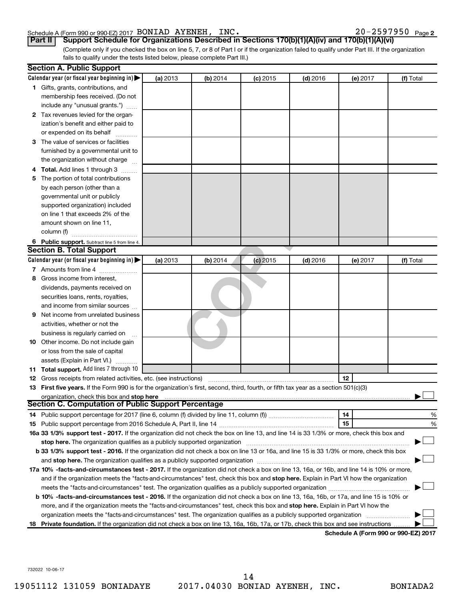#### Schedule A (Form 990 or 990-EZ) 2017 Page BONIAD AYENEH, INC. 20-2597950

20-2597950 Page 2

**Part II Support Schedule for Organizations Described in Sections 170(b)(1)(A)(iv) and 170(b)(1)(A)(vi)**

(Complete only if you checked the box on line 5, 7, or 8 of Part I or if the organization failed to qualify under Part III. If the organization fails to qualify under the tests listed below, please complete Part III.)

| Calendar year (or fiscal year beginning in)<br>(a) 2013<br>(b) 2014<br>$(c)$ 2015<br>$(d)$ 2016<br>(f) Total<br>(e) 2017<br>1 Gifts, grants, contributions, and<br>membership fees received. (Do not<br>include any "unusual grants.")<br>2 Tax revenues levied for the organ-<br>ization's benefit and either paid to<br>or expended on its behalf<br>3 The value of services or facilities<br>furnished by a governmental unit to<br>the organization without charge<br>4 Total. Add lines 1 through 3<br>The portion of total contributions<br>5.<br>by each person (other than a<br>governmental unit or publicly<br>supported organization) included<br>on line 1 that exceeds 2% of the<br>amount shown on line 11,<br>column (f)<br>6 Public support. Subtract line 5 from line 4.<br><b>Section B. Total Support</b><br>Calendar year (or fiscal year beginning in)<br>(a) 2013<br>(b) 2014<br>$(c)$ 2015<br>$(d)$ 2016<br>(f) Total<br>(e) 2017<br>7 Amounts from line 4<br>Gross income from interest,<br>8<br>dividends, payments received on<br>securities loans, rents, royalties,<br>and income from similar sources<br>Net income from unrelated business<br>9<br>activities, whether or not the |   |
|-----------------------------------------------------------------------------------------------------------------------------------------------------------------------------------------------------------------------------------------------------------------------------------------------------------------------------------------------------------------------------------------------------------------------------------------------------------------------------------------------------------------------------------------------------------------------------------------------------------------------------------------------------------------------------------------------------------------------------------------------------------------------------------------------------------------------------------------------------------------------------------------------------------------------------------------------------------------------------------------------------------------------------------------------------------------------------------------------------------------------------------------------------------------------------------------------------------------|---|
|                                                                                                                                                                                                                                                                                                                                                                                                                                                                                                                                                                                                                                                                                                                                                                                                                                                                                                                                                                                                                                                                                                                                                                                                                 |   |
|                                                                                                                                                                                                                                                                                                                                                                                                                                                                                                                                                                                                                                                                                                                                                                                                                                                                                                                                                                                                                                                                                                                                                                                                                 |   |
|                                                                                                                                                                                                                                                                                                                                                                                                                                                                                                                                                                                                                                                                                                                                                                                                                                                                                                                                                                                                                                                                                                                                                                                                                 |   |
|                                                                                                                                                                                                                                                                                                                                                                                                                                                                                                                                                                                                                                                                                                                                                                                                                                                                                                                                                                                                                                                                                                                                                                                                                 |   |
|                                                                                                                                                                                                                                                                                                                                                                                                                                                                                                                                                                                                                                                                                                                                                                                                                                                                                                                                                                                                                                                                                                                                                                                                                 |   |
|                                                                                                                                                                                                                                                                                                                                                                                                                                                                                                                                                                                                                                                                                                                                                                                                                                                                                                                                                                                                                                                                                                                                                                                                                 |   |
|                                                                                                                                                                                                                                                                                                                                                                                                                                                                                                                                                                                                                                                                                                                                                                                                                                                                                                                                                                                                                                                                                                                                                                                                                 |   |
|                                                                                                                                                                                                                                                                                                                                                                                                                                                                                                                                                                                                                                                                                                                                                                                                                                                                                                                                                                                                                                                                                                                                                                                                                 |   |
|                                                                                                                                                                                                                                                                                                                                                                                                                                                                                                                                                                                                                                                                                                                                                                                                                                                                                                                                                                                                                                                                                                                                                                                                                 |   |
|                                                                                                                                                                                                                                                                                                                                                                                                                                                                                                                                                                                                                                                                                                                                                                                                                                                                                                                                                                                                                                                                                                                                                                                                                 |   |
|                                                                                                                                                                                                                                                                                                                                                                                                                                                                                                                                                                                                                                                                                                                                                                                                                                                                                                                                                                                                                                                                                                                                                                                                                 |   |
|                                                                                                                                                                                                                                                                                                                                                                                                                                                                                                                                                                                                                                                                                                                                                                                                                                                                                                                                                                                                                                                                                                                                                                                                                 |   |
|                                                                                                                                                                                                                                                                                                                                                                                                                                                                                                                                                                                                                                                                                                                                                                                                                                                                                                                                                                                                                                                                                                                                                                                                                 |   |
|                                                                                                                                                                                                                                                                                                                                                                                                                                                                                                                                                                                                                                                                                                                                                                                                                                                                                                                                                                                                                                                                                                                                                                                                                 |   |
|                                                                                                                                                                                                                                                                                                                                                                                                                                                                                                                                                                                                                                                                                                                                                                                                                                                                                                                                                                                                                                                                                                                                                                                                                 |   |
|                                                                                                                                                                                                                                                                                                                                                                                                                                                                                                                                                                                                                                                                                                                                                                                                                                                                                                                                                                                                                                                                                                                                                                                                                 |   |
|                                                                                                                                                                                                                                                                                                                                                                                                                                                                                                                                                                                                                                                                                                                                                                                                                                                                                                                                                                                                                                                                                                                                                                                                                 |   |
|                                                                                                                                                                                                                                                                                                                                                                                                                                                                                                                                                                                                                                                                                                                                                                                                                                                                                                                                                                                                                                                                                                                                                                                                                 |   |
|                                                                                                                                                                                                                                                                                                                                                                                                                                                                                                                                                                                                                                                                                                                                                                                                                                                                                                                                                                                                                                                                                                                                                                                                                 |   |
|                                                                                                                                                                                                                                                                                                                                                                                                                                                                                                                                                                                                                                                                                                                                                                                                                                                                                                                                                                                                                                                                                                                                                                                                                 |   |
|                                                                                                                                                                                                                                                                                                                                                                                                                                                                                                                                                                                                                                                                                                                                                                                                                                                                                                                                                                                                                                                                                                                                                                                                                 |   |
|                                                                                                                                                                                                                                                                                                                                                                                                                                                                                                                                                                                                                                                                                                                                                                                                                                                                                                                                                                                                                                                                                                                                                                                                                 |   |
|                                                                                                                                                                                                                                                                                                                                                                                                                                                                                                                                                                                                                                                                                                                                                                                                                                                                                                                                                                                                                                                                                                                                                                                                                 |   |
|                                                                                                                                                                                                                                                                                                                                                                                                                                                                                                                                                                                                                                                                                                                                                                                                                                                                                                                                                                                                                                                                                                                                                                                                                 |   |
|                                                                                                                                                                                                                                                                                                                                                                                                                                                                                                                                                                                                                                                                                                                                                                                                                                                                                                                                                                                                                                                                                                                                                                                                                 |   |
|                                                                                                                                                                                                                                                                                                                                                                                                                                                                                                                                                                                                                                                                                                                                                                                                                                                                                                                                                                                                                                                                                                                                                                                                                 |   |
|                                                                                                                                                                                                                                                                                                                                                                                                                                                                                                                                                                                                                                                                                                                                                                                                                                                                                                                                                                                                                                                                                                                                                                                                                 |   |
|                                                                                                                                                                                                                                                                                                                                                                                                                                                                                                                                                                                                                                                                                                                                                                                                                                                                                                                                                                                                                                                                                                                                                                                                                 |   |
| business is regularly carried on                                                                                                                                                                                                                                                                                                                                                                                                                                                                                                                                                                                                                                                                                                                                                                                                                                                                                                                                                                                                                                                                                                                                                                                |   |
| 10 Other income. Do not include gain                                                                                                                                                                                                                                                                                                                                                                                                                                                                                                                                                                                                                                                                                                                                                                                                                                                                                                                                                                                                                                                                                                                                                                            |   |
| or loss from the sale of capital                                                                                                                                                                                                                                                                                                                                                                                                                                                                                                                                                                                                                                                                                                                                                                                                                                                                                                                                                                                                                                                                                                                                                                                |   |
| assets (Explain in Part VI.)                                                                                                                                                                                                                                                                                                                                                                                                                                                                                                                                                                                                                                                                                                                                                                                                                                                                                                                                                                                                                                                                                                                                                                                    |   |
| 11 Total support. Add lines 7 through 10                                                                                                                                                                                                                                                                                                                                                                                                                                                                                                                                                                                                                                                                                                                                                                                                                                                                                                                                                                                                                                                                                                                                                                        |   |
| 12<br><b>12</b> Gross receipts from related activities, etc. (see instructions)                                                                                                                                                                                                                                                                                                                                                                                                                                                                                                                                                                                                                                                                                                                                                                                                                                                                                                                                                                                                                                                                                                                                 |   |
| 13 First five years. If the Form 990 is for the organization's first, second, third, fourth, or fifth tax year as a section 501(c)(3)                                                                                                                                                                                                                                                                                                                                                                                                                                                                                                                                                                                                                                                                                                                                                                                                                                                                                                                                                                                                                                                                           |   |
| organization, check this box and stop here                                                                                                                                                                                                                                                                                                                                                                                                                                                                                                                                                                                                                                                                                                                                                                                                                                                                                                                                                                                                                                                                                                                                                                      |   |
| <b>Section C. Computation of Public Support Percentage</b>                                                                                                                                                                                                                                                                                                                                                                                                                                                                                                                                                                                                                                                                                                                                                                                                                                                                                                                                                                                                                                                                                                                                                      |   |
| 14                                                                                                                                                                                                                                                                                                                                                                                                                                                                                                                                                                                                                                                                                                                                                                                                                                                                                                                                                                                                                                                                                                                                                                                                              | % |
| 15                                                                                                                                                                                                                                                                                                                                                                                                                                                                                                                                                                                                                                                                                                                                                                                                                                                                                                                                                                                                                                                                                                                                                                                                              | % |
| 16a 33 1/3% support test - 2017. If the organization did not check the box on line 13, and line 14 is 33 1/3% or more, check this box and                                                                                                                                                                                                                                                                                                                                                                                                                                                                                                                                                                                                                                                                                                                                                                                                                                                                                                                                                                                                                                                                       |   |
| stop here. The organization qualifies as a publicly supported organization manufaction manufacture or the organization manufacture or the organization manufacture or the organization manufacture or the state of the state o                                                                                                                                                                                                                                                                                                                                                                                                                                                                                                                                                                                                                                                                                                                                                                                                                                                                                                                                                                                  |   |
| b 33 1/3% support test - 2016. If the organization did not check a box on line 13 or 16a, and line 15 is 33 1/3% or more, check this box                                                                                                                                                                                                                                                                                                                                                                                                                                                                                                                                                                                                                                                                                                                                                                                                                                                                                                                                                                                                                                                                        |   |
|                                                                                                                                                                                                                                                                                                                                                                                                                                                                                                                                                                                                                                                                                                                                                                                                                                                                                                                                                                                                                                                                                                                                                                                                                 |   |
| 17a 10% -facts-and-circumstances test - 2017. If the organization did not check a box on line 13, 16a, or 16b, and line 14 is 10% or more,                                                                                                                                                                                                                                                                                                                                                                                                                                                                                                                                                                                                                                                                                                                                                                                                                                                                                                                                                                                                                                                                      |   |
| and if the organization meets the "facts-and-circumstances" test, check this box and stop here. Explain in Part VI how the organization                                                                                                                                                                                                                                                                                                                                                                                                                                                                                                                                                                                                                                                                                                                                                                                                                                                                                                                                                                                                                                                                         |   |
| meets the "facts-and-circumstances" test. The organization qualifies as a publicly supported organization <i>manumumumum</i>                                                                                                                                                                                                                                                                                                                                                                                                                                                                                                                                                                                                                                                                                                                                                                                                                                                                                                                                                                                                                                                                                    |   |
| b 10% -facts-and-circumstances test - 2016. If the organization did not check a box on line 13, 16a, 16b, or 17a, and line 15 is 10% or                                                                                                                                                                                                                                                                                                                                                                                                                                                                                                                                                                                                                                                                                                                                                                                                                                                                                                                                                                                                                                                                         |   |
| more, and if the organization meets the "facts-and-circumstances" test, check this box and stop here. Explain in Part VI how the                                                                                                                                                                                                                                                                                                                                                                                                                                                                                                                                                                                                                                                                                                                                                                                                                                                                                                                                                                                                                                                                                |   |
| organization meets the "facts-and-circumstances" test. The organization qualifies as a publicly supported organization                                                                                                                                                                                                                                                                                                                                                                                                                                                                                                                                                                                                                                                                                                                                                                                                                                                                                                                                                                                                                                                                                          |   |
| 18 Private foundation. If the organization did not check a box on line 13, 16a, 16b, 17a, or 17b, check this box and see instructions<br>Schodule A (Form 000 or 000 F7) 2017                                                                                                                                                                                                                                                                                                                                                                                                                                                                                                                                                                                                                                                                                                                                                                                                                                                                                                                                                                                                                                   |   |

**Schedule A (Form 990 or 990-EZ) 2017**

732022 10-06-17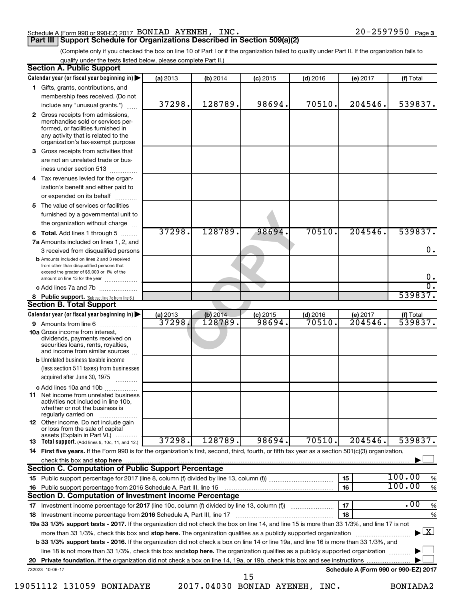#### Schedule A (Form 990 or 990-EZ) 2017 Page BONIAD AYENEH, INC. 20-2597950

(Complete only if you checked the box on line 10 of Part I or if the organization failed to qualify under Part II. If the organization fails to qualify under the tests listed below, please complete Part II.)

| <b>Section A. Public Support</b>                                                                                                                    |          |          |            |            |                                      |                                          |
|-----------------------------------------------------------------------------------------------------------------------------------------------------|----------|----------|------------|------------|--------------------------------------|------------------------------------------|
| Calendar year (or fiscal year beginning in)                                                                                                         | (a) 2013 | (b) 2014 | $(c)$ 2015 | $(d)$ 2016 | (e) 2017                             | (f) Total                                |
| 1 Gifts, grants, contributions, and                                                                                                                 |          |          |            |            |                                      |                                          |
| membership fees received. (Do not                                                                                                                   |          |          |            |            |                                      |                                          |
| include any "unusual grants.")                                                                                                                      | 37298.   | 128789.  | 98694.     | 70510.     | 204546.                              | 539837.                                  |
| 2 Gross receipts from admissions,<br>merchandise sold or services per-<br>formed, or facilities furnished in<br>any activity that is related to the |          |          |            |            |                                      |                                          |
| organization's tax-exempt purpose                                                                                                                   |          |          |            |            |                                      |                                          |
| 3 Gross receipts from activities that<br>are not an unrelated trade or bus-                                                                         |          |          |            |            |                                      |                                          |
| iness under section 513                                                                                                                             |          |          |            |            |                                      |                                          |
| 4 Tax revenues levied for the organ-                                                                                                                |          |          |            |            |                                      |                                          |
| ization's benefit and either paid to                                                                                                                |          |          |            |            |                                      |                                          |
| or expended on its behalf                                                                                                                           |          |          |            |            |                                      |                                          |
|                                                                                                                                                     |          |          |            |            |                                      |                                          |
| 5 The value of services or facilities<br>furnished by a governmental unit to                                                                        |          |          |            |            |                                      |                                          |
| the organization without charge                                                                                                                     |          |          |            |            |                                      |                                          |
|                                                                                                                                                     | 37298.   | 128789.  | 98694.     | 70510.     | 204546.                              | 539837.                                  |
| <b>6 Total.</b> Add lines 1 through 5                                                                                                               |          |          |            |            |                                      |                                          |
| 7a Amounts included on lines 1, 2, and                                                                                                              |          |          |            |            |                                      | 0.                                       |
| 3 received from disqualified persons<br><b>b</b> Amounts included on lines 2 and 3 received<br>from other than disqualified persons that            |          |          |            |            |                                      |                                          |
| exceed the greater of \$5,000 or 1% of the<br>amount on line 13 for the year                                                                        |          |          |            |            |                                      | $0 \cdot$                                |
| c Add lines 7a and 7b                                                                                                                               |          |          |            |            |                                      | σ.                                       |
| 8 Public support. (Subtract line 7c from line 6.)                                                                                                   |          |          |            |            |                                      | 539837.                                  |
| <b>Section B. Total Support</b>                                                                                                                     |          |          |            |            |                                      |                                          |
| Calendar year (or fiscal year beginning in)                                                                                                         | (a) 2013 | (b) 2014 | $(c)$ 2015 | $(d)$ 2016 | (e) 2017                             | (f) Total                                |
| 9 Amounts from line 6                                                                                                                               | 37298    | 128789.  | 98694.     | 70510.     | 204546                               | 539837.                                  |
| <b>10a</b> Gross income from interest,<br>dividends, payments received on<br>securities loans, rents, royalties,<br>and income from similar sources |          |          |            |            |                                      |                                          |
| <b>b</b> Unrelated business taxable income                                                                                                          |          |          |            |            |                                      |                                          |
| (less section 511 taxes) from businesses<br>acquired after June 30, 1975<br>$\overline{\phantom{a}}$                                                |          |          |            |            |                                      |                                          |
| c Add lines 10a and 10b                                                                                                                             |          |          |            |            |                                      |                                          |
| <b>11</b> Net income from unrelated business<br>activities not included in line 10b,<br>whether or not the business is<br>regularly carried on      |          |          |            |            |                                      |                                          |
| <b>12</b> Other income. Do not include gain<br>or loss from the sale of capital                                                                     |          |          |            |            |                                      |                                          |
| assets (Explain in Part VI.)<br><b>13</b> Total support. (Add lines 9, 10c, 11, and 12.)                                                            | 37298.   | 128789.  | 98694.     | 70510.     | 204546.                              | 539837.                                  |
| 14 First five years. If the Form 990 is for the organization's first, second, third, fourth, or fifth tax year as a section 501(c)(3) organization, |          |          |            |            |                                      |                                          |
| check this box and stop here                                                                                                                        |          |          |            |            |                                      |                                          |
| <b>Section C. Computation of Public Support Percentage</b>                                                                                          |          |          |            |            |                                      |                                          |
|                                                                                                                                                     |          |          |            |            | 15                                   | 100.00<br>%                              |
| 16 Public support percentage from 2016 Schedule A, Part III, line 15                                                                                |          |          |            |            | 16                                   | 100.00<br>$\%$                           |
| Section D. Computation of Investment Income Percentage                                                                                              |          |          |            |            |                                      |                                          |
| 17 Investment income percentage for 2017 (line 10c, column (f) divided by line 13, column (f))                                                      |          |          |            |            | 17                                   | .00<br>$\%$                              |
| 18 Investment income percentage from 2016 Schedule A, Part III, line 17                                                                             |          |          |            |            | 18                                   | $\%$                                     |
| 19a 33 1/3% support tests - 2017. If the organization did not check the box on line 14, and line 15 is more than 33 1/3%, and line 17 is not        |          |          |            |            |                                      |                                          |
| more than 33 1/3%, check this box and stop here. The organization qualifies as a publicly supported organization                                    |          |          |            |            |                                      | $\blacktriangleright$ $\boxed{\text{X}}$ |
| <b>b 33 1/3% support tests - 2016.</b> If the organization did not check a box on line 14 or line 19a, and line 16 is more than 33 1/3%, and        |          |          |            |            |                                      |                                          |
| line 18 is not more than 33 1/3%, check this box and stop here. The organization qualifies as a publicly supported organization                     |          |          |            |            |                                      |                                          |
|                                                                                                                                                     |          |          |            |            |                                      |                                          |
| 732023 10-06-17                                                                                                                                     |          |          |            |            | Schedule A (Form 990 or 990-EZ) 2017 |                                          |
|                                                                                                                                                     |          |          | 15         |            |                                      |                                          |

19051112 131059 BONIADAYE 2017.04030 BONIAD AYENEH, INC. BONIADA2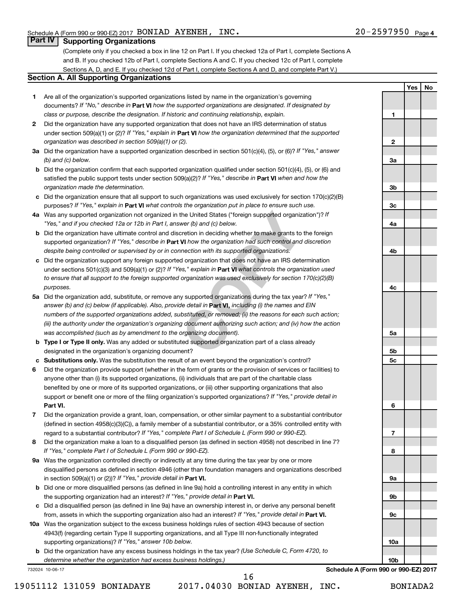**1**

**2**

**3a**

**3b**

**3c**

**4a**

**4b**

**4c**

**5a**

**5b 5c**

**6**

**7**

**8**

**9a**

**9b**

**9c**

**10a**

**10b**

**Yes No**

## **Part IV Supporting Organizations**

(Complete only if you checked a box in line 12 on Part I. If you checked 12a of Part I, complete Sections A and B. If you checked 12b of Part I, complete Sections A and C. If you checked 12c of Part I, complete Sections A, D, and E. If you checked 12d of Part I, complete Sections A and D, and complete Part V.)

#### **Section A. All Supporting Organizations**

- **1** Are all of the organization's supported organizations listed by name in the organization's governing documents? If "No," describe in Part VI how the supported organizations are designated. If designated by *class or purpose, describe the designation. If historic and continuing relationship, explain.*
- **2** Did the organization have any supported organization that does not have an IRS determination of status under section 509(a)(1) or (2)? If "Yes," explain in Part **VI** how the organization determined that the supported *organization was described in section 509(a)(1) or (2).*
- **3a** Did the organization have a supported organization described in section 501(c)(4), (5), or (6)? If "Yes," answer *(b) and (c) below.*
- **b** Did the organization confirm that each supported organization qualified under section 501(c)(4), (5), or (6) and satisfied the public support tests under section 509(a)(2)? If "Yes," describe in Part VI when and how the *organization made the determination.*
- **c** Did the organization ensure that all support to such organizations was used exclusively for section 170(c)(2)(B) purposes? If "Yes," explain in Part VI what controls the organization put in place to ensure such use.
- **4 a** *If* Was any supported organization not organized in the United States ("foreign supported organization")? *"Yes," and if you checked 12a or 12b in Part I, answer (b) and (c) below.*
- **b** Did the organization have ultimate control and discretion in deciding whether to make grants to the foreign supported organization? If "Yes," describe in Part VI how the organization had such control and discretion *despite being controlled or supervised by or in connection with its supported organizations.*
- **c** Did the organization support any foreign supported organization that does not have an IRS determination under sections 501(c)(3) and 509(a)(1) or (2)? If "Yes," explain in Part VI what controls the organization used *to ensure that all support to the foreign supported organization was used exclusively for section 170(c)(2)(B) purposes.*
- the United States ("foreign supported organization")? *I*<br>wer (b) and (c) below.<br>Correction in deciding whether to make grants to the foreignal to the foreign whether to make grants to the foreign<br>**VI** how the organization **5a** Did the organization add, substitute, or remove any supported organizations during the tax year? If "Yes," answer (b) and (c) below (if applicable). Also, provide detail in **Part VI,** including (i) the names and EIN *numbers of the supported organizations added, substituted, or removed; (ii) the reasons for each such action; (iii) the authority under the organization's organizing document authorizing such action; and (iv) how the action was accomplished (such as by amendment to the organizing document).*
- **b** Type I or Type II only. Was any added or substituted supported organization part of a class already designated in the organization's organizing document?
- **c Substitutions only.**  Was the substitution the result of an event beyond the organization's control?
- **6** Did the organization provide support (whether in the form of grants or the provision of services or facilities) to **Part VI.** support or benefit one or more of the filing organization's supported organizations? If "Yes," provide detail in anyone other than (i) its supported organizations, (ii) individuals that are part of the charitable class benefited by one or more of its supported organizations, or (iii) other supporting organizations that also
- **7** Did the organization provide a grant, loan, compensation, or other similar payment to a substantial contributor regard to a substantial contributor? If "Yes," complete Part I of Schedule L (Form 990 or 990-EZ). (defined in section 4958(c)(3)(C)), a family member of a substantial contributor, or a 35% controlled entity with
- **8** Did the organization make a loan to a disqualified person (as defined in section 4958) not described in line 7? *If "Yes," complete Part I of Schedule L (Form 990 or 990-EZ).*
- **9 a** Was the organization controlled directly or indirectly at any time during the tax year by one or more in section 509(a)(1) or (2))? If "Yes," provide detail in **Part VI.** disqualified persons as defined in section 4946 (other than foundation managers and organizations described
- **b** Did one or more disqualified persons (as defined in line 9a) hold a controlling interest in any entity in which the supporting organization had an interest? If "Yes," provide detail in Part VI.
- **c** Did a disqualified person (as defined in line 9a) have an ownership interest in, or derive any personal benefit from, assets in which the supporting organization also had an interest? If "Yes," provide detail in Part VI.
- **10 a** Was the organization subject to the excess business holdings rules of section 4943 because of section supporting organizations)? If "Yes," answer 10b below. 4943(f) (regarding certain Type II supporting organizations, and all Type III non-functionally integrated
	- **b** Did the organization have any excess business holdings in the tax year? (Use Schedule C, Form 4720, to *determine whether the organization had excess business holdings.)*

732024 10-06-17

**Schedule A (Form 990 or 990-EZ) 2017**

16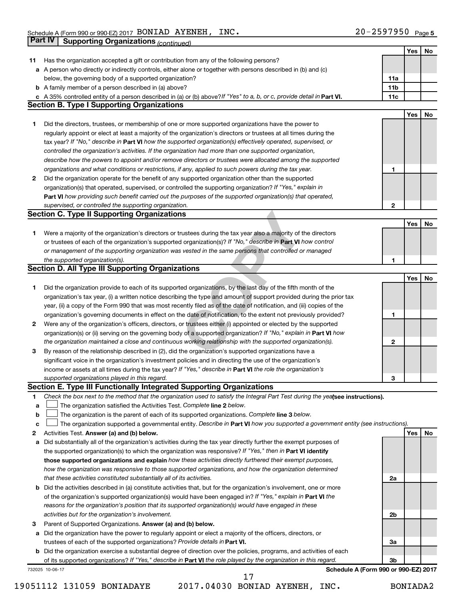|             | Part IV<br><b>Supporting Organizations (continued)</b>                                                                          |                 |     |    |
|-------------|---------------------------------------------------------------------------------------------------------------------------------|-----------------|-----|----|
|             |                                                                                                                                 |                 | Yes | No |
| 11          | Has the organization accepted a gift or contribution from any of the following persons?                                         |                 |     |    |
|             | a A person who directly or indirectly controls, either alone or together with persons described in (b) and (c)                  |                 |     |    |
|             | below, the governing body of a supported organization?                                                                          | 11a             |     |    |
|             | <b>b</b> A family member of a person described in (a) above?                                                                    | 11 <sub>b</sub> |     |    |
|             | c A 35% controlled entity of a person described in (a) or (b) above? If "Yes" to a, b, or c, provide detail in Part VI.         | 11c             |     |    |
|             | <b>Section B. Type I Supporting Organizations</b>                                                                               |                 |     |    |
|             |                                                                                                                                 |                 | Yes | No |
|             |                                                                                                                                 |                 |     |    |
| 1           | Did the directors, trustees, or membership of one or more supported organizations have the power to                             |                 |     |    |
|             | regularly appoint or elect at least a majority of the organization's directors or trustees at all times during the              |                 |     |    |
|             | tax year? If "No," describe in Part VI how the supported organization(s) effectively operated, supervised, or                   |                 |     |    |
|             | controlled the organization's activities. If the organization had more than one supported organization,                         |                 |     |    |
|             | describe how the powers to appoint and/or remove directors or trustees were allocated among the supported                       |                 |     |    |
|             | organizations and what conditions or restrictions, if any, applied to such powers during the tax year.                          | 1               |     |    |
| 2           | Did the organization operate for the benefit of any supported organization other than the supported                             |                 |     |    |
|             | organization(s) that operated, supervised, or controlled the supporting organization? If "Yes," explain in                      |                 |     |    |
|             | Part VI how providing such benefit carried out the purposes of the supported organization(s) that operated,                     |                 |     |    |
|             | supervised, or controlled the supporting organization.                                                                          | 2               |     |    |
|             | <b>Section C. Type II Supporting Organizations</b>                                                                              |                 |     |    |
|             |                                                                                                                                 |                 | Yes | No |
| 1           | Were a majority of the organization's directors or trustees during the tax year also a majority of the directors                |                 |     |    |
|             | or trustees of each of the organization's supported organization(s)? If "No," describe in Part VI how control                   |                 |     |    |
|             | or management of the supporting organization was vested in the same persons that controlled or managed                          |                 |     |    |
|             | the supported organization(s).                                                                                                  | 1               |     |    |
|             | <b>Section D. All Type III Supporting Organizations</b>                                                                         |                 |     |    |
|             |                                                                                                                                 |                 | Yes | No |
| 1           | Did the organization provide to each of its supported organizations, by the last day of the fifth month of the                  |                 |     |    |
|             | organization's tax year, (i) a written notice describing the type and amount of support provided during the prior tax           |                 |     |    |
|             | year, (ii) a copy of the Form 990 that was most recently filed as of the date of notification, and (iii) copies of the          |                 |     |    |
|             | organization's governing documents in effect on the date of notification, to the extent not previously provided?                | 1               |     |    |
| 2           | Were any of the organization's officers, directors, or trustees either (i) appointed or elected by the supported                |                 |     |    |
|             | organization(s) or (ii) serving on the governing body of a supported organization? If "No," explain in Part VI how              |                 |     |    |
|             | the organization maintained a close and continuous working relationship with the supported organization(s).                     | 2               |     |    |
| 3           | By reason of the relationship described in (2), did the organization's supported organizations have a                           |                 |     |    |
|             | significant voice in the organization's investment policies and in directing the use of the organization's                      |                 |     |    |
|             |                                                                                                                                 |                 |     |    |
|             | income or assets at all times during the tax year? If "Yes," describe in Part VI the role the organization's                    |                 |     |    |
|             | supported organizations played in this regard.                                                                                  | з               |     |    |
|             | Section E. Type III Functionally Integrated Supporting Organizations                                                            |                 |     |    |
| 1           | Check the box next to the method that the organization used to satisfy the Integral Part Test during the yealsee instructions). |                 |     |    |
| a           | The organization satisfied the Activities Test. Complete line 2 below.                                                          |                 |     |    |
| $\mathbf b$ | The organization is the parent of each of its supported organizations. Complete line 3 below.                                   |                 |     |    |
| c           | The organization supported a governmental entity. Describe in Part VI how you supported a government entity (see instructions). |                 |     |    |
| 2           | Activities Test. Answer (a) and (b) below.                                                                                      |                 | Yes | No |
| а           | Did substantially all of the organization's activities during the tax year directly further the exempt purposes of              |                 |     |    |
|             | the supported organization(s) to which the organization was responsive? If "Yes," then in Part VI identify                      |                 |     |    |
|             | those supported organizations and explain how these activities directly furthered their exempt purposes,                        |                 |     |    |
|             | how the organization was responsive to those supported organizations, and how the organization determined                       |                 |     |    |
|             | that these activities constituted substantially all of its activities.                                                          | 2a              |     |    |
|             | <b>b</b> Did the activities described in (a) constitute activities that, but for the organization's involvement, one or more    |                 |     |    |
|             | of the organization's supported organization(s) would have been engaged in? If "Yes," explain in Part VI the                    |                 |     |    |
|             | reasons for the organization's position that its supported organization(s) would have engaged in these                          |                 |     |    |
|             | activities but for the organization's involvement.                                                                              | 2b              |     |    |
| з           | Parent of Supported Organizations. Answer (a) and (b) below.                                                                    |                 |     |    |
| а           | Did the organization have the power to regularly appoint or elect a majority of the officers, directors, or                     |                 |     |    |
|             | trustees of each of the supported organizations? Provide details in Part VI.                                                    | За              |     |    |
|             | <b>b</b> Did the organization exercise a substantial degree of direction over the policies, programs, and activities of each    |                 |     |    |
|             | of its supported organizations? If "Yes," describe in Part VI the role played by the organization in this regard.               | 3b              |     |    |
|             | Schedule A (Form 990 or 990-EZ) 2017<br>732025 10-06-17                                                                         |                 |     |    |
|             | 17                                                                                                                              |                 |     |    |

19051112 131059 BONIADAYE 2017.04030 BONIAD AYENEH, INC. BONIADA2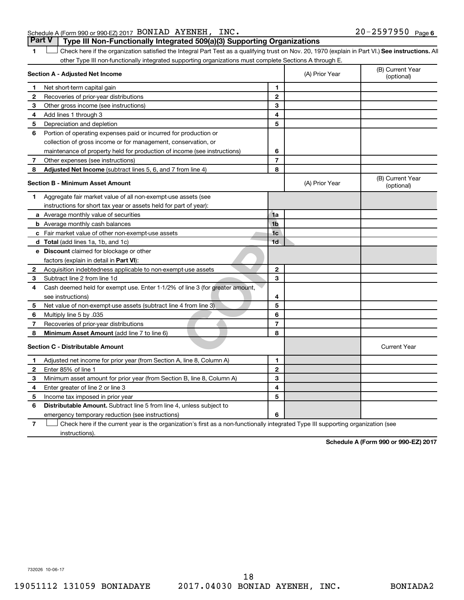#### Schedule A (Form 990 or 990-EZ) 2017 Page BONIAD AYENEH, INC. 20-2597950 **Part V Type III Non-Functionally Integrated 509(a)(3) Supporting Organizations**

1 **Letter See instructions.** All Check here if the organization satisfied the Integral Part Test as a qualifying trust on Nov. 20, 1970 (explain in Part VI.) See instructions. All other Type III non-functionally integrated supporting organizations must complete Sections A through E.

|    | Section A - Adjusted Net Income                                              |                | (A) Prior Year | (B) Current Year<br>(optional) |
|----|------------------------------------------------------------------------------|----------------|----------------|--------------------------------|
| 1  | Net short-term capital gain                                                  | 1              |                |                                |
| 2  | Recoveries of prior-year distributions                                       | $\mathbf{2}$   |                |                                |
| з  | Other gross income (see instructions)                                        | 3              |                |                                |
| 4  | Add lines 1 through 3                                                        | 4              |                |                                |
| 5  | Depreciation and depletion                                                   | 5              |                |                                |
| 6  | Portion of operating expenses paid or incurred for production or             |                |                |                                |
|    | collection of gross income or for management, conservation, or               |                |                |                                |
|    | maintenance of property held for production of income (see instructions)     | 6              |                |                                |
| 7  | Other expenses (see instructions)                                            | $\overline{7}$ |                |                                |
| 8  | Adjusted Net Income (subtract lines 5, 6, and 7 from line 4)                 | 8              |                |                                |
|    | <b>Section B - Minimum Asset Amount</b>                                      |                | (A) Prior Year | (B) Current Year<br>(optional) |
| 1. | Aggregate fair market value of all non-exempt-use assets (see                |                |                |                                |
|    | instructions for short tax year or assets held for part of year):            |                |                |                                |
|    | a Average monthly value of securities                                        | 1a             |                |                                |
|    | <b>b</b> Average monthly cash balances                                       | 1 <sub>b</sub> |                |                                |
|    | c Fair market value of other non-exempt-use assets                           | 1 <sub>c</sub> |                |                                |
|    | d Total (add lines 1a, 1b, and 1c)                                           | 1 <sub>d</sub> |                |                                |
|    | <b>e</b> Discount claimed for blockage or other                              |                |                |                                |
|    | factors (explain in detail in <b>Part VI</b> ):                              |                |                |                                |
| 2  | Acquisition indebtedness applicable to non-exempt-use assets                 | $\mathbf{2}$   |                |                                |
| З  | Subtract line 2 from line 1d                                                 | 3              |                |                                |
| 4  | Cash deemed held for exempt use. Enter 1-1/2% of line 3 (for greater amount, |                |                |                                |
|    | see instructions)                                                            | 4              |                |                                |
| 5  | Net value of non-exempt-use assets (subtract line 4 from line 3)             | 5              |                |                                |
| 6  | Multiply line 5 by .035                                                      | 6              |                |                                |
| 7  | Recoveries of prior-year distributions                                       | $\overline{7}$ |                |                                |
| 8  | Minimum Asset Amount (add line 7 to line 6)                                  | 8              |                |                                |
|    | <b>Section C - Distributable Amount</b>                                      |                |                | <b>Current Year</b>            |
| 1  | Adjusted net income for prior year (from Section A, line 8, Column A)        | 1              |                |                                |
| 2  | Enter 85% of line 1                                                          | $\mathbf{2}$   |                |                                |
| 3  | Minimum asset amount for prior year (from Section B, line 8, Column A)       | 3              |                |                                |
| 4  | Enter greater of line 2 or line 3                                            | 4              |                |                                |
| 5  | Income tax imposed in prior year                                             | 5              |                |                                |
| 6  | <b>Distributable Amount.</b> Subtract line 5 from line 4, unless subject to  |                |                |                                |
|    | emergency temporary reduction (see instructions)                             | 6              |                |                                |
|    |                                                                              |                |                |                                |

**7** Check here if the current year is the organization's first as a non-functionally integrated Type III supporting organization (see † instructions).

**Schedule A (Form 990 or 990-EZ) 2017**

732026 10-06-17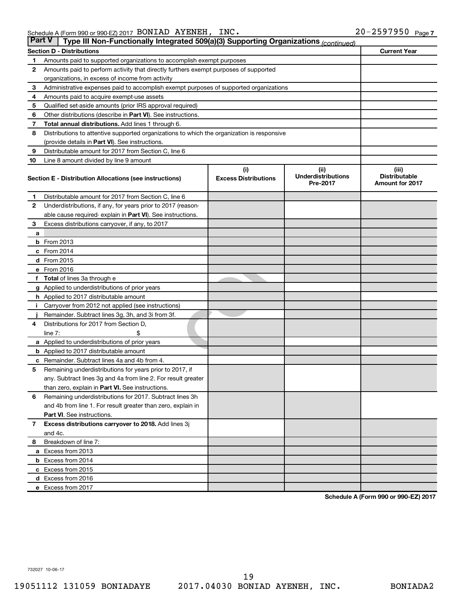| <b>Part V</b><br>Type III Non-Functionally Integrated 509(a)(3) Supporting Organizations (continued) |                                                                                            |                             |                                       |                                                |  |  |  |
|------------------------------------------------------------------------------------------------------|--------------------------------------------------------------------------------------------|-----------------------------|---------------------------------------|------------------------------------------------|--|--|--|
|                                                                                                      | <b>Current Year</b><br><b>Section D - Distributions</b>                                    |                             |                                       |                                                |  |  |  |
| 1                                                                                                    | Amounts paid to supported organizations to accomplish exempt purposes                      |                             |                                       |                                                |  |  |  |
| $\mathbf{2}$                                                                                         | Amounts paid to perform activity that directly furthers exempt purposes of supported       |                             |                                       |                                                |  |  |  |
|                                                                                                      | organizations, in excess of income from activity                                           |                             |                                       |                                                |  |  |  |
| 3                                                                                                    | Administrative expenses paid to accomplish exempt purposes of supported organizations      |                             |                                       |                                                |  |  |  |
| 4                                                                                                    | Amounts paid to acquire exempt-use assets                                                  |                             |                                       |                                                |  |  |  |
| 5                                                                                                    | Qualified set-aside amounts (prior IRS approval required)                                  |                             |                                       |                                                |  |  |  |
| 6                                                                                                    | Other distributions (describe in <b>Part VI</b> ). See instructions.                       |                             |                                       |                                                |  |  |  |
| 7                                                                                                    | <b>Total annual distributions.</b> Add lines 1 through 6.                                  |                             |                                       |                                                |  |  |  |
| 8                                                                                                    | Distributions to attentive supported organizations to which the organization is responsive |                             |                                       |                                                |  |  |  |
|                                                                                                      | (provide details in Part VI). See instructions.                                            |                             |                                       |                                                |  |  |  |
| 9                                                                                                    | Distributable amount for 2017 from Section C, line 6                                       |                             |                                       |                                                |  |  |  |
| 10                                                                                                   | Line 8 amount divided by line 9 amount                                                     |                             |                                       |                                                |  |  |  |
|                                                                                                      |                                                                                            | (i)                         | (ii)                                  | (iii)                                          |  |  |  |
|                                                                                                      | Section E - Distribution Allocations (see instructions)                                    | <b>Excess Distributions</b> | <b>Underdistributions</b><br>Pre-2017 | <b>Distributable</b><br><b>Amount for 2017</b> |  |  |  |
| 1                                                                                                    | Distributable amount for 2017 from Section C, line 6                                       |                             |                                       |                                                |  |  |  |
| $\mathbf{2}$                                                                                         | Underdistributions, if any, for years prior to 2017 (reason-                               |                             |                                       |                                                |  |  |  |
|                                                                                                      | able cause required- explain in Part VI). See instructions.                                |                             |                                       |                                                |  |  |  |
| 3                                                                                                    | Excess distributions carryover, if any, to 2017                                            |                             |                                       |                                                |  |  |  |
| a                                                                                                    |                                                                                            |                             |                                       |                                                |  |  |  |
|                                                                                                      | <b>b</b> From 2013                                                                         |                             |                                       |                                                |  |  |  |
|                                                                                                      | c From 2014                                                                                |                             |                                       |                                                |  |  |  |
|                                                                                                      | d From 2015                                                                                |                             |                                       |                                                |  |  |  |
|                                                                                                      | e From 2016                                                                                |                             |                                       |                                                |  |  |  |
|                                                                                                      | f Total of lines 3a through e                                                              |                             |                                       |                                                |  |  |  |
|                                                                                                      | <b>g</b> Applied to underdistributions of prior years                                      |                             |                                       |                                                |  |  |  |
|                                                                                                      | h Applied to 2017 distributable amount                                                     |                             |                                       |                                                |  |  |  |
| Ť.                                                                                                   | Carryover from 2012 not applied (see instructions)                                         |                             |                                       |                                                |  |  |  |
|                                                                                                      | Remainder. Subtract lines 3g, 3h, and 3i from 3f.                                          |                             |                                       |                                                |  |  |  |
| 4                                                                                                    | Distributions for 2017 from Section D,                                                     |                             |                                       |                                                |  |  |  |
|                                                                                                      | line $7:$                                                                                  |                             |                                       |                                                |  |  |  |
|                                                                                                      | a Applied to underdistributions of prior years                                             |                             |                                       |                                                |  |  |  |
|                                                                                                      | <b>b</b> Applied to 2017 distributable amount                                              |                             |                                       |                                                |  |  |  |
| с                                                                                                    | Remainder. Subtract lines 4a and 4b from 4.                                                |                             |                                       |                                                |  |  |  |
| 5                                                                                                    | Remaining underdistributions for years prior to 2017, if                                   |                             |                                       |                                                |  |  |  |
|                                                                                                      | any. Subtract lines 3g and 4a from line 2. For result greater                              |                             |                                       |                                                |  |  |  |
|                                                                                                      | than zero, explain in Part VI. See instructions.                                           |                             |                                       |                                                |  |  |  |
| 6                                                                                                    | Remaining underdistributions for 2017. Subtract lines 3h                                   |                             |                                       |                                                |  |  |  |
|                                                                                                      | and 4b from line 1. For result greater than zero, explain in                               |                             |                                       |                                                |  |  |  |
|                                                                                                      | <b>Part VI.</b> See instructions.                                                          |                             |                                       |                                                |  |  |  |
| $\mathbf{7}$                                                                                         | Excess distributions carryover to 2018. Add lines 3j                                       |                             |                                       |                                                |  |  |  |
|                                                                                                      | and 4c.                                                                                    |                             |                                       |                                                |  |  |  |
| 8                                                                                                    | Breakdown of line 7:                                                                       |                             |                                       |                                                |  |  |  |
|                                                                                                      | a Excess from 2013                                                                         |                             |                                       |                                                |  |  |  |
|                                                                                                      | <b>b</b> Excess from 2014                                                                  |                             |                                       |                                                |  |  |  |
|                                                                                                      | c Excess from 2015                                                                         |                             |                                       |                                                |  |  |  |
|                                                                                                      | d Excess from 2016                                                                         |                             |                                       |                                                |  |  |  |
|                                                                                                      | e Excess from 2017                                                                         |                             |                                       |                                                |  |  |  |

**Schedule A (Form 990 or 990-EZ) 2017**

732027 10-06-17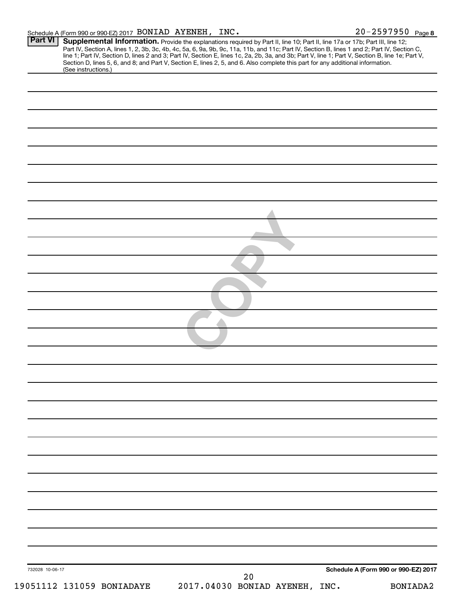|                 | (See instructions.)       | Section D, lines 5, 6, and 8; and Part V, Section E, lines 2, 5, and 6. Also complete this part for any additional information. | <b>Supplemental Information.</b> Provide the explanations required by Part II, line 10; Part II, line 17a or 17b; Part III, line 12;<br>Part IV, Section A, lines 1, 2, 3b, 3c, 4b, 4c, 5a, 6, 9a, 9b, 9c, 11a, 11b, and 11c; Part IV, |
|-----------------|---------------------------|---------------------------------------------------------------------------------------------------------------------------------|----------------------------------------------------------------------------------------------------------------------------------------------------------------------------------------------------------------------------------------|
|                 |                           |                                                                                                                                 |                                                                                                                                                                                                                                        |
|                 |                           |                                                                                                                                 |                                                                                                                                                                                                                                        |
|                 |                           |                                                                                                                                 |                                                                                                                                                                                                                                        |
|                 |                           |                                                                                                                                 |                                                                                                                                                                                                                                        |
|                 |                           |                                                                                                                                 |                                                                                                                                                                                                                                        |
|                 |                           |                                                                                                                                 |                                                                                                                                                                                                                                        |
|                 |                           |                                                                                                                                 |                                                                                                                                                                                                                                        |
|                 |                           |                                                                                                                                 |                                                                                                                                                                                                                                        |
|                 |                           |                                                                                                                                 |                                                                                                                                                                                                                                        |
|                 |                           |                                                                                                                                 |                                                                                                                                                                                                                                        |
|                 |                           |                                                                                                                                 |                                                                                                                                                                                                                                        |
|                 |                           |                                                                                                                                 |                                                                                                                                                                                                                                        |
|                 |                           |                                                                                                                                 |                                                                                                                                                                                                                                        |
|                 |                           |                                                                                                                                 |                                                                                                                                                                                                                                        |
|                 |                           |                                                                                                                                 |                                                                                                                                                                                                                                        |
|                 |                           |                                                                                                                                 |                                                                                                                                                                                                                                        |
|                 |                           |                                                                                                                                 |                                                                                                                                                                                                                                        |
|                 |                           |                                                                                                                                 |                                                                                                                                                                                                                                        |
|                 |                           |                                                                                                                                 |                                                                                                                                                                                                                                        |
|                 |                           |                                                                                                                                 |                                                                                                                                                                                                                                        |
|                 |                           |                                                                                                                                 |                                                                                                                                                                                                                                        |
|                 |                           |                                                                                                                                 |                                                                                                                                                                                                                                        |
|                 |                           |                                                                                                                                 |                                                                                                                                                                                                                                        |
|                 |                           |                                                                                                                                 |                                                                                                                                                                                                                                        |
|                 |                           |                                                                                                                                 |                                                                                                                                                                                                                                        |
|                 |                           |                                                                                                                                 |                                                                                                                                                                                                                                        |
|                 |                           |                                                                                                                                 |                                                                                                                                                                                                                                        |
|                 |                           |                                                                                                                                 |                                                                                                                                                                                                                                        |
|                 |                           |                                                                                                                                 |                                                                                                                                                                                                                                        |
|                 |                           |                                                                                                                                 |                                                                                                                                                                                                                                        |
|                 |                           |                                                                                                                                 |                                                                                                                                                                                                                                        |
|                 |                           |                                                                                                                                 |                                                                                                                                                                                                                                        |
| 732028 10-06-17 |                           | Schedule A (Form 990 or 990-EZ) 2017                                                                                            |                                                                                                                                                                                                                                        |
|                 | 19051112 131059 BONIADAYE | 20<br>2017.04030 BONIAD AYENEH, INC.                                                                                            | BONIADA2                                                                                                                                                                                                                               |

Schedule A (Form 990 or 990-EZ) 2017 Page

BONIAD AYENEH, INC. 20-2597950

20-2597950 Page 8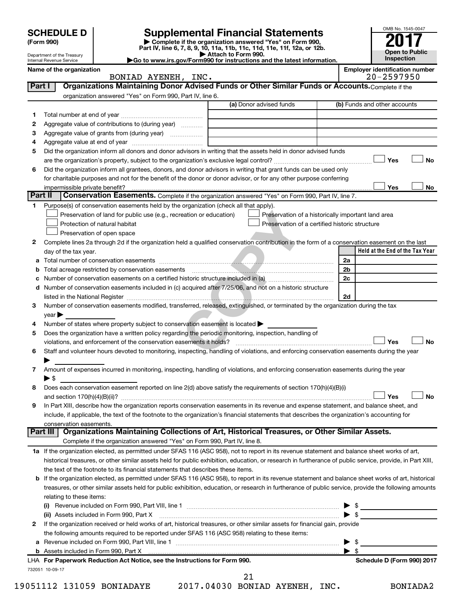|                   |                                                                   | OMB No. 1545-004 |
|-------------------|-------------------------------------------------------------------|------------------|
| <b>SCHEDULE D</b> | <b>Supplemental Financial Statements</b>                          |                  |
| (Form 990)        | Complete if the organization answered "Yes" on Form 990,          | 2017             |
|                   | <b>Part IV line 6 7 8 9 10 11a 11h 11c 11d 11e 11f 12a or 12h</b> |                  |

**Part IV, line 6, 7, 8, 9, 10, 11a, 11b, 11c, 11d, 11e, 11f, 12a, or 12b.**

OMB No. 1545-0047 **Open to Public Dection** 

| Department of the Treasury<br>Internal Revenue Service |                                 | Attach to Form 990.<br>Go to www.irs.gov/Form990 for instructions and the latest information.                                                                                 |                                                                                                                                                | <b>Open to Public</b><br>Inspection |                                 |
|--------------------------------------------------------|---------------------------------|-------------------------------------------------------------------------------------------------------------------------------------------------------------------------------|------------------------------------------------------------------------------------------------------------------------------------------------|-------------------------------------|---------------------------------|
| Name of the organization<br>BONIAD AYENEH, INC.        |                                 | <b>Employer identification number</b><br>$20 - 2597950$                                                                                                                       |                                                                                                                                                |                                     |                                 |
| Part I                                                 |                                 |                                                                                                                                                                               | Organizations Maintaining Donor Advised Funds or Other Similar Funds or Accounts. Complete if the                                              |                                     |                                 |
|                                                        |                                 | organization answered "Yes" on Form 990, Part IV, line 6.                                                                                                                     |                                                                                                                                                |                                     |                                 |
|                                                        |                                 |                                                                                                                                                                               | (a) Donor advised funds                                                                                                                        |                                     | (b) Funds and other accounts    |
| 1                                                      |                                 |                                                                                                                                                                               |                                                                                                                                                |                                     |                                 |
| 2                                                      |                                 | Aggregate value of contributions to (during year)                                                                                                                             |                                                                                                                                                |                                     |                                 |
| З                                                      |                                 | Aggregate value of grants from (during year)                                                                                                                                  |                                                                                                                                                |                                     |                                 |
| 4                                                      |                                 |                                                                                                                                                                               |                                                                                                                                                |                                     |                                 |
| 5                                                      |                                 |                                                                                                                                                                               | Did the organization inform all donors and donor advisors in writing that the assets held in donor advised funds                               |                                     |                                 |
|                                                        |                                 |                                                                                                                                                                               |                                                                                                                                                |                                     | Yes<br><b>No</b>                |
| 6                                                      |                                 |                                                                                                                                                                               | Did the organization inform all grantees, donors, and donor advisors in writing that grant funds can be used only                              |                                     |                                 |
|                                                        |                                 |                                                                                                                                                                               | for charitable purposes and not for the benefit of the donor or donor advisor, or for any other purpose conferring                             |                                     |                                 |
|                                                        | impermissible private benefit?  |                                                                                                                                                                               |                                                                                                                                                |                                     | Yes<br><b>No</b>                |
| Part II                                                |                                 |                                                                                                                                                                               | <b>Conservation Easements.</b> Complete if the organization answered "Yes" on Form 990, Part IV, line 7.                                       |                                     |                                 |
| 1                                                      |                                 | Purpose(s) of conservation easements held by the organization (check all that apply).                                                                                         |                                                                                                                                                |                                     |                                 |
|                                                        |                                 | Preservation of land for public use (e.g., recreation or education)                                                                                                           | Preservation of a historically important land area                                                                                             |                                     |                                 |
|                                                        |                                 | Protection of natural habitat                                                                                                                                                 | Preservation of a certified historic structure                                                                                                 |                                     |                                 |
|                                                        |                                 | Preservation of open space                                                                                                                                                    |                                                                                                                                                |                                     |                                 |
| 2                                                      |                                 |                                                                                                                                                                               | Complete lines 2a through 2d if the organization held a qualified conservation contribution in the form of a conservation easement on the last |                                     |                                 |
|                                                        | day of the tax year.            |                                                                                                                                                                               |                                                                                                                                                |                                     | Held at the End of the Tax Year |
| a                                                      |                                 |                                                                                                                                                                               |                                                                                                                                                | 2a                                  |                                 |
| b                                                      |                                 | Total acreage restricted by conservation easements                                                                                                                            |                                                                                                                                                | 2 <sub>b</sub><br>2c                |                                 |
| C                                                      |                                 |                                                                                                                                                                               |                                                                                                                                                |                                     |                                 |
| d                                                      |                                 | Number of conservation easements included in (c) acquired after 7/25/06, and not on a historic structure                                                                      |                                                                                                                                                |                                     |                                 |
|                                                        | listed in the National Register |                                                                                                                                                                               |                                                                                                                                                | 2d                                  |                                 |
| 3                                                      |                                 |                                                                                                                                                                               | Number of conservation easements modified, transferred, released, extinguished, or terminated by the organization during the tax               |                                     |                                 |
|                                                        | year                            |                                                                                                                                                                               |                                                                                                                                                |                                     |                                 |
| 4<br>5                                                 |                                 | Number of states where property subject to conservation easement is located >                                                                                                 |                                                                                                                                                |                                     |                                 |
|                                                        |                                 | Does the organization have a written policy regarding the periodic monitoring, inspection, handling of<br>violations, and enforcement of the conservation easements it holds? |                                                                                                                                                |                                     | Yes<br>No                       |
|                                                        |                                 |                                                                                                                                                                               | Staff and volunteer hours devoted to monitoring, inspecting, handling of violations, and enforcing conservation easements during the year      |                                     |                                 |
| 6                                                      |                                 |                                                                                                                                                                               |                                                                                                                                                |                                     |                                 |

| Amount of expenses incurred in monitoring, inspecting, handling of violations, and enforcing conservation easements during the year |
|-------------------------------------------------------------------------------------------------------------------------------------|
|                                                                                                                                     |

| 8 Does each conservation easement reported on line 2(d) above satisfy the requirements of section 170(h)(4)(B)(i) |           |
|-------------------------------------------------------------------------------------------------------------------|-----------|
| ← and section 170/h)(4)/R)/in                                                                                     | <b>No</b> |

| 9 In Part XIII, describe how the organization reports conservation easements in its revenue and expense statement, and balance sheet, and    |
|----------------------------------------------------------------------------------------------------------------------------------------------|
| include, if applicable, the text of the footnote to the organization's financial statements that describes the organization's accounting for |
| conservation easements.                                                                                                                      |

Complete if the organization answered "Yes" on Form 990, Part IV, line 8. **Part III Organizations Maintaining Collections of Art, Historical Treasures, or Other Similar Assets.**

| 1a If the organization elected, as permitted under SFAS 116 (ASC 958), not to report in its revenue statement and balance sheet works of art,             |
|-----------------------------------------------------------------------------------------------------------------------------------------------------------|
| historical treasures, or other similar assets held for public exhibition, education, or research in furtherance of public service, provide, in Part XIII, |
| the text of the footnote to its financial statements that describes these items.                                                                          |

| <b>b</b> If the organization elected, as permitted under SFAS 116 (ASC 958), to report in its revenue statement and balance sheet works of art, historical |
|------------------------------------------------------------------------------------------------------------------------------------------------------------|
| treasures, or other similar assets held for public exhibition, education, or research in furtherance of public service, provide the following amounts      |
| relating to these items:                                                                                                                                   |

| $\Box$ For Deparwork Reduction Act Notice, see the Instructions for Form 000.                                                     | Schodule D (Form 990) 2017 |
|-----------------------------------------------------------------------------------------------------------------------------------|----------------------------|
| <b>b</b> Assets included in Form 990, Part X <b>municipal container and all all all all a</b> Assets included in Form 990, Part X |                            |
| $\blacktriangleright$ s                                                                                                           |                            |
| the following amounts required to be reported under SFAS 116 (ASC 958) relating to these items:                                   |                            |
| 2 If the organization received or held works of art, historical treasures, or other similar assets for financial gain, provide    |                            |
|                                                                                                                                   |                            |
| (i)                                                                                                                               |                            |

| LHA For Paperwork Reduction Act Notice, see the Instructions for Form 990 |  |  |
|---------------------------------------------------------------------------|--|--|
| 732051 10-09-17                                                           |  |  |

**Schedule D (Form 990) 2017** 

21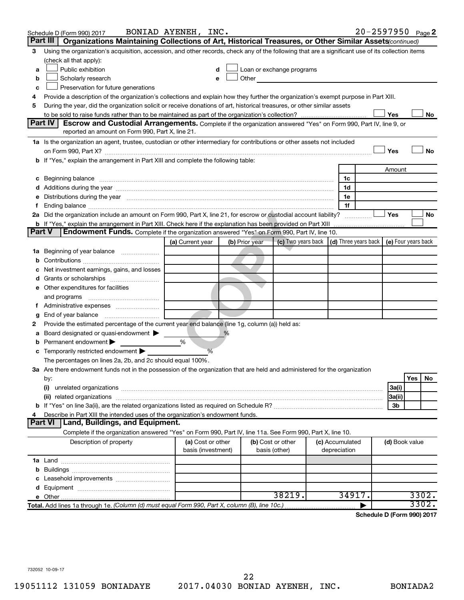|   | Schedule D (Form 990) 2017                                                                                                                                                              | BONIAD AYENEH, INC.                     |      |                |                                                                                                                                                                                                                               |                                 | $20 - 2597950$ Page 2 |                |     |       |
|---|-----------------------------------------------------------------------------------------------------------------------------------------------------------------------------------------|-----------------------------------------|------|----------------|-------------------------------------------------------------------------------------------------------------------------------------------------------------------------------------------------------------------------------|---------------------------------|-----------------------|----------------|-----|-------|
|   | Part III<br>Organizations Maintaining Collections of Art, Historical Treasures, or Other Similar Assets (continued)                                                                     |                                         |      |                |                                                                                                                                                                                                                               |                                 |                       |                |     |       |
| 3 | Using the organization's acquisition, accession, and other records, check any of the following that are a significant use of its collection items                                       |                                         |      |                |                                                                                                                                                                                                                               |                                 |                       |                |     |       |
|   | (check all that apply):                                                                                                                                                                 |                                         |      |                |                                                                                                                                                                                                                               |                                 |                       |                |     |       |
| a | Public exhibition                                                                                                                                                                       | d                                       |      |                | Loan or exchange programs                                                                                                                                                                                                     |                                 |                       |                |     |       |
| b | Scholarly research                                                                                                                                                                      |                                         |      |                | Other and the contract of the contract of the contract of the contract of the contract of the contract of the contract of the contract of the contract of the contract of the contract of the contract of the contract of the |                                 |                       |                |     |       |
| с | Preservation for future generations                                                                                                                                                     |                                         |      |                |                                                                                                                                                                                                                               |                                 |                       |                |     |       |
| 4 | Provide a description of the organization's collections and explain how they further the organization's exempt purpose in Part XIII.                                                    |                                         |      |                |                                                                                                                                                                                                                               |                                 |                       |                |     |       |
| 5 | During the year, did the organization solicit or receive donations of art, historical treasures, or other similar assets                                                                |                                         |      |                |                                                                                                                                                                                                                               |                                 |                       |                |     |       |
|   |                                                                                                                                                                                         |                                         |      |                |                                                                                                                                                                                                                               |                                 |                       | Yes            |     | No    |
|   | Part IV I<br><b>Escrow and Custodial Arrangements.</b> Complete if the organization answered "Yes" on Form 990, Part IV, line 9, or<br>reported an amount on Form 990, Part X, line 21. |                                         |      |                |                                                                                                                                                                                                                               |                                 |                       |                |     |       |
|   |                                                                                                                                                                                         |                                         |      |                |                                                                                                                                                                                                                               |                                 |                       |                |     |       |
|   | 1a Is the organization an agent, trustee, custodian or other intermediary for contributions or other assets not included                                                                |                                         |      |                |                                                                                                                                                                                                                               |                                 |                       | Yes            |     | No    |
|   | b If "Yes," explain the arrangement in Part XIII and complete the following table:                                                                                                      |                                         |      |                |                                                                                                                                                                                                                               |                                 |                       |                |     |       |
|   |                                                                                                                                                                                         |                                         |      |                |                                                                                                                                                                                                                               |                                 |                       | Amount         |     |       |
|   |                                                                                                                                                                                         |                                         |      |                |                                                                                                                                                                                                                               | 1c                              |                       |                |     |       |
|   |                                                                                                                                                                                         |                                         |      |                |                                                                                                                                                                                                                               | 1d                              |                       |                |     |       |
|   | e Distributions during the year manufactured and an intervention of the control of the control of the state of                                                                          |                                         |      |                |                                                                                                                                                                                                                               | 1e                              |                       |                |     |       |
|   |                                                                                                                                                                                         |                                         |      |                |                                                                                                                                                                                                                               | 1f                              |                       |                |     |       |
|   | 2a Did the organization include an amount on Form 990, Part X, line 21, for escrow or custodial account liability?                                                                      |                                         |      |                |                                                                                                                                                                                                                               |                                 |                       | Yes            |     | No    |
|   | <b>b</b> If "Yes," explain the arrangement in Part XIII. Check here if the explanation has been provided on Part XIII                                                                   |                                         |      |                |                                                                                                                                                                                                                               |                                 |                       |                |     |       |
|   | <b>Part V</b><br><b>Endowment Funds.</b> Complete if the organization answered "Yes" on Form 990, Part IV, line 10.                                                                     |                                         |      |                |                                                                                                                                                                                                                               |                                 |                       |                |     |       |
|   |                                                                                                                                                                                         | (a) Current year                        |      | (b) Prior year | (c) Two years back $\vert$ (d) Three years back $\vert$ (e) Four years back                                                                                                                                                   |                                 |                       |                |     |       |
|   | 1a Beginning of year balance                                                                                                                                                            |                                         |      |                |                                                                                                                                                                                                                               |                                 |                       |                |     |       |
| b |                                                                                                                                                                                         |                                         |      |                |                                                                                                                                                                                                                               |                                 |                       |                |     |       |
| с | Net investment earnings, gains, and losses                                                                                                                                              |                                         |      |                |                                                                                                                                                                                                                               |                                 |                       |                |     |       |
|   |                                                                                                                                                                                         |                                         |      |                |                                                                                                                                                                                                                               |                                 |                       |                |     |       |
|   | e Other expenditures for facilities                                                                                                                                                     |                                         |      |                |                                                                                                                                                                                                                               |                                 |                       |                |     |       |
|   | and programs                                                                                                                                                                            |                                         |      |                |                                                                                                                                                                                                                               |                                 |                       |                |     |       |
|   |                                                                                                                                                                                         |                                         |      |                |                                                                                                                                                                                                                               |                                 |                       |                |     |       |
| g |                                                                                                                                                                                         |                                         |      |                |                                                                                                                                                                                                                               |                                 |                       |                |     |       |
| 2 | Provide the estimated percentage of the current year end balance (line 1g, column (a)) held as:                                                                                         |                                         |      |                |                                                                                                                                                                                                                               |                                 |                       |                |     |       |
| а | Board designated or quasi-endowment                                                                                                                                                     |                                         | $\%$ |                |                                                                                                                                                                                                                               |                                 |                       |                |     |       |
| b | Permanent endowment                                                                                                                                                                     | %                                       |      |                |                                                                                                                                                                                                                               |                                 |                       |                |     |       |
|   | <b>c</b> Temporarily restricted endowment $\blacktriangleright$                                                                                                                         | %                                       |      |                |                                                                                                                                                                                                                               |                                 |                       |                |     |       |
|   | The percentages on lines 2a, 2b, and 2c should equal 100%.                                                                                                                              |                                         |      |                |                                                                                                                                                                                                                               |                                 |                       |                |     |       |
|   | 3a Are there endowment funds not in the possession of the organization that are held and administered for the organization                                                              |                                         |      |                |                                                                                                                                                                                                                               |                                 |                       |                |     |       |
|   | by:                                                                                                                                                                                     |                                         |      |                |                                                                                                                                                                                                                               |                                 |                       |                | Yes | No    |
|   | (i)                                                                                                                                                                                     |                                         |      |                |                                                                                                                                                                                                                               |                                 |                       | 3a(i)          |     |       |
|   |                                                                                                                                                                                         |                                         |      |                |                                                                                                                                                                                                                               |                                 |                       | 3a(ii)         |     |       |
|   |                                                                                                                                                                                         |                                         |      |                |                                                                                                                                                                                                                               |                                 |                       | 3b             |     |       |
| 4 | Describe in Part XIII the intended uses of the organization's endowment funds.                                                                                                          |                                         |      |                |                                                                                                                                                                                                                               |                                 |                       |                |     |       |
|   | Land, Buildings, and Equipment.<br><b>Part VI</b>                                                                                                                                       |                                         |      |                |                                                                                                                                                                                                                               |                                 |                       |                |     |       |
|   | Complete if the organization answered "Yes" on Form 990, Part IV, line 11a. See Form 990, Part X, line 10.                                                                              |                                         |      |                |                                                                                                                                                                                                                               |                                 |                       |                |     |       |
|   | Description of property                                                                                                                                                                 | (a) Cost or other<br>basis (investment) |      |                | (b) Cost or other<br>basis (other)                                                                                                                                                                                            | (c) Accumulated<br>depreciation |                       | (d) Book value |     |       |
|   |                                                                                                                                                                                         |                                         |      |                |                                                                                                                                                                                                                               |                                 |                       |                |     |       |
| b |                                                                                                                                                                                         |                                         |      |                |                                                                                                                                                                                                                               |                                 |                       |                |     |       |
|   |                                                                                                                                                                                         |                                         |      |                |                                                                                                                                                                                                                               |                                 |                       |                |     |       |
|   |                                                                                                                                                                                         |                                         |      |                |                                                                                                                                                                                                                               |                                 |                       |                |     |       |
|   |                                                                                                                                                                                         |                                         |      |                | 38219.                                                                                                                                                                                                                        | 34917.                          |                       |                |     | 3302. |
|   | Total. Add lines 1a through 1e. (Column (d) must equal Form 990, Part X, column (B), line 10c.)                                                                                         |                                         |      |                |                                                                                                                                                                                                                               |                                 |                       |                |     | 3302. |

**Schedule D (Form 990) 2017**

732052 10-09-17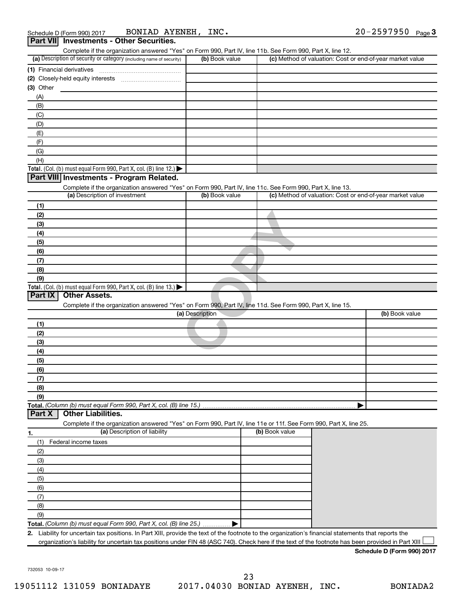| (a) Description of security or category (including name of security)                                                                                                                                                       | (b) Book value  | Complete if the organization answered "Yes" on Form 990, Part IV, line 11b. See Form 990, Part X, line 12.<br>(c) Method of valuation: Cost or end-of-year market value |                |
|----------------------------------------------------------------------------------------------------------------------------------------------------------------------------------------------------------------------------|-----------------|-------------------------------------------------------------------------------------------------------------------------------------------------------------------------|----------------|
|                                                                                                                                                                                                                            |                 |                                                                                                                                                                         |                |
| (1) Financial derivatives                                                                                                                                                                                                  |                 |                                                                                                                                                                         |                |
| $(3)$ Other                                                                                                                                                                                                                |                 |                                                                                                                                                                         |                |
|                                                                                                                                                                                                                            |                 |                                                                                                                                                                         |                |
| (A)<br>(B)                                                                                                                                                                                                                 |                 |                                                                                                                                                                         |                |
| (C)                                                                                                                                                                                                                        |                 |                                                                                                                                                                         |                |
| (D)                                                                                                                                                                                                                        |                 |                                                                                                                                                                         |                |
| (E)                                                                                                                                                                                                                        |                 |                                                                                                                                                                         |                |
| (F)                                                                                                                                                                                                                        |                 |                                                                                                                                                                         |                |
| (G)                                                                                                                                                                                                                        |                 |                                                                                                                                                                         |                |
| (H)                                                                                                                                                                                                                        |                 |                                                                                                                                                                         |                |
| Total. (Col. (b) must equal Form 990, Part X, col. (B) line 12.) $\blacktriangleright$                                                                                                                                     |                 |                                                                                                                                                                         |                |
| Part VIII Investments - Program Related.                                                                                                                                                                                   |                 |                                                                                                                                                                         |                |
| Complete if the organization answered "Yes" on Form 990, Part IV, line 11c. See Form 990, Part X, line 13.                                                                                                                 |                 |                                                                                                                                                                         |                |
| (a) Description of investment                                                                                                                                                                                              | (b) Book value  | (c) Method of valuation: Cost or end-of-year market value                                                                                                               |                |
| (1)                                                                                                                                                                                                                        |                 |                                                                                                                                                                         |                |
| (2)                                                                                                                                                                                                                        |                 |                                                                                                                                                                         |                |
| (3)                                                                                                                                                                                                                        |                 |                                                                                                                                                                         |                |
| (4)                                                                                                                                                                                                                        |                 |                                                                                                                                                                         |                |
| (5)                                                                                                                                                                                                                        |                 |                                                                                                                                                                         |                |
| (6)                                                                                                                                                                                                                        |                 |                                                                                                                                                                         |                |
| (7)                                                                                                                                                                                                                        |                 |                                                                                                                                                                         |                |
| (8)                                                                                                                                                                                                                        |                 |                                                                                                                                                                         |                |
| (9)                                                                                                                                                                                                                        |                 |                                                                                                                                                                         |                |
| Total. (Col. (b) must equal Form 990, Part X, col. (B) line 13.) $\blacktriangleright$                                                                                                                                     |                 |                                                                                                                                                                         |                |
| Part IX<br><b>Other Assets.</b>                                                                                                                                                                                            |                 |                                                                                                                                                                         |                |
| Complete if the organization answered "Yes" on Form 990, Part IV, line 11d. See Form 990, Part X, line 15.                                                                                                                 |                 |                                                                                                                                                                         |                |
|                                                                                                                                                                                                                            | (a) Description |                                                                                                                                                                         | (b) Book value |
|                                                                                                                                                                                                                            |                 |                                                                                                                                                                         |                |
| (1)                                                                                                                                                                                                                        |                 |                                                                                                                                                                         |                |
| (2)                                                                                                                                                                                                                        |                 |                                                                                                                                                                         |                |
| (3)                                                                                                                                                                                                                        |                 |                                                                                                                                                                         |                |
| (4)                                                                                                                                                                                                                        |                 |                                                                                                                                                                         |                |
| (5)                                                                                                                                                                                                                        |                 |                                                                                                                                                                         |                |
| (6)                                                                                                                                                                                                                        |                 |                                                                                                                                                                         |                |
| (7)                                                                                                                                                                                                                        |                 |                                                                                                                                                                         |                |
| (8)                                                                                                                                                                                                                        |                 |                                                                                                                                                                         |                |
| (9)                                                                                                                                                                                                                        |                 |                                                                                                                                                                         |                |
|                                                                                                                                                                                                                            |                 |                                                                                                                                                                         |                |
| <b>Other Liabilities.</b>                                                                                                                                                                                                  |                 |                                                                                                                                                                         |                |
|                                                                                                                                                                                                                            |                 | Complete if the organization answered "Yes" on Form 990, Part IV, line 11e or 11f. See Form 990, Part X, line 25.                                                       |                |
| (a) Description of liability                                                                                                                                                                                               |                 | (b) Book value                                                                                                                                                          |                |
| Federal income taxes<br>(1)                                                                                                                                                                                                |                 |                                                                                                                                                                         |                |
| (2)                                                                                                                                                                                                                        |                 |                                                                                                                                                                         |                |
| (3)                                                                                                                                                                                                                        |                 |                                                                                                                                                                         |                |
| (4)                                                                                                                                                                                                                        |                 |                                                                                                                                                                         |                |
| (5)                                                                                                                                                                                                                        |                 |                                                                                                                                                                         |                |
| (6)                                                                                                                                                                                                                        |                 |                                                                                                                                                                         |                |
| Total. (Column (b) must equal Form 990, Part X, col. (B) line 15.).<br>Part X<br>(7)                                                                                                                                       |                 |                                                                                                                                                                         |                |
| (8)                                                                                                                                                                                                                        |                 |                                                                                                                                                                         |                |
| (9)                                                                                                                                                                                                                        |                 |                                                                                                                                                                         |                |
| Total. (Column (b) must equal Form 990, Part X, col. (B) line 25.)<br>2. Liability for uncertain tax positions. In Part XIII, provide the text of the footnote to the organization's financial statements that reports the |                 |                                                                                                                                                                         |                |

**Schedule D (Form 990) 2017**

732053 10-09-17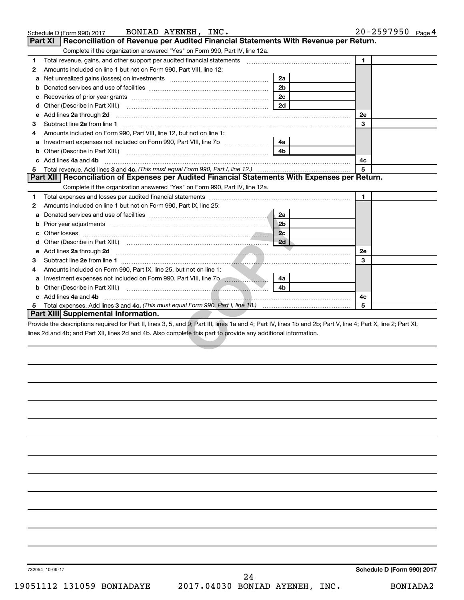|    | BONIAD AYENEH, INC.<br>Schedule D (Form 990) 2017                                                                                                                                                                                    |                | $20 - 2597950$ Page 4 |
|----|--------------------------------------------------------------------------------------------------------------------------------------------------------------------------------------------------------------------------------------|----------------|-----------------------|
|    | Reconciliation of Revenue per Audited Financial Statements With Revenue per Return.<br>Part XI                                                                                                                                       |                |                       |
|    | Complete if the organization answered "Yes" on Form 990, Part IV, line 12a.                                                                                                                                                          |                |                       |
| 1. | Total revenue, gains, and other support per audited financial statements [[[[[[[[[[[[[[[[[[[[[[[[[]]]]]]]]]]]                                                                                                                        |                | $\mathbf{1}$          |
| 2  | Amounts included on line 1 but not on Form 990, Part VIII, line 12:                                                                                                                                                                  |                |                       |
|    |                                                                                                                                                                                                                                      | 2a             |                       |
| b  |                                                                                                                                                                                                                                      | 2 <sub>b</sub> |                       |
| c  |                                                                                                                                                                                                                                      |                |                       |
| d  |                                                                                                                                                                                                                                      | 2d             |                       |
| e  | Add lines 2a through 2d                                                                                                                                                                                                              |                | <b>2e</b>             |
| З  |                                                                                                                                                                                                                                      |                | 3                     |
| 4  | Amounts included on Form 990, Part VIII, line 12, but not on line 1:                                                                                                                                                                 |                |                       |
| а  | Investment expenses not included on Form 990, Part VIII, line 7b                                                                                                                                                                     | 4a             |                       |
| b  | Other (Describe in Part XIII.) <b>Construction Contract Construction</b> Chemistry Chemistry Chemistry Chemistry Chemistry                                                                                                           | 4b             |                       |
|    | c Add lines 4a and 4b                                                                                                                                                                                                                |                | 4с                    |
| 5  |                                                                                                                                                                                                                                      |                | 5                     |
|    | Part XII   Reconciliation of Expenses per Audited Financial Statements With Expenses per Return.                                                                                                                                     |                |                       |
|    | Complete if the organization answered "Yes" on Form 990, Part IV, line 12a.                                                                                                                                                          |                |                       |
| 1. |                                                                                                                                                                                                                                      |                | $\mathbf{1}$          |
| 2  | Amounts included on line 1 but not on Form 990, Part IX, line 25:                                                                                                                                                                    |                |                       |
| a  |                                                                                                                                                                                                                                      | 2a             |                       |
| b  | Prior year adjustments <i>www.www.www.www.www.www.www.www.www.</i> ww.                                                                                                                                                               | 2 <sub>b</sub> |                       |
| c  |                                                                                                                                                                                                                                      | 2c             |                       |
| d  |                                                                                                                                                                                                                                      | 2d             |                       |
|    | e Add lines 2a through 2d <b>manual contract and a contract and a contract and a contract and a contract and a contract and a contract and a contract and a contract and a contract and a contract and a contract and a contract</b> |                | <b>2e</b>             |
| з  |                                                                                                                                                                                                                                      |                | 3                     |
| 4  | Amounts included on Form 990, Part IX, line 25, but not on line 1:                                                                                                                                                                   |                |                       |
| a  |                                                                                                                                                                                                                                      | 4a             |                       |
| b  |                                                                                                                                                                                                                                      | 4 <sub>b</sub> |                       |
|    | c Add lines 4a and 4b                                                                                                                                                                                                                |                | 4с                    |
| 5. |                                                                                                                                                                                                                                      |                | 5                     |
|    | Part XIII Supplemental Information.                                                                                                                                                                                                  |                |                       |
|    | Provide the descriptions required for Part II, lines 3, 5, and 9; Part III, lines 1a and 4; Part IV, lines 1b and 2b; Part V, line 4; Part X, line 2; Part XI,                                                                       |                |                       |
|    | lines 2d and 4b; and Part XII, lines 2d and 4b. Also complete this part to provide any additional information.                                                                                                                       |                |                       |
|    |                                                                                                                                                                                                                                      |                |                       |
|    |                                                                                                                                                                                                                                      |                |                       |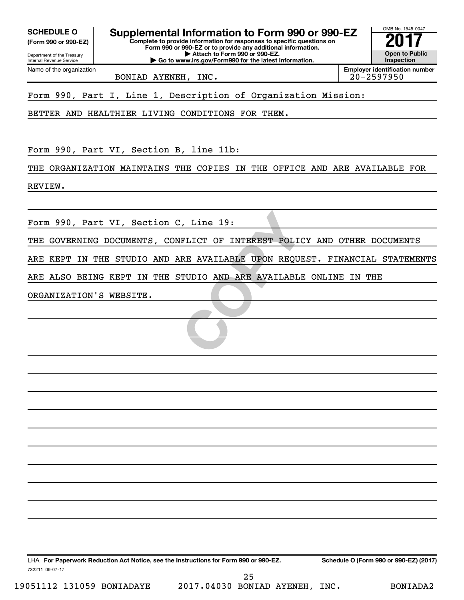**(Form 990 or 990-EZ)**

Department of the Treasury Internal Revenue Service Name of the organization

**Complete to provide information for responses to specific questions on Form 990 or 990-EZ or to provide any additional information. | Attach to Form 990 or 990-EZ. SCHEDULE O Supplemental Information to Form 990 or 990-EZ 2018 [2018 ACC]**<br>(Form 990 or 990-EZ) Complete to provide information for responses to specific questions on

**| Go to www.irs.gov/Form990 for the latest information.**

BONIAD AYENEH, INC.

Form 990, Part I, Line 1, Description of Organization Mission:

BETTER AND HEALTHIER LIVING CONDITIONS FOR THEM.

Form 990, Part VI, Section B, line 11b:

THE ORGANIZATION MAINTAINS THE COPIES IN THE OFFICE AND ARE AVAILABLE FOR

REVIEW.

Form 990, Part VI, Section C, Line 19:

A LINE 19:<br>
FLICT OF INTEREST POLICY AN<br>
RE AVAILABLE UPON REQUEST.<br>
TUDIO AND ARE AVAILABLE ONL THE GOVERNING DOCUMENTS, CONFLICT OF INTEREST POLICY AND OTHER DOCUMENTS

ARE KEPT IN THE STUDIO AND ARE AVAILABLE UPON REQUEST. FINANCIAL STATEMENTS

ARE ALSO BEING KEPT IN THE STUDIO AND ARE AVAILABLE ONLINE IN THE

ORGANIZATION'S WEBSITE.

732211 09-07-17 LHA For Paperwork Reduction Act Notice, see the Instructions for Form 990 or 990-EZ. Schedule O (Form 990 or 990-EZ) (2017)

OMB No. 1545-0047

**Open to Public Inspection**

**Employer identification number**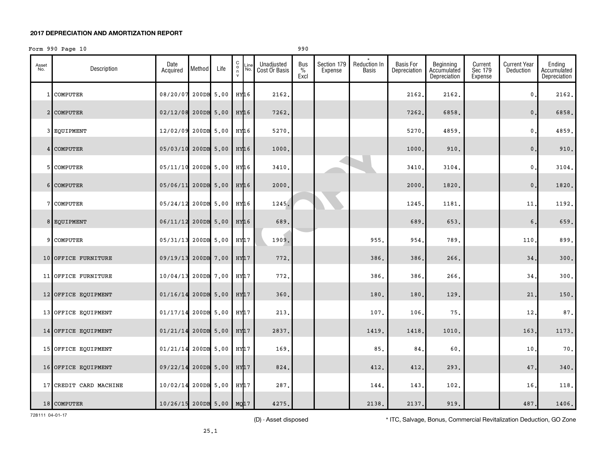#### **2017 DEPRECIATION AND AMORTIZATION REPORT**

#### Form 990 Page 10 990

| Asset<br>No. | Description            | Date<br>Acquired         | Method | Life       | $\begin{matrix} 0 \\ 0 \\ n \end{matrix}$<br>Line<br>No.<br>$\mathbf{v}$ | Unadjusted<br>Cost Or Basis | Bus<br>$\%$<br>Excl | Section 179<br>Expense | <b>Reduction In</b><br>Basis | Basis For<br>Depreciation | Beginning<br>Accumulated<br>Depreciation | Current<br>Sec 179<br>Expense | Current Year<br>Deduction | Ending<br>Accumulated<br>Depreciation |
|--------------|------------------------|--------------------------|--------|------------|--------------------------------------------------------------------------|-----------------------------|---------------------|------------------------|------------------------------|---------------------------|------------------------------------------|-------------------------------|---------------------------|---------------------------------------|
| 1            | <b>COMPUTER</b>        | 08/20/07                 |        | 200DB 5.00 | HY16                                                                     | 2162.                       |                     |                        |                              | 2162                      | 2162.                                    |                               | $\mathbf 0$               | 2162.                                 |
|              | 2 COMPUTER             | $02/12/08$ 200DB 5.00    |        |            | HY <sub>16</sub>                                                         | 7262.                       |                     |                        |                              | 7262.                     | 6858.                                    |                               | 0.                        | 6858.                                 |
|              | 3 EQUIPMENT            | 12/02/09                 |        | 200DB 5.00 | HY <sub>16</sub>                                                         | 5270.                       |                     |                        |                              | 5270                      | 4859.                                    |                               | $\mathbf{0}$              | 4859.                                 |
|              | 4 COMPUTER             | 05/03/10 200DB 5.00      |        |            | HY <sub>16</sub>                                                         | 1000.                       |                     |                        |                              | 1000                      | 910.                                     |                               | 0.                        | 910.                                  |
|              | 5 COMPUTER             | 05/11/10 200DB 5.00      |        |            | HY16                                                                     | 3410.                       |                     |                        |                              | 3410                      | 3104.                                    |                               | $\mathbf{0}$              | 3104.                                 |
|              | 6 COMPUTER             | $05/06/11$ 200DB 5.00    |        |            | HY <sub>16</sub>                                                         | 2000.                       |                     |                        |                              | 2000                      | 1820.                                    |                               | 0.                        | 1820.                                 |
|              | 7 COMPUTER             | 05/24/12                 |        | 200DB 5.00 | HY16                                                                     | 1245.                       |                     |                        |                              | 1245                      | 1181.                                    |                               | 11                        | 1192.                                 |
|              | 8 EQUIPMENT            | 06/11/12                 |        | 200DB 5.00 | HY <sub>16</sub>                                                         | 689.                        |                     |                        |                              | 689.                      | 653.                                     |                               | 6,                        | 659.                                  |
|              | 9 COMPUTER             | 05/31/13                 |        | 200DB 5.00 | $HY$ $17$                                                                | 1909.                       |                     |                        | 955.                         | 954.                      | 789.                                     |                               | 110                       | 899.                                  |
|              | 10 OFFICE FURNITURE    | 09/19/13 200DB 7.00      |        |            | HY <sub>17</sub>                                                         | 772.                        |                     |                        | 386.                         | 386                       | 266.                                     |                               | 34                        | 300.                                  |
|              | 11 OFFICE FURNITURE    | 10/04/13 200DB 7.00      |        |            | HY17                                                                     | 772.                        |                     |                        | 386.                         | 386                       | 266.                                     |                               | 34                        | 300.                                  |
|              | 12 OFFICE EQUIPMENT    | $01/16/14$ 200DB 5.00    |        |            | $HY$ $17$                                                                | 360.                        |                     |                        | 180.                         | 180                       | 129.                                     |                               | 21                        | 150.                                  |
|              | 13 OFFICE EQUIPMENT    | $01/17/14$ 200DB 5.00    |        |            | HY17                                                                     | 213.                        |                     |                        | 107.                         | 106                       | 75.                                      |                               | 12 <sub>1</sub>           | 87.                                   |
|              | 14 OFFICE EQUIPMENT    | 01/21/14                 |        | 200DB 5.00 | $HY$ $17$                                                                | 2837.                       |                     |                        | 1419.                        | 1418.                     | 1010.                                    |                               | 163.                      | 1173.                                 |
|              | 15 OFFICE EQUIPMENT    | 01/21/14                 |        | 200DB 5.00 | $HY$ $17$                                                                | 169.                        |                     |                        | 85.                          | 84                        | 60.                                      |                               | 10                        | 70.                                   |
|              | 16 OFFICE EQUIPMENT    | 09/22/14                 |        | 200DB 5.00 | $HY$ $17$                                                                | 824.                        |                     |                        | 412.                         | 412.                      | 293.                                     |                               | 47                        | 340.                                  |
|              | 17 CREDIT CARD MACHINE | 10/02/14 200DB 5.00      |        |            | HY17                                                                     | 287.                        |                     |                        | 144.                         | 143.                      | 102.                                     |                               | 16                        | 118.                                  |
|              | 18 COMPUTER            | 10/26/15 200DB 5.00 MQ17 |        |            |                                                                          | 4275.                       |                     |                        | 2138.                        | 2137.                     | 919.                                     |                               | 487.                      | 1406.                                 |

728111 04-01-17

(D) - Asset disposed \* ITC, Salvage, Bonus, Commercial Revitalization Deduction, GO Zone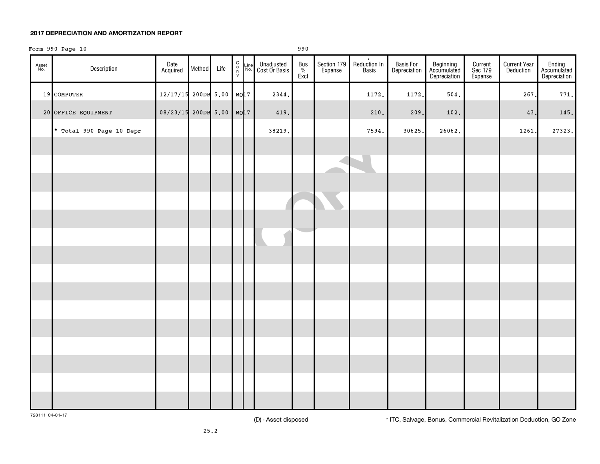#### **2017 DEPRECIATION AND AMORTIZATION REPORT**

#### Form 990 Page 10 990

| Asset<br>No. | Description              | Date<br>Acquired         | Method | Life | $\begin{smallmatrix} 0 \\ 0 \\ 7 \end{smallmatrix}$ | Line Unadjusted<br>No. Cost Or Basis | Bus<br>$\frac{1}{2}$<br>Excl | Section 179<br>Expense | $\star$<br>Reduction In<br><b>Basis</b> | Basis For<br>Depreciation | Beginning<br>Accumulated<br>Depreciation | Current<br>Sec 179<br>Expense | <b>Current Year</b><br>Deduction | Ending<br>Accumulated<br>Depreciation |
|--------------|--------------------------|--------------------------|--------|------|-----------------------------------------------------|--------------------------------------|------------------------------|------------------------|-----------------------------------------|---------------------------|------------------------------------------|-------------------------------|----------------------------------|---------------------------------------|
|              | 19 COMPUTER              | $12/17/15$ 200DB 5.00    |        |      | MQ17                                                | 2344.                                |                              |                        | 1172.                                   | 1172.                     | 504.                                     |                               | 267.                             | 771.                                  |
|              | 20 OFFICE EQUIPMENT      | 08/23/15 200DB 5.00 MQ17 |        |      |                                                     | 419.                                 |                              |                        | 210.                                    | 209.                      | 102.                                     |                               | 43                               | 145.                                  |
|              | * Total 990 Page 10 Depr |                          |        |      |                                                     | 38219.                               |                              |                        | 7594.                                   | 30625.                    | 26062.                                   |                               | 1261.                            | 27323.                                |
|              |                          |                          |        |      |                                                     |                                      |                              |                        |                                         |                           |                                          |                               |                                  |                                       |
|              |                          |                          |        |      |                                                     |                                      |                              |                        |                                         |                           |                                          |                               |                                  |                                       |
|              |                          |                          |        |      |                                                     |                                      |                              |                        |                                         |                           |                                          |                               |                                  |                                       |
|              |                          |                          |        |      |                                                     |                                      |                              |                        |                                         |                           |                                          |                               |                                  |                                       |
|              |                          |                          |        |      |                                                     |                                      |                              |                        |                                         |                           |                                          |                               |                                  |                                       |
|              |                          |                          |        |      |                                                     |                                      |                              |                        |                                         |                           |                                          |                               |                                  |                                       |
|              |                          |                          |        |      |                                                     |                                      |                              |                        |                                         |                           |                                          |                               |                                  |                                       |
|              |                          |                          |        |      |                                                     |                                      |                              |                        |                                         |                           |                                          |                               |                                  |                                       |
|              |                          |                          |        |      |                                                     |                                      |                              |                        |                                         |                           |                                          |                               |                                  |                                       |
|              |                          |                          |        |      |                                                     |                                      |                              |                        |                                         |                           |                                          |                               |                                  |                                       |
|              |                          |                          |        |      |                                                     |                                      |                              |                        |                                         |                           |                                          |                               |                                  |                                       |
|              |                          |                          |        |      |                                                     |                                      |                              |                        |                                         |                           |                                          |                               |                                  |                                       |
|              |                          |                          |        |      |                                                     |                                      |                              |                        |                                         |                           |                                          |                               |                                  |                                       |
|              |                          |                          |        |      |                                                     |                                      |                              |                        |                                         |                           |                                          |                               |                                  |                                       |
|              |                          |                          |        |      |                                                     |                                      |                              |                        |                                         |                           |                                          |                               |                                  |                                       |

728111 04-01-17

(D) - Asset disposed \* ITC, Salvage, Bonus, Commercial Revitalization Deduction, GO Zone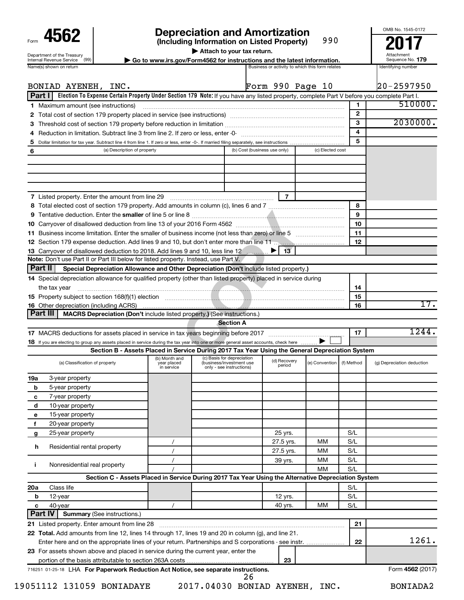| Form                                                          |
|---------------------------------------------------------------|
| Department of the Treasury<br><b>Internal Revenue Service</b> |
| Name(s) shown on return                                       |

# **4562 Depreciation and Amortization**<br>(Including Information on Listed Property) 990 **2017**

**(Including Information on Listed Property)**

990

**| Attach to your tax return.**

Attachment Sequence No.

OMB No. 1545-0172

| $\triangleright$ Go to www.irs.gov/Form4562 for instructions and the latest information. |                                                 | Auachnem<br>Sequence No. |
|------------------------------------------------------------------------------------------|-------------------------------------------------|--------------------------|
|                                                                                          | Business or activity to which this form relates | Identifying number       |

|         | BONIAD AYENEH, INC.                                                                                                                                 |                                            |                                                                                    |                              | Form 990 Page 10       |                  |              | 20-2597950                 |
|---------|-----------------------------------------------------------------------------------------------------------------------------------------------------|--------------------------------------------|------------------------------------------------------------------------------------|------------------------------|------------------------|------------------|--------------|----------------------------|
|         | Election To Expense Certain Property Under Section 179 Note: If you have any listed property, complete Part V before you complete Part I.<br>Part I |                                            |                                                                                    |                              |                        |                  |              |                            |
|         | 1 Maximum amount (see instructions)                                                                                                                 |                                            |                                                                                    |                              |                        |                  | 1            | 510000.                    |
|         |                                                                                                                                                     |                                            |                                                                                    |                              |                        |                  | $\mathbf{2}$ |                            |
|         |                                                                                                                                                     |                                            |                                                                                    |                              |                        |                  | 3            | 2030000.                   |
|         |                                                                                                                                                     |                                            |                                                                                    |                              |                        |                  | 4            |                            |
| 5       |                                                                                                                                                     |                                            |                                                                                    |                              |                        |                  | 5            |                            |
| 6       | (a) Description of property                                                                                                                         |                                            |                                                                                    | (b) Cost (business use only) |                        | (c) Elected cost |              |                            |
|         |                                                                                                                                                     |                                            |                                                                                    |                              |                        |                  |              |                            |
|         |                                                                                                                                                     |                                            |                                                                                    |                              |                        |                  |              |                            |
|         |                                                                                                                                                     |                                            |                                                                                    |                              |                        |                  |              |                            |
|         |                                                                                                                                                     |                                            |                                                                                    |                              |                        |                  |              |                            |
|         | 7 Listed property. Enter the amount from line 29                                                                                                    |                                            |                                                                                    |                              | $\overline{7}$         |                  |              |                            |
|         |                                                                                                                                                     |                                            |                                                                                    |                              |                        |                  | 8            |                            |
|         |                                                                                                                                                     |                                            |                                                                                    |                              |                        |                  | 9            |                            |
|         |                                                                                                                                                     |                                            |                                                                                    |                              |                        |                  | 10           |                            |
|         |                                                                                                                                                     |                                            |                                                                                    |                              |                        |                  | 11           |                            |
|         |                                                                                                                                                     |                                            |                                                                                    |                              |                        |                  | 12           |                            |
|         | 13 Carryover of disallowed deduction to 2018. Add lines 9 and 10, less line 12                                                                      |                                            |                                                                                    |                              | 13                     |                  |              |                            |
|         | Note: Don't use Part II or Part III below for listed property. Instead, use Part V.                                                                 |                                            |                                                                                    |                              |                        |                  |              |                            |
| Part II | Special Depreciation Allowance and Other Depreciation (Don't include listed property.)                                                              |                                            |                                                                                    |                              |                        |                  |              |                            |
|         | 14 Special depreciation allowance for qualified property (other than listed property) placed in service during                                      |                                            |                                                                                    |                              |                        |                  |              |                            |
|         | the tax year                                                                                                                                        |                                            |                                                                                    |                              |                        |                  | 14           |                            |
|         | 15 Property subject to section 168(f)(1) election manufactured and contain an according to Property subject to section 168(f)(1) election           |                                            |                                                                                    |                              |                        |                  | 15           |                            |
|         |                                                                                                                                                     |                                            |                                                                                    |                              |                        |                  | 16           | 17.                        |
|         | Part III<br>MACRS Depreciation (Don't include listed property.) (See instructions.)                                                                 |                                            |                                                                                    |                              |                        |                  |              |                            |
|         |                                                                                                                                                     |                                            |                                                                                    | <b>Section A</b>             |                        |                  |              |                            |
|         |                                                                                                                                                     |                                            |                                                                                    |                              |                        |                  | 17           | 1244.                      |
|         | 18 If you are electing to group any assets placed in service during the tax year into one or more general asset accounts, check here                |                                            |                                                                                    |                              |                        |                  |              |                            |
|         | Section B - Assets Placed in Service During 2017 Tax Year Using the General Depreciation System                                                     |                                            |                                                                                    |                              |                        |                  |              |                            |
|         | (a) Classification of property                                                                                                                      | (b) Month and<br>year placed<br>in service | (c) Basis for depreciation<br>(business/investment use<br>only - see instructions) |                              | (d) Recovery<br>period | (e) Convention   | (f) Method   | (g) Depreciation deduction |
| 19a     | 3-year property                                                                                                                                     |                                            |                                                                                    |                              |                        |                  |              |                            |
| b       | 5-year property                                                                                                                                     |                                            |                                                                                    |                              |                        |                  |              |                            |
| с       | 7-year property                                                                                                                                     |                                            |                                                                                    |                              |                        |                  |              |                            |
| d       | 10-year property                                                                                                                                    |                                            |                                                                                    |                              |                        |                  |              |                            |
| е       | 15-year property                                                                                                                                    |                                            |                                                                                    |                              |                        |                  |              |                            |
| f       | 20-year property                                                                                                                                    |                                            |                                                                                    |                              |                        |                  |              |                            |
| g       | 25-year property                                                                                                                                    |                                            |                                                                                    |                              | 25 yrs.                |                  | S/L          |                            |
|         |                                                                                                                                                     |                                            |                                                                                    |                              | 27.5 yrs.              | MМ               | S/L          |                            |
| h       | Residential rental property                                                                                                                         |                                            |                                                                                    |                              |                        |                  |              |                            |
|         |                                                                                                                                                     |                                            |                                                                                    |                              | 27.5 yrs.              | MМ               | S/L          |                            |
|         |                                                                                                                                                     |                                            |                                                                                    |                              | 39 yrs.                | MМ               | S/L          |                            |
| j.      | Nonresidential real property                                                                                                                        |                                            |                                                                                    |                              |                        | <b>MM</b>        | S/L          |                            |
|         | Section C - Assets Placed in Service During 2017 Tax Year Using the Alternative Depreciation System                                                 |                                            |                                                                                    |                              |                        |                  |              |                            |
| 20a     | Class life                                                                                                                                          |                                            |                                                                                    |                              |                        |                  | S/L          |                            |
| b       | 12-year                                                                                                                                             |                                            |                                                                                    |                              | 12 yrs.                |                  | S/L          |                            |
| c       | 40-year                                                                                                                                             |                                            |                                                                                    |                              | 40 yrs.                | MМ               | S/L          |                            |
|         | <b>Part IV</b><br><b>Summary (See instructions.)</b>                                                                                                |                                            |                                                                                    |                              |                        |                  |              |                            |
|         | 21 Listed property. Enter amount from line 28                                                                                                       |                                            |                                                                                    |                              |                        |                  | 21           |                            |
|         | 22 Total. Add amounts from line 12, lines 14 through 17, lines 19 and 20 in column (g), and line 21.                                                |                                            |                                                                                    |                              |                        |                  |              |                            |
|         | Enter here and on the appropriate lines of your return. Partnerships and S corporations - see instr.                                                |                                            |                                                                                    |                              |                        |                  | 22           | 1261.                      |
|         | 23 For assets shown above and placed in service during the current year, enter the                                                                  |                                            |                                                                                    |                              |                        |                  |              |                            |
|         |                                                                                                                                                     |                                            |                                                                                    |                              | 23                     |                  |              |                            |

26

19051112 131059 BONIADAYE 2017.04030 BONIAD AYENEH, INC. BONIADA2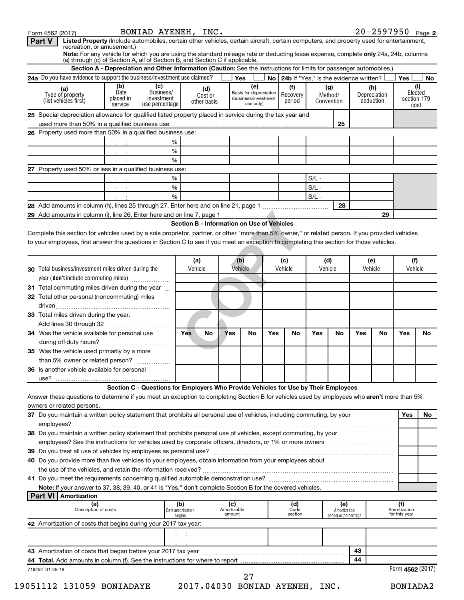| Part V<br>Listed Property (Include automobiles, certain other vehicles, certain aircraft, certain computers, and property used for entertainment,<br>recreation, or amusement.)                                     |                                     |                                                                                                                      |                             |                                            |                       |                                                                    |     |                                             |                              |                                      |     |                                  |                               |                                       |
|---------------------------------------------------------------------------------------------------------------------------------------------------------------------------------------------------------------------|-------------------------------------|----------------------------------------------------------------------------------------------------------------------|-----------------------------|--------------------------------------------|-----------------------|--------------------------------------------------------------------|-----|---------------------------------------------|------------------------------|--------------------------------------|-----|----------------------------------|-------------------------------|---------------------------------------|
| Note: For any vehicle for which you are using the standard mileage rate or deducting lease expense, complete only 24a, 24b, columns<br>(a) through (c) of Section A, all of Section B, and Section C if applicable. |                                     |                                                                                                                      |                             |                                            |                       |                                                                    |     |                                             |                              |                                      |     |                                  |                               |                                       |
|                                                                                                                                                                                                                     |                                     | Section A - Depreciation and Other Information (Caution: See the instructions for limits for passenger automobiles.) |                             |                                            |                       |                                                                    |     |                                             |                              |                                      |     |                                  |                               |                                       |
| 24a Do you have evidence to support the business/investment use claimed?                                                                                                                                            |                                     |                                                                                                                      |                             |                                            |                       | Yes                                                                |     | No   24b If "Yes," is the evidence written? |                              |                                      |     |                                  | Yes                           | No                                    |
| (a)<br>Type of property<br>(list vehicles first)                                                                                                                                                                    | (b)<br>Date<br>placed in<br>service | (c)<br>Business/<br>investment<br>use percentage                                                                     |                             | (d)<br>Cost or<br>other basis              |                       | (e)<br>Basis for depreciation<br>(business/investment<br>use only) |     | (f)<br>Recovery<br>period                   | (g)<br>Method/<br>Convention |                                      |     | (h)<br>Depreciation<br>deduction |                               | (i)<br>Elected<br>section 179<br>cost |
| 25 Special depreciation allowance for qualified listed property placed in service during the tax year and                                                                                                           |                                     |                                                                                                                      |                             |                                            |                       |                                                                    |     |                                             |                              |                                      |     |                                  |                               |                                       |
|                                                                                                                                                                                                                     |                                     |                                                                                                                      |                             |                                            |                       |                                                                    |     |                                             |                              | 25                                   |     |                                  |                               |                                       |
| 26 Property used more than 50% in a qualified business use:                                                                                                                                                         |                                     |                                                                                                                      |                             |                                            |                       |                                                                    |     |                                             |                              |                                      |     |                                  |                               |                                       |
|                                                                                                                                                                                                                     |                                     |                                                                                                                      | %                           |                                            |                       |                                                                    |     |                                             |                              |                                      |     |                                  |                               |                                       |
|                                                                                                                                                                                                                     | ÷                                   |                                                                                                                      | %                           |                                            |                       |                                                                    |     |                                             |                              |                                      |     |                                  |                               |                                       |
|                                                                                                                                                                                                                     |                                     |                                                                                                                      | %                           |                                            |                       |                                                                    |     |                                             |                              |                                      |     |                                  |                               |                                       |
| 27 Property used 50% or less in a qualified business use:                                                                                                                                                           |                                     |                                                                                                                      | %                           |                                            |                       |                                                                    |     |                                             | $S/L -$                      |                                      |     |                                  |                               |                                       |
|                                                                                                                                                                                                                     | ÷                                   |                                                                                                                      | %                           |                                            |                       |                                                                    |     |                                             | $S/L -$                      |                                      |     |                                  |                               |                                       |
|                                                                                                                                                                                                                     |                                     |                                                                                                                      | %                           |                                            |                       |                                                                    |     |                                             | $S/L -$                      |                                      |     |                                  |                               |                                       |
|                                                                                                                                                                                                                     |                                     |                                                                                                                      |                             |                                            |                       |                                                                    |     |                                             |                              | 28                                   |     |                                  |                               |                                       |
|                                                                                                                                                                                                                     |                                     |                                                                                                                      |                             |                                            |                       |                                                                    |     |                                             |                              |                                      |     | 29                               |                               |                                       |
|                                                                                                                                                                                                                     |                                     |                                                                                                                      |                             | Section B - Information on Use of Vehicles |                       |                                                                    |     |                                             |                              |                                      |     |                                  |                               |                                       |
| Complete this section for vehicles used by a sole proprietor, partner, or other "more than 5% owner," or related person. If you provided vehicles                                                                   |                                     |                                                                                                                      |                             |                                            |                       |                                                                    |     |                                             |                              |                                      |     |                                  |                               |                                       |
| to your employees, first answer the questions in Section C to see if you meet an exception to completing this section for those vehicles.                                                                           |                                     |                                                                                                                      |                             |                                            |                       |                                                                    |     |                                             |                              |                                      |     |                                  |                               |                                       |
|                                                                                                                                                                                                                     |                                     |                                                                                                                      |                             |                                            |                       |                                                                    |     |                                             |                              |                                      |     |                                  |                               |                                       |
|                                                                                                                                                                                                                     |                                     |                                                                                                                      |                             | (a)                                        |                       | (b)                                                                |     | (c)                                         | (d)                          |                                      |     | (e)                              | (f)                           |                                       |
| <b>30</b> Total business/investment miles driven during the                                                                                                                                                         |                                     |                                                                                                                      |                             | Vehicle                                    |                       | Vehicle                                                            |     | Vehicle                                     | Vehicle                      |                                      |     | Vehicle                          | Vehicle                       |                                       |
| year (don't include commuting miles)<br>31 Total commuting miles driven during the year                                                                                                                             |                                     |                                                                                                                      |                             |                                            |                       |                                                                    |     |                                             |                              |                                      |     |                                  |                               |                                       |
| 32 Total other personal (noncommuting) miles                                                                                                                                                                        |                                     |                                                                                                                      |                             |                                            |                       |                                                                    |     |                                             |                              |                                      |     |                                  |                               |                                       |
|                                                                                                                                                                                                                     |                                     |                                                                                                                      |                             |                                            |                       |                                                                    |     |                                             |                              |                                      |     |                                  |                               |                                       |
| 33 Total miles driven during the year.                                                                                                                                                                              |                                     |                                                                                                                      |                             |                                            |                       |                                                                    |     |                                             |                              |                                      |     |                                  |                               |                                       |
|                                                                                                                                                                                                                     |                                     |                                                                                                                      |                             |                                            |                       |                                                                    |     |                                             |                              |                                      |     |                                  |                               |                                       |
| 34 Was the vehicle available for personal use                                                                                                                                                                       |                                     |                                                                                                                      | <b>Yes</b>                  | No                                         | Yes                   | No                                                                 | Yes | No                                          | Yes                          | No                                   | Yes | No                               | Yes                           | No                                    |
|                                                                                                                                                                                                                     |                                     |                                                                                                                      |                             |                                            |                       |                                                                    |     |                                             |                              |                                      |     |                                  |                               |                                       |
| 35 Was the vehicle used primarily by a more                                                                                                                                                                         |                                     |                                                                                                                      |                             |                                            |                       |                                                                    |     |                                             |                              |                                      |     |                                  |                               |                                       |
| than 5% owner or related person?                                                                                                                                                                                    |                                     |                                                                                                                      |                             |                                            |                       |                                                                    |     |                                             |                              |                                      |     |                                  |                               |                                       |
| 36 Is another vehicle available for personal                                                                                                                                                                        |                                     |                                                                                                                      |                             |                                            |                       |                                                                    |     |                                             |                              |                                      |     |                                  |                               |                                       |
| use?                                                                                                                                                                                                                |                                     |                                                                                                                      |                             |                                            |                       |                                                                    |     |                                             |                              |                                      |     |                                  |                               |                                       |
| Answer these questions to determine if you meet an exception to completing Section B for vehicles used by employees who aren't more than 5%                                                                         |                                     | Section C - Questions for Employers Who Provide Vehicles for Use by Their Employees                                  |                             |                                            |                       |                                                                    |     |                                             |                              |                                      |     |                                  |                               |                                       |
| owners or related persons.                                                                                                                                                                                          |                                     |                                                                                                                      |                             |                                            |                       |                                                                    |     |                                             |                              |                                      |     |                                  |                               |                                       |
| 37 Do you maintain a written policy statement that prohibits all personal use of vehicles, including commuting, by your                                                                                             |                                     |                                                                                                                      |                             |                                            |                       |                                                                    |     |                                             |                              |                                      |     |                                  | <b>Yes</b>                    | No                                    |
|                                                                                                                                                                                                                     |                                     |                                                                                                                      |                             |                                            |                       |                                                                    |     |                                             |                              |                                      |     |                                  |                               |                                       |
| 38 Do you maintain a written policy statement that prohibits personal use of vehicles, except commuting, by your                                                                                                    |                                     |                                                                                                                      |                             |                                            |                       |                                                                    |     |                                             |                              |                                      |     |                                  |                               |                                       |
|                                                                                                                                                                                                                     |                                     |                                                                                                                      |                             |                                            |                       |                                                                    |     |                                             |                              |                                      |     |                                  |                               |                                       |
|                                                                                                                                                                                                                     |                                     |                                                                                                                      |                             |                                            |                       |                                                                    |     |                                             |                              |                                      |     |                                  |                               |                                       |
| 40 Do you provide more than five vehicles to your employees, obtain information from your employees about                                                                                                           |                                     |                                                                                                                      |                             |                                            |                       |                                                                    |     |                                             |                              |                                      |     |                                  |                               |                                       |
|                                                                                                                                                                                                                     |                                     |                                                                                                                      |                             |                                            |                       |                                                                    |     |                                             |                              |                                      |     |                                  |                               |                                       |
|                                                                                                                                                                                                                     |                                     |                                                                                                                      |                             |                                            |                       |                                                                    |     |                                             |                              |                                      |     |                                  |                               |                                       |
| Note: If your answer to 37, 38, 39, 40, or 41 is "Yes," don't complete Section B for the covered vehicles.<br><b>Part VI   Amortization</b>                                                                         |                                     |                                                                                                                      |                             |                                            |                       |                                                                    |     |                                             |                              |                                      |     |                                  |                               |                                       |
| (a)                                                                                                                                                                                                                 |                                     |                                                                                                                      | (b)                         |                                            | (c)                   |                                                                    |     | (d)                                         |                              | (e)                                  |     |                                  | (f)                           |                                       |
| Description of costs                                                                                                                                                                                                |                                     |                                                                                                                      | Date amortization<br>begins |                                            | Amortizable<br>amount |                                                                    |     | Code<br>section                             |                              | Amortization<br>period or percentage |     |                                  | Amortization<br>for this year |                                       |
| 42 Amortization of costs that begins during your 2017 tax year:                                                                                                                                                     |                                     |                                                                                                                      |                             |                                            |                       |                                                                    |     |                                             |                              |                                      |     |                                  |                               |                                       |
|                                                                                                                                                                                                                     |                                     |                                                                                                                      |                             |                                            |                       |                                                                    |     |                                             |                              |                                      |     |                                  |                               |                                       |
|                                                                                                                                                                                                                     |                                     |                                                                                                                      |                             |                                            |                       |                                                                    |     |                                             |                              |                                      |     |                                  |                               |                                       |
| 43 Amortization of costs that began before your 2017 tax year manufactured contracts and contract and an amount                                                                                                     |                                     |                                                                                                                      |                             |                                            |                       |                                                                    |     |                                             |                              |                                      | 43  |                                  |                               |                                       |
| 44 Total. Add amounts in column (f). See the instructions for where to report                                                                                                                                       |                                     |                                                                                                                      |                             |                                            |                       |                                                                    |     |                                             |                              |                                      | 44  |                                  |                               |                                       |
| 716252 01-25-18                                                                                                                                                                                                     |                                     |                                                                                                                      |                             |                                            |                       |                                                                    |     |                                             |                              |                                      |     |                                  | Form 4562 (2017)              |                                       |
|                                                                                                                                                                                                                     |                                     |                                                                                                                      |                             |                                            |                       | 27                                                                 |     |                                             |                              |                                      |     |                                  |                               |                                       |

Form 4562 (2017) Page

BONIAD AYENEH, INC. 20-2597950

19051112 131059 BONIADAYE 2017.04030 BONIAD AYENEH, INC. BONIADA2

**2**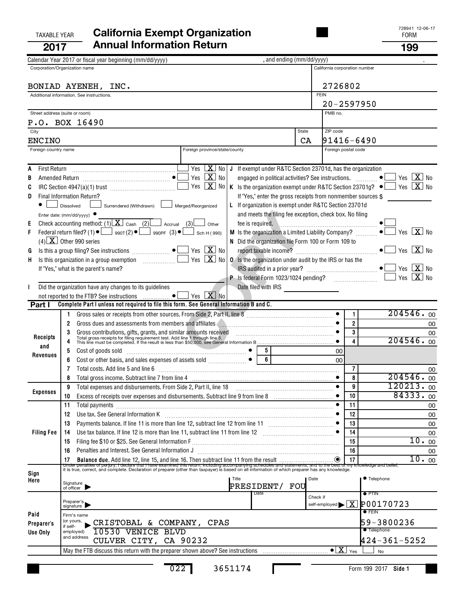| TAXABLE YEAR | <b>California Exempt Organization</b> | 728941 -<br>FORM |
|--------------|---------------------------------------|------------------|
| 2017         | <b>Annual Information Return</b>      | 199              |

|      |                      | Calendar Year 2017 or fiscal year beginning (mm/dd/yyyy)                                                                                                                                                                          | , and ending (mm/dd/yyyy)                                          |              |                               |                                                                                   |
|------|----------------------|-----------------------------------------------------------------------------------------------------------------------------------------------------------------------------------------------------------------------------------|--------------------------------------------------------------------|--------------|-------------------------------|-----------------------------------------------------------------------------------|
|      |                      | Corporation/Organization name                                                                                                                                                                                                     |                                                                    |              | California corporation number |                                                                                   |
|      |                      |                                                                                                                                                                                                                                   |                                                                    |              |                               |                                                                                   |
|      |                      | BONIAD AYENEH, INC.                                                                                                                                                                                                               |                                                                    |              | 2726802                       |                                                                                   |
|      |                      | Additional information. See instructions.                                                                                                                                                                                         |                                                                    | <b>FEIN</b>  |                               |                                                                                   |
|      |                      |                                                                                                                                                                                                                                   |                                                                    |              | $20 - 2597950$                |                                                                                   |
|      |                      | Street address (suite or room)                                                                                                                                                                                                    |                                                                    | PMB no.      |                               |                                                                                   |
|      |                      | P.O. BOX 16490                                                                                                                                                                                                                    |                                                                    |              |                               |                                                                                   |
|      | City                 |                                                                                                                                                                                                                                   |                                                                    | <b>State</b> | ZIP code                      |                                                                                   |
|      | <b>ENCINO</b>        |                                                                                                                                                                                                                                   |                                                                    | CA           | 91416-6490                    |                                                                                   |
|      | Foreign country name | Foreign province/state/county                                                                                                                                                                                                     |                                                                    |              | Foreign postal code           |                                                                                   |
|      |                      |                                                                                                                                                                                                                                   |                                                                    |              |                               |                                                                                   |
| A    |                      | Yes $\overline{\mathbf{X}}$                                                                                                                                                                                                       | No   J If exempt under R&TC Section 23701d, has the organization   |              |                               |                                                                                   |
| В    |                      | $Yes \ \boxed{X}$<br>No                                                                                                                                                                                                           |                                                                    |              |                               | Yes $X$ No<br>$Yes$ $\boxed{\mathbf{X}}$ No                                       |
| C    |                      | Yes $\boxed{\mathbf{X}}$ No   K is the organization exempt under R&TC Section 23701g? $\bullet$                                                                                                                                   | If "Yes," enter the gross receipts from nonmember sources \$       |              |                               |                                                                                   |
| D    |                      | Final Information Return?<br>Dissolved<br>$\perp$ Surrendered (Withdrawn) $\perp$<br>Merged/Reorganized                                                                                                                           | L If organization is exempt under R&TC Section 23701d              |              |                               |                                                                                   |
|      |                      | Enter date: (mm/dd/yyyy) $\bullet$                                                                                                                                                                                                | and meets the filing fee exception, check box. No filing           |              |                               |                                                                                   |
| E.   |                      | Check accounting method: (1) $X$ cash (2) $\Box$ Accrual (3)<br>Other                                                                                                                                                             | fee is required.                                                   |              |                               |                                                                                   |
| F.   |                      | Federal return filed? (1) $\bullet$ $\Box$ 990T(2) $\bullet$ $\Box$ 990PF (3) $\bullet$ $\Box$<br>Sch H (990)                                                                                                                     | <b>M</b> Is the organization a Limited Liability Company? $\ldots$ |              |                               | Yes $\boxed{\mathbf{X}}$ No                                                       |
|      |                      | $(4)$ $\overline{\mathbf{X}}$ Other 990 series                                                                                                                                                                                    | N Did the organization file Form 100 or Form 109 to                |              |                               |                                                                                   |
| G    |                      | Yes $X$ No                                                                                                                                                                                                                        |                                                                    |              |                               | Yes $X $ No                                                                       |
| Н.   |                      | Yes $X$ No                                                                                                                                                                                                                        | <b>0</b> Is the organization under audit by the IRS or has the     |              |                               |                                                                                   |
|      |                      | If "Yes," what is the parent's name?                                                                                                                                                                                              |                                                                    |              |                               | Yes $\boxed{\mathbf{X}}$ No                                                       |
|      |                      |                                                                                                                                                                                                                                   | P Is federal Form 1023/1024 pending?                               |              | $\overline{\phantom{a}}$      | Yes $\boxed{\mathbf{X}}$ No                                                       |
|      |                      | Did the organization have any changes to its guidelines                                                                                                                                                                           | Date filed with IRS                                                |              |                               |                                                                                   |
|      |                      | Yes $X$ No                                                                                                                                                                                                                        |                                                                    |              |                               |                                                                                   |
|      | Part I               | Complete Part I unless not required to file this form. See General Information B and C.                                                                                                                                           |                                                                    |              | 1                             | 204546.00                                                                         |
|      |                      | 1.<br>Gross dues and assessments from members and affiliates <b>Commission contract to the Contract Office</b><br>2                                                                                                               |                                                                    |              | $\boldsymbol{2}$              |                                                                                   |
|      |                      | 3                                                                                                                                                                                                                                 |                                                                    |              | 3                             | 00<br>00                                                                          |
|      | Receipts             | Gross contributions, gifts, grants, and similar amounts received contributions. Total gross receipts for filing requirement test. Add line 1 through line 3.<br>This line must be completed. If the result is less than \$50,000, |                                                                    |              |                               | 204546.00                                                                         |
|      | and                  | Cost of goods sold immunications and the set of goods sold<br>5                                                                                                                                                                   | 5                                                                  |              | 00                            |                                                                                   |
|      | Revenues             | 6                                                                                                                                                                                                                                 | $\overline{6}$                                                     |              | 00                            |                                                                                   |
|      |                      | Total costs. Add line 5 and line 6<br>7                                                                                                                                                                                           |                                                                    |              | $\overline{7}$                | 00                                                                                |
|      |                      | 8                                                                                                                                                                                                                                 |                                                                    |              | 8                             | 204546.00                                                                         |
|      |                      | Total expenses and disbursements. From Side 2, Part II, line 18<br>9                                                                                                                                                              |                                                                    |              | 9<br>$\bullet$                | 120213.00                                                                         |
|      | <b>Expenses</b>      | Excess of receipts over expenses and disbursements. Subtract line 9 from line 8 [11, 11, 11, 11, 11, 11, 11, 1<br>10                                                                                                              |                                                                    |              | 10                            | 84333.00                                                                          |
|      |                      | 11<br>Total payments                                                                                                                                                                                                              |                                                                    |              | 11                            | 00                                                                                |
|      |                      | Use tax. See General Information K<br>12                                                                                                                                                                                          |                                                                    |              | 12                            | 00                                                                                |
|      |                      | Payments balance. If line 11 is more than line 12, subtract line 12 from line 11<br>13                                                                                                                                            |                                                                    |              | 13                            | 00                                                                                |
|      | <b>Filing Fee</b>    | 14                                                                                                                                                                                                                                |                                                                    |              | 14                            | 00                                                                                |
|      |                      | 15<br>Penalties and Interest. See General Information J                                                                                                                                                                           |                                                                    |              | 15                            | 10.00                                                                             |
|      |                      | 16                                                                                                                                                                                                                                |                                                                    |              | 16                            | 00<br>10.00                                                                       |
|      |                      |                                                                                                                                                                                                                                   |                                                                    |              |                               |                                                                                   |
| Sign |                      | Title                                                                                                                                                                                                                             |                                                                    | Date         |                               | ● Telephone                                                                       |
| Here |                      | Signature<br>of officer $\triangleright$                                                                                                                                                                                          | PRESIDENT/<br>FOU                                                  |              |                               |                                                                                   |
|      |                      |                                                                                                                                                                                                                                   | Date                                                               | Check if     |                               | $\bullet$ PTIN                                                                    |
|      |                      | Preparer's<br>signature                                                                                                                                                                                                           |                                                                    |              |                               | self-employed $\blacktriangleright$ $\boxed{\text{X}}$ $\boxed{\text{P}00170723}$ |
| Paid |                      | Firm's name                                                                                                                                                                                                                       |                                                                    |              |                               | $\bullet$ Fein                                                                    |
|      | Preparer's           | (or yours,<br>CRISTOBAL & COMPANY, CPAS<br>if self-                                                                                                                                                                               |                                                                    |              |                               | 59-3800236                                                                        |
|      | Use Only             | 10530 VENICE BLVD<br>employed)                                                                                                                                                                                                    |                                                                    |              |                               | <b>•</b> Telephone                                                                |
|      |                      | and address<br>CULVER CITY, CA 90232                                                                                                                                                                                              |                                                                    |              |                               | 424-361-5252                                                                      |
|      |                      |                                                                                                                                                                                                                                   |                                                                    |              | $\overline{\bullet X}$ Yes    | <b>No</b>                                                                         |

022 3651174

п

**Side 1** Form 199 2017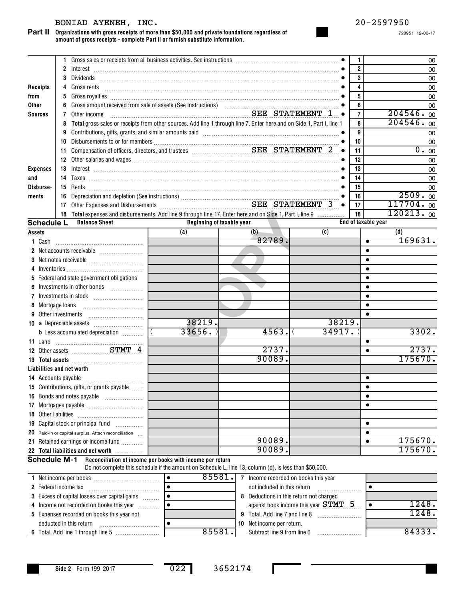## BONIAD AYENEH, INC. 20-2597950

#### **Organizations with gross receipts of more than \$50,000 and private foundations regardless of Part II amount of gross receipts - complete Part II or furnish substitute information.**

728951 12-06-17

|                              |                                                                                                                                                                                                                                                                                                                                                                                                |    |                                                                                                                                                                          |                                         |           |                           |        |        |       |                                      | 1              |                     | 00        |
|------------------------------|------------------------------------------------------------------------------------------------------------------------------------------------------------------------------------------------------------------------------------------------------------------------------------------------------------------------------------------------------------------------------------------------|----|--------------------------------------------------------------------------------------------------------------------------------------------------------------------------|-----------------------------------------|-----------|---------------------------|--------|--------|-------|--------------------------------------|----------------|---------------------|-----------|
|                              |                                                                                                                                                                                                                                                                                                                                                                                                |    |                                                                                                                                                                          |                                         |           |                           |        |        |       |                                      | $\overline{2}$ |                     | 00        |
|                              | Receipts<br>4 Gross rents<br>$\begin{picture}(100,100) \put(0,0){\vector(1,0){100}} \put(10,0){\vector(1,0){100}} \put(10,0){\vector(1,0){100}} \put(10,0){\vector(1,0){100}} \put(10,0){\vector(1,0){100}} \put(10,0){\vector(1,0){100}} \put(10,0){\vector(1,0){100}} \put(10,0){\vector(1,0){100}} \put(10,0){\vector(1,0){100}} \put(10,0){\vector(1,0){100}} \put(10,0){\vector(1,0){100$ |    |                                                                                                                                                                          |                                         |           |                           |        |        |       |                                      | 3              |                     | 00        |
|                              |                                                                                                                                                                                                                                                                                                                                                                                                |    |                                                                                                                                                                          |                                         |           |                           |        |        |       |                                      | 4              |                     | 00        |
| from                         |                                                                                                                                                                                                                                                                                                                                                                                                | 5  |                                                                                                                                                                          |                                         |           |                           |        |        |       |                                      | 5              |                     | 00        |
| Other                        |                                                                                                                                                                                                                                                                                                                                                                                                |    |                                                                                                                                                                          |                                         |           |                           |        |        |       |                                      | 6              |                     | 00        |
| <b>Sources</b>               |                                                                                                                                                                                                                                                                                                                                                                                                | 7  | Other income                                                                                                                                                             |                                         |           |                           |        |        |       | SEE STATEMENT 1<br>$\bullet$         | $\overline{7}$ |                     | 204546.00 |
|                              |                                                                                                                                                                                                                                                                                                                                                                                                | 8  | Total gross sales or receipts from other sources. Add line 1 through line 7. Enter here and on Side 1, Part I, line 1                                                    |                                         |           |                           |        |        |       |                                      | 8              |                     | 204546.00 |
|                              |                                                                                                                                                                                                                                                                                                                                                                                                | 9  | Contributions, gifts, grants, and similar amounts paid [11] [11] contributions, and similar amounts paid [11] [11] contributions, and similar amounts paid [11] $\alpha$ |                                         |           |                           |        |        |       |                                      | 9              |                     | 00        |
|                              |                                                                                                                                                                                                                                                                                                                                                                                                | 10 |                                                                                                                                                                          |                                         |           |                           |        |        |       |                                      | 10<br>11       |                     | 00        |
|                              |                                                                                                                                                                                                                                                                                                                                                                                                |    |                                                                                                                                                                          |                                         |           |                           |        |        |       |                                      |                |                     | 0.00      |
|                              |                                                                                                                                                                                                                                                                                                                                                                                                |    |                                                                                                                                                                          |                                         |           |                           |        |        |       |                                      |                |                     |           |
| <b>Expenses</b>              |                                                                                                                                                                                                                                                                                                                                                                                                |    |                                                                                                                                                                          |                                         |           |                           |        |        |       |                                      | 13             |                     | 00        |
| and                          |                                                                                                                                                                                                                                                                                                                                                                                                |    |                                                                                                                                                                          |                                         |           |                           |        |        |       |                                      | 14             |                     | 00        |
| Disburse-                    |                                                                                                                                                                                                                                                                                                                                                                                                | 15 |                                                                                                                                                                          |                                         |           |                           |        |        |       |                                      | 15             |                     | 00        |
| ments                        |                                                                                                                                                                                                                                                                                                                                                                                                | 16 |                                                                                                                                                                          |                                         |           |                           |        |        |       |                                      | 16             |                     | 2509.00   |
|                              |                                                                                                                                                                                                                                                                                                                                                                                                | 17 | Other Expenses and Disbursements Material Material SEE STATEMENT 3                                                                                                       |                                         |           |                           |        |        |       | $\bullet$                            | 17             |                     | 117704.00 |
|                              |                                                                                                                                                                                                                                                                                                                                                                                                |    | 18 Total expenses and disbursements. Add line 9 through line 17. Enter here and on Side 1, Part I, line 9                                                                |                                         |           |                           |        |        |       |                                      | 18             |                     | 120213.00 |
| <b>Schedule L</b>            |                                                                                                                                                                                                                                                                                                                                                                                                |    | <b>Balance Sheet</b>                                                                                                                                                     |                                         |           | Beginning of taxable year |        |        |       |                                      |                | End of taxable year |           |
| Assets                       |                                                                                                                                                                                                                                                                                                                                                                                                |    |                                                                                                                                                                          |                                         |           | (a)                       |        | (b)    |       | (c)                                  |                |                     | (d)       |
| 1 Cash                       |                                                                                                                                                                                                                                                                                                                                                                                                |    |                                                                                                                                                                          |                                         |           |                           |        | 82789. |       |                                      |                | $\bullet$           | 169631    |
|                              |                                                                                                                                                                                                                                                                                                                                                                                                |    |                                                                                                                                                                          |                                         |           |                           |        |        |       |                                      |                | $\bullet$           |           |
|                              |                                                                                                                                                                                                                                                                                                                                                                                                |    |                                                                                                                                                                          |                                         |           |                           |        |        |       |                                      |                |                     |           |
|                              |                                                                                                                                                                                                                                                                                                                                                                                                |    |                                                                                                                                                                          |                                         |           |                           |        |        |       |                                      |                |                     |           |
|                              |                                                                                                                                                                                                                                                                                                                                                                                                |    | 5 Federal and state government obligations                                                                                                                               |                                         |           |                           |        |        |       |                                      |                |                     |           |
| 6 Investments in other bonds |                                                                                                                                                                                                                                                                                                                                                                                                |    |                                                                                                                                                                          |                                         |           |                           |        |        |       | $\bullet$                            |                |                     |           |
|                              |                                                                                                                                                                                                                                                                                                                                                                                                |    |                                                                                                                                                                          |                                         |           |                           |        |        |       |                                      |                | $\bullet$           |           |
|                              | 8 Mortgage loans                                                                                                                                                                                                                                                                                                                                                                               |    |                                                                                                                                                                          |                                         |           |                           |        |        |       |                                      |                |                     |           |
|                              | 9 Other investments                                                                                                                                                                                                                                                                                                                                                                            |    |                                                                                                                                                                          |                                         |           |                           |        |        |       |                                      |                |                     |           |
|                              |                                                                                                                                                                                                                                                                                                                                                                                                |    |                                                                                                                                                                          |                                         |           | 38219.                    |        |        |       | 38219.                               |                |                     |           |
|                              |                                                                                                                                                                                                                                                                                                                                                                                                |    | <b>b</b> Less accumulated depreciation <i></i>                                                                                                                           |                                         |           | 33656.                    |        |        | 4563. | 34917.                               |                |                     | 3302.     |
|                              |                                                                                                                                                                                                                                                                                                                                                                                                |    | 11 Land $\cdots$                                                                                                                                                         |                                         |           |                           |        |        |       |                                      |                | $\bullet$           |           |
|                              |                                                                                                                                                                                                                                                                                                                                                                                                |    | 12 Other assets STMT 4                                                                                                                                                   |                                         |           |                           |        |        | 2737. |                                      |                | $\bullet$           | 2737.     |
|                              |                                                                                                                                                                                                                                                                                                                                                                                                |    |                                                                                                                                                                          |                                         |           |                           |        | 90089. |       |                                      |                |                     | 175670.   |
|                              |                                                                                                                                                                                                                                                                                                                                                                                                |    | Liabilities and net worth                                                                                                                                                |                                         |           |                           |        |        |       |                                      |                |                     |           |
|                              |                                                                                                                                                                                                                                                                                                                                                                                                |    |                                                                                                                                                                          |                                         |           |                           |        |        |       |                                      |                | $\bullet$           |           |
|                              |                                                                                                                                                                                                                                                                                                                                                                                                |    | 15 Contributions, gifts, or grants payable                                                                                                                               |                                         |           |                           |        |        |       |                                      |                |                     |           |
|                              |                                                                                                                                                                                                                                                                                                                                                                                                |    | 16 Bonds and notes payable                                                                                                                                               |                                         |           |                           |        |        |       |                                      |                | $\bullet$           |           |
|                              |                                                                                                                                                                                                                                                                                                                                                                                                |    |                                                                                                                                                                          |                                         |           |                           |        |        |       |                                      |                | $\bullet$           |           |
|                              |                                                                                                                                                                                                                                                                                                                                                                                                |    |                                                                                                                                                                          |                                         |           |                           |        |        |       |                                      |                |                     |           |
|                              | 19 Capital stock or principal fund                                                                                                                                                                                                                                                                                                                                                             |    |                                                                                                                                                                          |                                         |           |                           |        |        |       |                                      |                | ٠                   |           |
|                              | 20 Paid-in or capital surplus. Attach reconciliation                                                                                                                                                                                                                                                                                                                                           |    |                                                                                                                                                                          |                                         |           |                           |        |        |       |                                      |                | $\bullet$           |           |
|                              |                                                                                                                                                                                                                                                                                                                                                                                                |    | 21 Retained earnings or income fund                                                                                                                                      |                                         |           |                           |        | 90089. |       |                                      |                | $\bullet$           | 175670.   |
|                              |                                                                                                                                                                                                                                                                                                                                                                                                |    | 22 Total liabilities and net worth                                                                                                                                       |                                         |           |                           |        | 90089. |       |                                      |                |                     | 175670.   |
|                              | <b>Schedule M-1</b>                                                                                                                                                                                                                                                                                                                                                                            |    | Reconciliation of income per books with income per return                                                                                                                |                                         |           |                           |        |        |       |                                      |                |                     |           |
|                              |                                                                                                                                                                                                                                                                                                                                                                                                |    | Do not complete this schedule if the amount on Schedule L, line 13, column (d), is less than \$50,000.                                                                   |                                         |           |                           |        |        |       |                                      |                |                     |           |
|                              |                                                                                                                                                                                                                                                                                                                                                                                                |    |                                                                                                                                                                          |                                         | $\bullet$ |                           | 85581. |        |       | 7 Income recorded on books this year |                |                     |           |
|                              |                                                                                                                                                                                                                                                                                                                                                                                                |    |                                                                                                                                                                          | not included in this return             |           |                           |        |        |       | $\bullet$                            |                |                     |           |
|                              |                                                                                                                                                                                                                                                                                                                                                                                                |    | 3 Excess of capital losses over capital gains                                                                                                                            | 8 Deductions in this return not charged |           |                           |        |        |       |                                      |                |                     |           |
|                              |                                                                                                                                                                                                                                                                                                                                                                                                |    | 4 Income not recorded on books this year                                                                                                                                 |                                         |           |                           |        |        |       | against book income this year STMT 5 |                |                     | 1248.     |
|                              |                                                                                                                                                                                                                                                                                                                                                                                                |    | 5 Expenses recorded on books this year not<br>9 Total. Add line 7 and line 8                                                                                             |                                         |           |                           |        |        |       |                                      |                |                     | 1248.     |

**6** Total. Add line 1 through line 5 deducted in this return ~~~~~~~~~~~

**Side 2** Form 199 2017

•

**9** Total. Add line 7 and line 8 **10** Net income per return.

Subtract line 9 from line 6 85581. 84333.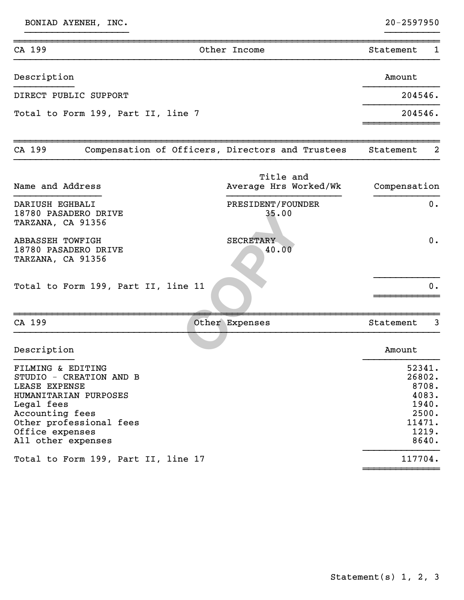BONIAD AYENEH, INC. 20-2597950

| CA 199                                                                                                                                                                                      | Other Income                       | Statement<br>1                                                                   |
|---------------------------------------------------------------------------------------------------------------------------------------------------------------------------------------------|------------------------------------|----------------------------------------------------------------------------------|
| Description                                                                                                                                                                                 |                                    | Amount                                                                           |
| DIRECT PUBLIC SUPPORT                                                                                                                                                                       |                                    | 204546.                                                                          |
| Total to Form 199, Part II, line 7                                                                                                                                                          |                                    | 204546.                                                                          |
| CA 199<br>Compensation of Officers, Directors and Trustees                                                                                                                                  |                                    | $\overline{a}$<br>Statement                                                      |
| Name and Address                                                                                                                                                                            | Title and<br>Average Hrs Worked/Wk | Compensation                                                                     |
| DARIUSH EGHBALI<br>18780 PASADERO DRIVE<br>TARZANA, CA 91356                                                                                                                                | PRESIDENT/FOUNDER<br>35.00         | 0.                                                                               |
| <b>ABBASSEH TOWFIGH</b><br>18780 PASADERO DRIVE<br>TARZANA, CA 91356                                                                                                                        | <b>SECRETARY</b><br>40.00          | 0.                                                                               |
| Total to Form 199, Part II, line 11                                                                                                                                                         |                                    | 0.                                                                               |
| CA 199                                                                                                                                                                                      | Other Expenses                     | 3<br>Statement                                                                   |
| Description                                                                                                                                                                                 |                                    | Amount                                                                           |
| FILMING & EDITING<br>STUDIO - CREATION AND B<br>LEASE EXPENSE<br>HUMANITARIAN PURPOSES<br>Legal fees<br>Accounting fees<br>Other professional fees<br>Office expenses<br>All other expenses |                                    | 52341.<br>26802.<br>8708.<br>4083.<br>1940.<br>2500.<br>11471.<br>1219.<br>8640. |
| Total to Form 199, Part II, line 17                                                                                                                                                         |                                    | 117704.                                                                          |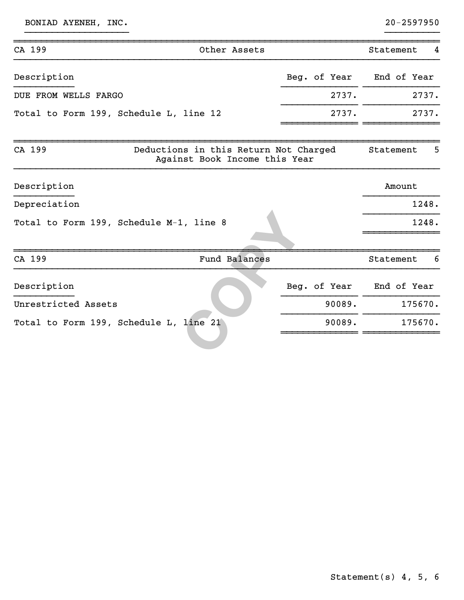BONIAD AYENEH, INC. 20-2597950

| CA 199                                  | Other Assets                                                           | Statement<br>4           |
|-----------------------------------------|------------------------------------------------------------------------|--------------------------|
| Description                             |                                                                        | Beg. of Year End of Year |
| DUE FROM WELLS FARGO                    |                                                                        | 2737.<br>2737.           |
| Total to Form 199, Schedule L, line 12  |                                                                        | 2737.<br>2737.           |
| CA 199                                  | Deductions in this Return Not Charged<br>Against Book Income this Year | 5<br>Statement           |
| Description                             |                                                                        | Amount                   |
| Depreciation                            |                                                                        | 1248.                    |
| Total to Form 199, Schedule M-1, line 8 |                                                                        | 1248.                    |
| CA 199                                  | Fund Balances                                                          | Statement<br>6           |
| Description                             |                                                                        | Beg. of Year End of Year |
| Unrestricted Assets                     | 90089.                                                                 | 175670.                  |
| Total to Form 199, Schedule L, line 21  | 90089.                                                                 | 175670.                  |
|                                         |                                                                        |                          |

}}}}}}}}}}}}}}}}}}} }}}}}}}}}}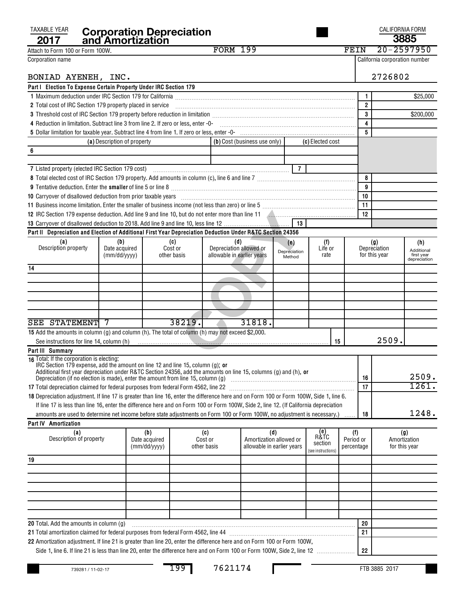| <b>TAXABLE YEAR</b>                                                                                                                                                                                                                                                                    | <b>Corporation Depreciation<br/>and Amortization</b> |                                      |             |                               |                                                              |                |                                              |    |                                | CALIFORNIA FORM                      |                            |
|----------------------------------------------------------------------------------------------------------------------------------------------------------------------------------------------------------------------------------------------------------------------------------------|------------------------------------------------------|--------------------------------------|-------------|-------------------------------|--------------------------------------------------------------|----------------|----------------------------------------------|----|--------------------------------|--------------------------------------|----------------------------|
| 2017                                                                                                                                                                                                                                                                                   |                                                      |                                      |             |                               |                                                              |                |                                              |    |                                | 3885                                 |                            |
| Attach to Form 100 or Form 100W.                                                                                                                                                                                                                                                       |                                                      |                                      |             | <b>FORM 199</b>               |                                                              |                |                                              |    | FEIN                           | $20 - 2597950$                       |                            |
| Corporation name                                                                                                                                                                                                                                                                       |                                                      |                                      |             |                               |                                                              |                |                                              |    |                                | California corporation number        |                            |
| BONIAD AYENEH, INC.                                                                                                                                                                                                                                                                    |                                                      |                                      |             |                               |                                                              |                |                                              |    |                                | 2726802                              |                            |
| Part   Election To Expense Certain Property Under IRC Section 179                                                                                                                                                                                                                      |                                                      |                                      |             |                               |                                                              |                |                                              |    |                                |                                      |                            |
|                                                                                                                                                                                                                                                                                        |                                                      |                                      |             |                               |                                                              |                |                                              |    | 1                              |                                      | \$25,000                   |
| 2 Total cost of IRC Section 179 property placed in service                                                                                                                                                                                                                             |                                                      |                                      |             |                               |                                                              |                |                                              |    | $\overline{2}$                 |                                      |                            |
|                                                                                                                                                                                                                                                                                        |                                                      |                                      |             |                               |                                                              |                |                                              |    | 3                              |                                      | \$200,000                  |
| 4 Reduction in limitation. Subtract line 3 from line 2. If zero or less, enter -0- [11] manumeral manumeral manumeral manumeral and a flexion in limitation.                                                                                                                           |                                                      |                                      |             |                               |                                                              |                |                                              |    | 4                              |                                      |                            |
|                                                                                                                                                                                                                                                                                        |                                                      |                                      |             |                               |                                                              |                |                                              |    | 5                              |                                      |                            |
|                                                                                                                                                                                                                                                                                        | (a) Description of property                          |                                      |             |                               | (b) Cost (business use only)                                 |                | (c) Elected cost                             |    |                                |                                      |                            |
| 6                                                                                                                                                                                                                                                                                      |                                                      |                                      |             |                               |                                                              |                |                                              |    |                                |                                      |                            |
|                                                                                                                                                                                                                                                                                        |                                                      |                                      |             |                               |                                                              | $\overline{7}$ |                                              |    |                                |                                      |                            |
| 7 Listed property (elected IRC Section 179 cost)                                                                                                                                                                                                                                       |                                                      |                                      |             |                               |                                                              |                |                                              |    | 8                              |                                      |                            |
|                                                                                                                                                                                                                                                                                        |                                                      |                                      |             |                               |                                                              |                |                                              |    | 9                              |                                      |                            |
| 10 Carryover of disallowed deduction from prior taxable years [11] match match match match of disallowed deduction from prior taxable years [11] match match match match match of the care of the control of the care of the c                                                         |                                                      |                                      |             |                               |                                                              |                |                                              |    | 10                             |                                      |                            |
|                                                                                                                                                                                                                                                                                        |                                                      |                                      |             |                               |                                                              |                |                                              |    | 11                             |                                      |                            |
|                                                                                                                                                                                                                                                                                        |                                                      |                                      |             |                               |                                                              |                |                                              |    | 12                             |                                      |                            |
|                                                                                                                                                                                                                                                                                        |                                                      |                                      |             |                               |                                                              | 13             |                                              |    |                                |                                      |                            |
| Part II Depreciation and Election of Additional First Year Depreciation Deduction Under R&TC Section 24356                                                                                                                                                                             |                                                      |                                      |             |                               |                                                              |                |                                              |    |                                |                                      |                            |
| (a)<br>Description property                                                                                                                                                                                                                                                            | (b)                                                  |                                      | (c)         | (d)                           |                                                              | (e)            | (f)                                          |    |                                | (g)                                  | (h)                        |
|                                                                                                                                                                                                                                                                                        | Date acquired                                        |                                      | Cost or     | Depreciation allowed or       |                                                              | Depreciation   | Life or                                      |    |                                | Depreciation                         | Additional                 |
|                                                                                                                                                                                                                                                                                        | (mm/dd/yyyy)                                         |                                      | other basis | allowable in earlier years    |                                                              | Method         | rate                                         |    |                                | for this year                        | first year<br>depreciation |
| 14                                                                                                                                                                                                                                                                                     |                                                      |                                      |             |                               |                                                              |                |                                              |    |                                |                                      |                            |
|                                                                                                                                                                                                                                                                                        |                                                      |                                      |             |                               |                                                              |                |                                              |    |                                |                                      |                            |
|                                                                                                                                                                                                                                                                                        |                                                      |                                      |             |                               |                                                              |                |                                              |    |                                |                                      |                            |
|                                                                                                                                                                                                                                                                                        |                                                      |                                      |             |                               |                                                              |                |                                              |    |                                |                                      |                            |
|                                                                                                                                                                                                                                                                                        |                                                      |                                      |             |                               |                                                              |                |                                              |    |                                |                                      |                            |
|                                                                                                                                                                                                                                                                                        |                                                      |                                      |             |                               |                                                              |                |                                              |    |                                |                                      |                            |
| <b>SEE STATEMENT</b>                                                                                                                                                                                                                                                                   | 7                                                    |                                      | 38219.      |                               | 31818.                                                       |                |                                              |    |                                |                                      |                            |
| 15 Add the amounts in column (g) and column (h). The total of column (h) may not exceed \$2,000.                                                                                                                                                                                       |                                                      |                                      |             |                               |                                                              |                |                                              |    |                                | 2509.                                |                            |
| See instructions for line 14, column (h)                                                                                                                                                                                                                                               |                                                      |                                      |             |                               |                                                              |                |                                              | 15 |                                |                                      |                            |
| Part III Summary<br>16 Total: If the corporation is electing:                                                                                                                                                                                                                          |                                                      |                                      |             |                               |                                                              |                |                                              |    |                                |                                      |                            |
| IRC Section 179 expense, add the amount on line 12 and line 15, column (g); or<br>Additional first year depreciation under R&TC Section 24356, add the amounts on line 15, columns (g) and (h), or<br>Depreciation (if no election is made), enter the amount from line 15, column (g) |                                                      |                                      |             |                               |                                                              |                |                                              |    | 16                             |                                      | 2509.                      |
| 17 Total depreciation claimed for federal purposes from federal Form 4562, line 22 [11] [12] Total depreciation claimed for federal purposes from federal Form 4562, line 22 [11] [12] Total depreciation claims                                                                       |                                                      |                                      |             |                               |                                                              |                |                                              |    | 17                             |                                      | 1261.                      |
| 18 Depreciation adjustment. If line 17 is greater than line 16, enter the difference here and on Form 100 or Form 100W, Side 1, line 6.                                                                                                                                                |                                                      |                                      |             |                               |                                                              |                |                                              |    |                                |                                      |                            |
| If line 17 is less than line 16, enter the difference here and on Form 100 or Form 100W, Side 2, line 12. (If California depreciation                                                                                                                                                  |                                                      |                                      |             |                               |                                                              |                |                                              |    |                                |                                      |                            |
| amounts are used to determine net income before state adjustments on Form 100 or Form 100W, no adjustment is necessary.)                                                                                                                                                               |                                                      |                                      |             |                               |                                                              |                |                                              |    | 18                             |                                      | 1248.                      |
| Part IV Amortization                                                                                                                                                                                                                                                                   |                                                      |                                      |             |                               |                                                              |                |                                              |    |                                |                                      |                            |
| (a)<br>Description of property                                                                                                                                                                                                                                                         |                                                      | (b)<br>Date acquired<br>(mm/dd/yyyy) |             | (c)<br>Cost or<br>other basis | (d)<br>Amortization allowed or<br>allowable in earlier vears |                | (e)<br>R&TC<br>section<br>(see instructions) |    | (f)<br>Period or<br>percentage | (g)<br>Amortization<br>for this year |                            |
| 19                                                                                                                                                                                                                                                                                     |                                                      |                                      |             |                               |                                                              |                |                                              |    |                                |                                      |                            |
|                                                                                                                                                                                                                                                                                        |                                                      |                                      |             |                               |                                                              |                |                                              |    |                                |                                      |                            |
|                                                                                                                                                                                                                                                                                        |                                                      |                                      |             |                               |                                                              |                |                                              |    |                                |                                      |                            |
|                                                                                                                                                                                                                                                                                        |                                                      |                                      |             |                               |                                                              |                |                                              |    |                                |                                      |                            |
|                                                                                                                                                                                                                                                                                        |                                                      |                                      |             |                               |                                                              |                |                                              |    |                                |                                      |                            |
|                                                                                                                                                                                                                                                                                        |                                                      |                                      |             |                               |                                                              |                |                                              |    |                                |                                      |                            |
|                                                                                                                                                                                                                                                                                        |                                                      |                                      |             |                               |                                                              |                |                                              |    |                                |                                      |                            |
| 20 Total. Add the amounts in column (g)                                                                                                                                                                                                                                                |                                                      |                                      |             |                               |                                                              |                |                                              |    | 20                             |                                      |                            |
| 21 Total amortization claimed for federal purposes from federal Form 4562, line 44 [11] [11] Total amortization claimed for federal purposes from federal Form 4562, line 44 [11] [11] Total amortization control and the stat                                                         |                                                      |                                      |             |                               |                                                              |                |                                              |    | 21                             |                                      |                            |
| 22 Amortization adjustment. If line 21 is greater than line 20, enter the difference here and on Form 100 or Form 100W,                                                                                                                                                                |                                                      |                                      |             |                               |                                                              |                |                                              |    | 22                             |                                      |                            |

199 7621174

Г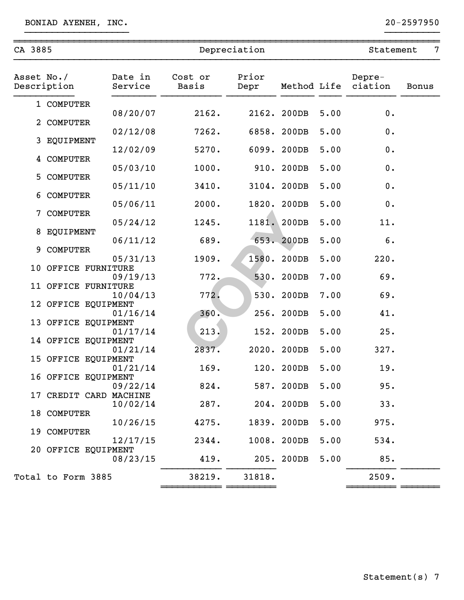| CA 3885    |                        |                    |                         | Depreciation  |             |      | Statement         | 7     |
|------------|------------------------|--------------------|-------------------------|---------------|-------------|------|-------------------|-------|
| Asset No./ | Description            | Date in<br>Service | Cost or<br><b>Basis</b> | Prior<br>Depr | Method Life |      | Depre-<br>ciation | Bonus |
|            | 1 COMPUTER             | 08/20/07           | 2162.                   |               | 2162. 200DB | 5.00 | 0.                |       |
|            | 2 COMPUTER             |                    |                         |               |             |      |                   |       |
|            | 3 EQUIPMENT            | 02/12/08           | 7262.                   |               | 6858. 200DB | 5.00 | 0.                |       |
| 4          | COMPUTER               | 12/02/09           | 5270.                   |               | 6099. 200DB | 5.00 | 0.                |       |
| 5          | COMPUTER               | 05/03/10           | 1000.                   |               | 910. 200DB  | 5.00 | 0.                |       |
| 6          | <b>COMPUTER</b>        | 05/11/10           | 3410.                   |               | 3104. 200DB | 5.00 | 0.                |       |
| 7          | <b>COMPUTER</b>        | 05/06/11           | 2000.                   | 1820.         | 200DB       | 5.00 | 0.                |       |
| 8          | EQUIPMENT              | 05/24/12           | 1245.                   | 1181.         | 200DB       | 5.00 | 11.               |       |
| 9          | COMPUTER               | 06/11/12           | 689.                    |               | 653. 200DB  | 5.00 | 6.                |       |
|            | 10 OFFICE FURNITURE    | 05/31/13           | 1909.                   | 1580.         | 200DB       | 5.00 | 220.              |       |
|            | 11 OFFICE FURNITURE    | 09/19/13           | 772.                    | 530.          | 200DB       | 7.00 | 69.               |       |
|            | 12 OFFICE EQUIPMENT    | 10/04/13           | 772.                    | 530.          | 200DB       | 7.00 | 69.               |       |
|            | 13 OFFICE EQUIPMENT    | 01/16/14           | 360.                    | 256.          | 200DB       | 5.00 | 41.               |       |
|            |                        | 01/17/14           | 213.                    |               | 152. 200DB  | 5.00 | 25.               |       |
|            | 14 OFFICE EQUIPMENT    | 01/21/14           | 2837.                   |               | 2020. 200DB | 5.00 | 327.              |       |
|            | 15 OFFICE EQUIPMENT    | 01/21/14           | 169.                    |               | 120. 200DB  | 5.00 | 19.               |       |
|            | 16 OFFICE EQUIPMENT    | 09/22/14           | 824.                    |               | 587. 200DB  | 5.00 | 95.               |       |
|            | 17 CREDIT CARD MACHINE | 10/02/14           | 287.                    |               | 204. 200DB  | 5.00 | 33.               |       |
|            | 18 COMPUTER            | 10/26/15           | 4275.                   |               | 1839. 200DB | 5.00 | 975.              |       |
|            | 19 COMPUTER            | 12/17/15           | 2344.                   |               | 1008. 200DB | 5.00 | 534.              |       |
|            | 20 OFFICE EQUIPMENT    | 08/23/15           | 419.                    |               | 205. 200DB  | 5.00 | 85.               |       |
|            | Total to Form 3885     |                    | 38219.                  | 31818.        |             |      | 2509.             |       |
|            |                        |                    |                         |               |             |      |                   |       |

~~~~~~~~~~~~~~~~~~~~~~~~~~~~~~~~~~~~~~~~~~~~~~~~~~~~~~~~~~~~~~~~~~~~~~~~~~~~~~

}}}}}}}}}}}}}}}}}}} }}}}}}}}}}

## BONIAD AYENEH, INC. 20-2597950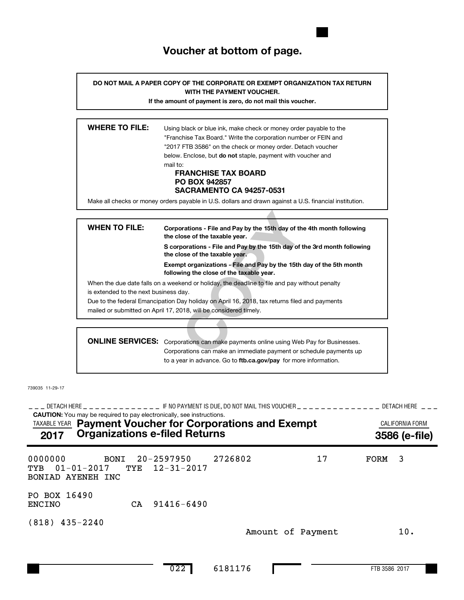# **Voucher at bottom of page.**

|                            | DO NOT MAIL A PAPER COPY OF THE CORPORATE OR EXEMPT ORGANIZATION TAX RETURN<br>WITH THE PAYMENT VOUCHER.                                                                                                                                                                                                                                                                                                                                                                                                                                                                                                                                                                                                                                                              |  |  |  |  |  |  |  |  |  |
|----------------------------|-----------------------------------------------------------------------------------------------------------------------------------------------------------------------------------------------------------------------------------------------------------------------------------------------------------------------------------------------------------------------------------------------------------------------------------------------------------------------------------------------------------------------------------------------------------------------------------------------------------------------------------------------------------------------------------------------------------------------------------------------------------------------|--|--|--|--|--|--|--|--|--|
|                            |                                                                                                                                                                                                                                                                                                                                                                                                                                                                                                                                                                                                                                                                                                                                                                       |  |  |  |  |  |  |  |  |  |
| <b>WHERE TO FILE:</b>      | Using black or blue ink, make check or money order payable to the                                                                                                                                                                                                                                                                                                                                                                                                                                                                                                                                                                                                                                                                                                     |  |  |  |  |  |  |  |  |  |
|                            | "Franchise Tax Board." Write the corporation number or FEIN and                                                                                                                                                                                                                                                                                                                                                                                                                                                                                                                                                                                                                                                                                                       |  |  |  |  |  |  |  |  |  |
|                            | "2017 FTB 3586" on the check or money order. Detach voucher                                                                                                                                                                                                                                                                                                                                                                                                                                                                                                                                                                                                                                                                                                           |  |  |  |  |  |  |  |  |  |
|                            | below. Enclose, but do not staple, payment with voucher and                                                                                                                                                                                                                                                                                                                                                                                                                                                                                                                                                                                                                                                                                                           |  |  |  |  |  |  |  |  |  |
|                            | mail to:                                                                                                                                                                                                                                                                                                                                                                                                                                                                                                                                                                                                                                                                                                                                                              |  |  |  |  |  |  |  |  |  |
| <b>FRANCHISE TAX BOARD</b> |                                                                                                                                                                                                                                                                                                                                                                                                                                                                                                                                                                                                                                                                                                                                                                       |  |  |  |  |  |  |  |  |  |
| <b>PO BOX 942857</b>       |                                                                                                                                                                                                                                                                                                                                                                                                                                                                                                                                                                                                                                                                                                                                                                       |  |  |  |  |  |  |  |  |  |
|                            |                                                                                                                                                                                                                                                                                                                                                                                                                                                                                                                                                                                                                                                                                                                                                                       |  |  |  |  |  |  |  |  |  |
|                            |                                                                                                                                                                                                                                                                                                                                                                                                                                                                                                                                                                                                                                                                                                                                                                       |  |  |  |  |  |  |  |  |  |
|                            |                                                                                                                                                                                                                                                                                                                                                                                                                                                                                                                                                                                                                                                                                                                                                                       |  |  |  |  |  |  |  |  |  |
| <b>WHEN TO FILE:</b>       | Corporations - File and Pay by the 15th day of the 4th month following<br>the close of the taxable year.                                                                                                                                                                                                                                                                                                                                                                                                                                                                                                                                                                                                                                                              |  |  |  |  |  |  |  |  |  |
|                            | S corporations - File and Pay by the 15th day of the 3rd month following<br>the close of the taxable year.                                                                                                                                                                                                                                                                                                                                                                                                                                                                                                                                                                                                                                                            |  |  |  |  |  |  |  |  |  |
|                            | Exempt organizations - File and Pay by the 15th day of the 5th month<br>following the close of the taxable year.                                                                                                                                                                                                                                                                                                                                                                                                                                                                                                                                                                                                                                                      |  |  |  |  |  |  |  |  |  |
|                            |                                                                                                                                                                                                                                                                                                                                                                                                                                                                                                                                                                                                                                                                                                                                                                       |  |  |  |  |  |  |  |  |  |
|                            |                                                                                                                                                                                                                                                                                                                                                                                                                                                                                                                                                                                                                                                                                                                                                                       |  |  |  |  |  |  |  |  |  |
|                            |                                                                                                                                                                                                                                                                                                                                                                                                                                                                                                                                                                                                                                                                                                                                                                       |  |  |  |  |  |  |  |  |  |
|                            |                                                                                                                                                                                                                                                                                                                                                                                                                                                                                                                                                                                                                                                                                                                                                                       |  |  |  |  |  |  |  |  |  |
|                            |                                                                                                                                                                                                                                                                                                                                                                                                                                                                                                                                                                                                                                                                                                                                                                       |  |  |  |  |  |  |  |  |  |
|                            |                                                                                                                                                                                                                                                                                                                                                                                                                                                                                                                                                                                                                                                                                                                                                                       |  |  |  |  |  |  |  |  |  |
|                            |                                                                                                                                                                                                                                                                                                                                                                                                                                                                                                                                                                                                                                                                                                                                                                       |  |  |  |  |  |  |  |  |  |
|                            |                                                                                                                                                                                                                                                                                                                                                                                                                                                                                                                                                                                                                                                                                                                                                                       |  |  |  |  |  |  |  |  |  |
|                            | If the amount of payment is zero, do not mail this voucher.<br><b>SACRAMENTO CA 94257-0531</b><br>Make all checks or money orders payable in U.S. dollars and drawn against a U.S. financial institution.<br>When the due date falls on a weekend or holiday, the deadline to file and pay without penalty<br>is extended to the next business day.<br>Due to the federal Emancipation Day holiday on April 16, 2018, tax returns filed and payments<br>mailed or submitted on April 17, 2018, will be considered timely.<br><b>ONLINE SERVICES:</b><br>Corporations can make payments online using Web Pay for Businesses.<br>Corporations can make an immediate payment or schedule payments up<br>to a year in advance. Go to ftb.ca.gov/pay for more information. |  |  |  |  |  |  |  |  |  |

739035 11-29-17

**CAUTION:** You may be required to pay electronically, see instructions. \_\_\_ DETACH HERE \_ \_ \_ \_ \_ \_ \_ \_ \_ \_ \_ \_ F NO PAYMENT IS DUE, DO NOT MAIL THIS VOUCHER \_ \_ \_ \_ \_ \_ \_ \_ \_ \_ \_ \_ \_ \_ DETACH HERE \_ \_ \_ TAXABLE YEAR **Payment Voucher for Corporations and Exempt Exampt CALIFORNIA FORM** FTB 3586 2017 **2017 Organizations e-filed Returns 3586 (e-file)** 022 6181176 0000000 BONI 20-2597950 2726802 17 FORM 3 TYB 01-01-2017 TYE 12-31-2017 BONIAD AYENEH INC PO BOX 16490 ENCINO CA 91416-6490 (818) 435-2240 Amount of Payment 10.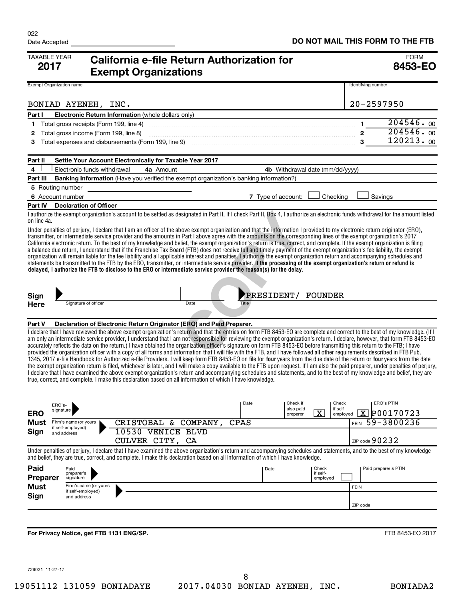| <b>TAXABLE YEAR</b><br>2017                                                                                                                                                                                                                                                                                                                                                                                                                                                                                                                                                                                                                                                                                                                                                                                                                                                                                                                                                                                                                                                                                                                                                                                                                                                                                                                                                                                                                          |                                            | <b>Exempt Organizations</b>                              |                   | California e-file Return Authorization for                                                                                                                                                                                                                                                                                                                                                                                                                                                                                                                                                                                                                                                                                                                                                                                                                                                                                                                                                                                                                                                                                                                                         |       |      |                                   |                               |                               |             |                      | <b>FORM</b><br>8453-EO         |
|------------------------------------------------------------------------------------------------------------------------------------------------------------------------------------------------------------------------------------------------------------------------------------------------------------------------------------------------------------------------------------------------------------------------------------------------------------------------------------------------------------------------------------------------------------------------------------------------------------------------------------------------------------------------------------------------------------------------------------------------------------------------------------------------------------------------------------------------------------------------------------------------------------------------------------------------------------------------------------------------------------------------------------------------------------------------------------------------------------------------------------------------------------------------------------------------------------------------------------------------------------------------------------------------------------------------------------------------------------------------------------------------------------------------------------------------------|--------------------------------------------|----------------------------------------------------------|-------------------|------------------------------------------------------------------------------------------------------------------------------------------------------------------------------------------------------------------------------------------------------------------------------------------------------------------------------------------------------------------------------------------------------------------------------------------------------------------------------------------------------------------------------------------------------------------------------------------------------------------------------------------------------------------------------------------------------------------------------------------------------------------------------------------------------------------------------------------------------------------------------------------------------------------------------------------------------------------------------------------------------------------------------------------------------------------------------------------------------------------------------------------------------------------------------------|-------|------|-----------------------------------|-------------------------------|-------------------------------|-------------|----------------------|--------------------------------|
|                                                                                                                                                                                                                                                                                                                                                                                                                                                                                                                                                                                                                                                                                                                                                                                                                                                                                                                                                                                                                                                                                                                                                                                                                                                                                                                                                                                                                                                      | <b>Exempt Organization name</b>            |                                                          |                   |                                                                                                                                                                                                                                                                                                                                                                                                                                                                                                                                                                                                                                                                                                                                                                                                                                                                                                                                                                                                                                                                                                                                                                                    |       |      |                                   |                               |                               |             | Identifying number   |                                |
|                                                                                                                                                                                                                                                                                                                                                                                                                                                                                                                                                                                                                                                                                                                                                                                                                                                                                                                                                                                                                                                                                                                                                                                                                                                                                                                                                                                                                                                      | BONIAD AYENEH, INC.                        |                                                          |                   |                                                                                                                                                                                                                                                                                                                                                                                                                                                                                                                                                                                                                                                                                                                                                                                                                                                                                                                                                                                                                                                                                                                                                                                    |       |      |                                   |                               |                               |             | $20 - 2597950$       |                                |
| Part I                                                                                                                                                                                                                                                                                                                                                                                                                                                                                                                                                                                                                                                                                                                                                                                                                                                                                                                                                                                                                                                                                                                                                                                                                                                                                                                                                                                                                                               |                                            | Electronic Return Information (whole dollars only)       |                   |                                                                                                                                                                                                                                                                                                                                                                                                                                                                                                                                                                                                                                                                                                                                                                                                                                                                                                                                                                                                                                                                                                                                                                                    |       |      |                                   |                               |                               |             |                      | 204546.00                      |
| 1                                                                                                                                                                                                                                                                                                                                                                                                                                                                                                                                                                                                                                                                                                                                                                                                                                                                                                                                                                                                                                                                                                                                                                                                                                                                                                                                                                                                                                                    |                                            |                                                          |                   |                                                                                                                                                                                                                                                                                                                                                                                                                                                                                                                                                                                                                                                                                                                                                                                                                                                                                                                                                                                                                                                                                                                                                                                    |       |      |                                   |                               |                               |             |                      | 204546.00                      |
| 2<br>3                                                                                                                                                                                                                                                                                                                                                                                                                                                                                                                                                                                                                                                                                                                                                                                                                                                                                                                                                                                                                                                                                                                                                                                                                                                                                                                                                                                                                                               |                                            | Total gross income (Form 199, line 8)                    |                   |                                                                                                                                                                                                                                                                                                                                                                                                                                                                                                                                                                                                                                                                                                                                                                                                                                                                                                                                                                                                                                                                                                                                                                                    |       |      |                                   |                               |                               |             |                      | 120213.00                      |
|                                                                                                                                                                                                                                                                                                                                                                                                                                                                                                                                                                                                                                                                                                                                                                                                                                                                                                                                                                                                                                                                                                                                                                                                                                                                                                                                                                                                                                                      |                                            |                                                          |                   |                                                                                                                                                                                                                                                                                                                                                                                                                                                                                                                                                                                                                                                                                                                                                                                                                                                                                                                                                                                                                                                                                                                                                                                    |       |      |                                   |                               |                               |             |                      |                                |
| Part II                                                                                                                                                                                                                                                                                                                                                                                                                                                                                                                                                                                                                                                                                                                                                                                                                                                                                                                                                                                                                                                                                                                                                                                                                                                                                                                                                                                                                                              |                                            | Settle Your Account Electronically for Taxable Year 2017 |                   |                                                                                                                                                                                                                                                                                                                                                                                                                                                                                                                                                                                                                                                                                                                                                                                                                                                                                                                                                                                                                                                                                                                                                                                    |       |      |                                   |                               |                               |             |                      |                                |
| 4                                                                                                                                                                                                                                                                                                                                                                                                                                                                                                                                                                                                                                                                                                                                                                                                                                                                                                                                                                                                                                                                                                                                                                                                                                                                                                                                                                                                                                                    | Electronic funds withdrawal                |                                                          | 4a Amount         |                                                                                                                                                                                                                                                                                                                                                                                                                                                                                                                                                                                                                                                                                                                                                                                                                                                                                                                                                                                                                                                                                                                                                                                    |       |      | 4b Withdrawal date (mm/dd/yyyy)   |                               |                               |             |                      |                                |
| Part III                                                                                                                                                                                                                                                                                                                                                                                                                                                                                                                                                                                                                                                                                                                                                                                                                                                                                                                                                                                                                                                                                                                                                                                                                                                                                                                                                                                                                                             |                                            |                                                          |                   | Banking Information (Have you verified the exempt organization's banking information?)                                                                                                                                                                                                                                                                                                                                                                                                                                                                                                                                                                                                                                                                                                                                                                                                                                                                                                                                                                                                                                                                                             |       |      |                                   |                               |                               |             |                      |                                |
|                                                                                                                                                                                                                                                                                                                                                                                                                                                                                                                                                                                                                                                                                                                                                                                                                                                                                                                                                                                                                                                                                                                                                                                                                                                                                                                                                                                                                                                      | 5 Routing number                           |                                                          |                   |                                                                                                                                                                                                                                                                                                                                                                                                                                                                                                                                                                                                                                                                                                                                                                                                                                                                                                                                                                                                                                                                                                                                                                                    |       |      |                                   |                               |                               |             |                      |                                |
|                                                                                                                                                                                                                                                                                                                                                                                                                                                                                                                                                                                                                                                                                                                                                                                                                                                                                                                                                                                                                                                                                                                                                                                                                                                                                                                                                                                                                                                      | 6 Account number                           |                                                          |                   |                                                                                                                                                                                                                                                                                                                                                                                                                                                                                                                                                                                                                                                                                                                                                                                                                                                                                                                                                                                                                                                                                                                                                                                    |       |      | 7 Type of account:                |                               | Checking                      |             | Savings              |                                |
|                                                                                                                                                                                                                                                                                                                                                                                                                                                                                                                                                                                                                                                                                                                                                                                                                                                                                                                                                                                                                                                                                                                                                                                                                                                                                                                                                                                                                                                      | Part IV Declaration of Officer             |                                                          |                   |                                                                                                                                                                                                                                                                                                                                                                                                                                                                                                                                                                                                                                                                                                                                                                                                                                                                                                                                                                                                                                                                                                                                                                                    |       |      |                                   |                               |                               |             |                      |                                |
| on line 4a.                                                                                                                                                                                                                                                                                                                                                                                                                                                                                                                                                                                                                                                                                                                                                                                                                                                                                                                                                                                                                                                                                                                                                                                                                                                                                                                                                                                                                                          |                                            |                                                          |                   | I authorize the exempt organization's account to be settled as designated in Part II. If I check Part II, Box 4, I authorize an electronic funds withdrawal for the amount listed                                                                                                                                                                                                                                                                                                                                                                                                                                                                                                                                                                                                                                                                                                                                                                                                                                                                                                                                                                                                  |       |      |                                   |                               |                               |             |                      |                                |
|                                                                                                                                                                                                                                                                                                                                                                                                                                                                                                                                                                                                                                                                                                                                                                                                                                                                                                                                                                                                                                                                                                                                                                                                                                                                                                                                                                                                                                                      |                                            |                                                          |                   | Under penalties of perjury, I declare that I am an officer of the above exempt organization and that the information I provided to my electronic return originator (ERO),<br>transmitter, or intermediate service provider and the amounts in Part I above agree with the amounts on the corresponding lines of the exempt organization's 2017<br>California electronic return. To the best of my knowledge and belief, the exempt organization's return is true, correct, and complete. If the exempt organization is filing<br>a balance due return, I understand that if the Franchise Tax Board (FTB) does not receive full and timely payment of the exempt organization's fee liability, the exempt<br>organization will remain liable for the fee liability and all applicable interest and penalties. I authorize the exempt organization return and accompanying schedules and<br>statements be transmitted to the FTB by the ERO, transmitter, or intermediate service provider. If the processing of the exempt organization's return or refund is<br>delayed, I authorize the FTB to disclose to the ERO or intermediate service provider the reason(s) for the delay. |       |      |                                   |                               |                               |             |                      |                                |
|                                                                                                                                                                                                                                                                                                                                                                                                                                                                                                                                                                                                                                                                                                                                                                                                                                                                                                                                                                                                                                                                                                                                                                                                                                                                                                                                                                                                                                                      |                                            |                                                          |                   |                                                                                                                                                                                                                                                                                                                                                                                                                                                                                                                                                                                                                                                                                                                                                                                                                                                                                                                                                                                                                                                                                                                                                                                    |       |      |                                   |                               |                               |             |                      |                                |
|                                                                                                                                                                                                                                                                                                                                                                                                                                                                                                                                                                                                                                                                                                                                                                                                                                                                                                                                                                                                                                                                                                                                                                                                                                                                                                                                                                                                                                                      |                                            |                                                          |                   |                                                                                                                                                                                                                                                                                                                                                                                                                                                                                                                                                                                                                                                                                                                                                                                                                                                                                                                                                                                                                                                                                                                                                                                    |       |      | PRESIDENT/ FOUNDER                |                               |                               |             |                      |                                |
| Sign<br>Here                                                                                                                                                                                                                                                                                                                                                                                                                                                                                                                                                                                                                                                                                                                                                                                                                                                                                                                                                                                                                                                                                                                                                                                                                                                                                                                                                                                                                                         | Signature of officer                       |                                                          |                   | Date                                                                                                                                                                                                                                                                                                                                                                                                                                                                                                                                                                                                                                                                                                                                                                                                                                                                                                                                                                                                                                                                                                                                                                               | Title |      |                                   |                               |                               |             |                      |                                |
|                                                                                                                                                                                                                                                                                                                                                                                                                                                                                                                                                                                                                                                                                                                                                                                                                                                                                                                                                                                                                                                                                                                                                                                                                                                                                                                                                                                                                                                      |                                            |                                                          |                   |                                                                                                                                                                                                                                                                                                                                                                                                                                                                                                                                                                                                                                                                                                                                                                                                                                                                                                                                                                                                                                                                                                                                                                                    |       |      |                                   |                               |                               |             |                      |                                |
| Part V                                                                                                                                                                                                                                                                                                                                                                                                                                                                                                                                                                                                                                                                                                                                                                                                                                                                                                                                                                                                                                                                                                                                                                                                                                                                                                                                                                                                                                               |                                            |                                                          |                   |                                                                                                                                                                                                                                                                                                                                                                                                                                                                                                                                                                                                                                                                                                                                                                                                                                                                                                                                                                                                                                                                                                                                                                                    |       |      |                                   |                               |                               |             |                      |                                |
| Declaration of Electronic Return Originator (ERO) and Paid Preparer.<br>I declare that I have reviewed the above exempt organization's return and that the entries on form FTB 8453-EO are complete and correct to the best of my knowledge. (If I<br>am only an intermediate service provider, I understand that I am not responsible for reviewing the exempt organization's return. I declare, however, that form FTB 8453-EO<br>accurately reflects the data on the return.) I have obtained the organization officer's signature on form FTB 8453-EO before transmitting this return to the FTB; I have<br>provided the organization officer with a copy of all forms and information that I will file with the FTB, and I have followed all other requirements described in FTB Pub.<br>1345, 2017 e-file Handbook for Authorized e-file Providers. I will keep form FTB 8453-EO on file for four years from the due date of the return or four years from the date<br>the exempt organization return is filed, whichever is later, and I will make a copy available to the FTB upon request. If I am also the paid preparer, under penalties of perjury,<br>I declare that I have examined the above exempt organization's return and accompanying schedules and statements, and to the best of my knowledge and belief, they are<br>true, correct, and complete. I make this declaration based on all information of which I have knowledge. |                                            |                                                          |                   |                                                                                                                                                                                                                                                                                                                                                                                                                                                                                                                                                                                                                                                                                                                                                                                                                                                                                                                                                                                                                                                                                                                                                                                    |       |      |                                   |                               |                               |             |                      |                                |
| <b>ERO</b>                                                                                                                                                                                                                                                                                                                                                                                                                                                                                                                                                                                                                                                                                                                                                                                                                                                                                                                                                                                                                                                                                                                                                                                                                                                                                                                                                                                                                                           | ERO's-<br>signature                        |                                                          |                   |                                                                                                                                                                                                                                                                                                                                                                                                                                                                                                                                                                                                                                                                                                                                                                                                                                                                                                                                                                                                                                                                                                                                                                                    | Date  |      | Check if<br>also paid<br>preparer | $\overline{\texttt{x}}$       | Check<br>if self-<br>employed |             | $\boxed{\textbf{X}}$ | <b>ERO's PTIN</b><br>P00170723 |
| Must                                                                                                                                                                                                                                                                                                                                                                                                                                                                                                                                                                                                                                                                                                                                                                                                                                                                                                                                                                                                                                                                                                                                                                                                                                                                                                                                                                                                                                                 | Firm's name (or yours                      |                                                          |                   | CRISTOBAL & COMPANY,                                                                                                                                                                                                                                                                                                                                                                                                                                                                                                                                                                                                                                                                                                                                                                                                                                                                                                                                                                                                                                                                                                                                                               | CPAS  |      |                                   |                               |                               | <b>FEIN</b> |                      | 59-3800236                     |
| Sign                                                                                                                                                                                                                                                                                                                                                                                                                                                                                                                                                                                                                                                                                                                                                                                                                                                                                                                                                                                                                                                                                                                                                                                                                                                                                                                                                                                                                                                 | if self-employed)<br>and address           |                                                          | 10530 VENICE BLVD |                                                                                                                                                                                                                                                                                                                                                                                                                                                                                                                                                                                                                                                                                                                                                                                                                                                                                                                                                                                                                                                                                                                                                                                    |       |      |                                   |                               |                               |             |                      |                                |
|                                                                                                                                                                                                                                                                                                                                                                                                                                                                                                                                                                                                                                                                                                                                                                                                                                                                                                                                                                                                                                                                                                                                                                                                                                                                                                                                                                                                                                                      |                                            |                                                          | CULVER CITY, CA   |                                                                                                                                                                                                                                                                                                                                                                                                                                                                                                                                                                                                                                                                                                                                                                                                                                                                                                                                                                                                                                                                                                                                                                                    |       |      |                                   |                               |                               |             | ZIP code 90232       |                                |
|                                                                                                                                                                                                                                                                                                                                                                                                                                                                                                                                                                                                                                                                                                                                                                                                                                                                                                                                                                                                                                                                                                                                                                                                                                                                                                                                                                                                                                                      |                                            |                                                          |                   | Under penalties of perjury, I declare that I have examined the above organization's return and accompanying schedules and statements, and to the best of my knowledge<br>and belief, they are true, correct, and complete. I make this declaration based on all information of which I have knowledge.                                                                                                                                                                                                                                                                                                                                                                                                                                                                                                                                                                                                                                                                                                                                                                                                                                                                             |       |      |                                   |                               |                               |             |                      |                                |
| Paid<br>Preparer                                                                                                                                                                                                                                                                                                                                                                                                                                                                                                                                                                                                                                                                                                                                                                                                                                                                                                                                                                                                                                                                                                                                                                                                                                                                                                                                                                                                                                     | Paid<br>preparer's<br>signature            |                                                          |                   |                                                                                                                                                                                                                                                                                                                                                                                                                                                                                                                                                                                                                                                                                                                                                                                                                                                                                                                                                                                                                                                                                                                                                                                    |       | Date |                                   | Check<br>if self-<br>employed |                               |             |                      | Paid preparer's PTIN           |
| <b>Must</b>                                                                                                                                                                                                                                                                                                                                                                                                                                                                                                                                                                                                                                                                                                                                                                                                                                                                                                                                                                                                                                                                                                                                                                                                                                                                                                                                                                                                                                          | Firm's name (or yours<br>if self-employed) |                                                          |                   |                                                                                                                                                                                                                                                                                                                                                                                                                                                                                                                                                                                                                                                                                                                                                                                                                                                                                                                                                                                                                                                                                                                                                                                    |       |      |                                   |                               |                               | <b>FEIN</b> |                      |                                |
| Sign                                                                                                                                                                                                                                                                                                                                                                                                                                                                                                                                                                                                                                                                                                                                                                                                                                                                                                                                                                                                                                                                                                                                                                                                                                                                                                                                                                                                                                                 | and address                                |                                                          |                   |                                                                                                                                                                                                                                                                                                                                                                                                                                                                                                                                                                                                                                                                                                                                                                                                                                                                                                                                                                                                                                                                                                                                                                                    |       |      |                                   |                               |                               |             | ZIP code             |                                |
|                                                                                                                                                                                                                                                                                                                                                                                                                                                                                                                                                                                                                                                                                                                                                                                                                                                                                                                                                                                                                                                                                                                                                                                                                                                                                                                                                                                                                                                      |                                            |                                                          |                   |                                                                                                                                                                                                                                                                                                                                                                                                                                                                                                                                                                                                                                                                                                                                                                                                                                                                                                                                                                                                                                                                                                                                                                                    |       |      |                                   |                               |                               |             |                      |                                |
|                                                                                                                                                                                                                                                                                                                                                                                                                                                                                                                                                                                                                                                                                                                                                                                                                                                                                                                                                                                                                                                                                                                                                                                                                                                                                                                                                                                                                                                      |                                            |                                                          |                   |                                                                                                                                                                                                                                                                                                                                                                                                                                                                                                                                                                                                                                                                                                                                                                                                                                                                                                                                                                                                                                                                                                                                                                                    |       |      |                                   |                               |                               |             |                      |                                |
|                                                                                                                                                                                                                                                                                                                                                                                                                                                                                                                                                                                                                                                                                                                                                                                                                                                                                                                                                                                                                                                                                                                                                                                                                                                                                                                                                                                                                                                      |                                            | For Privacy Notice, get FTB 1131 ENG/SP.                 |                   |                                                                                                                                                                                                                                                                                                                                                                                                                                                                                                                                                                                                                                                                                                                                                                                                                                                                                                                                                                                                                                                                                                                                                                                    |       |      |                                   |                               |                               |             |                      | FTB 8453-EO 2017               |

729021 11-27-17